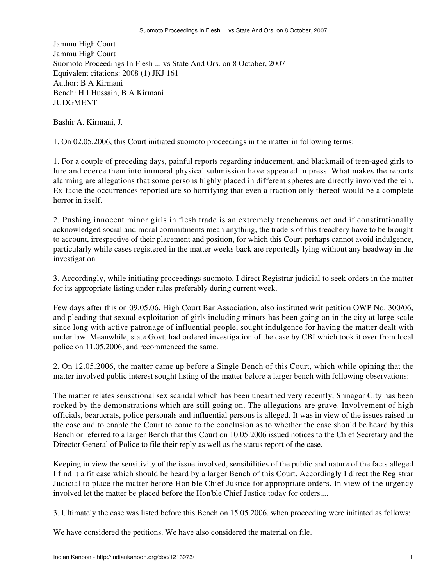Jammu High Court Jammu High Court Suomoto Proceedings In Flesh ... vs State And Ors. on 8 October, 2007 Equivalent citations: 2008 (1) JKJ 161 Author: B A Kirmani Bench: H I Hussain, B A Kirmani JUDGMENT

Bashir A. Kirmani, J.

1. On 02.05.2006, this Court initiated suomoto proceedings in the matter in following terms:

1. For a couple of preceding days, painful reports regarding inducement, and blackmail of teen-aged girls to lure and coerce them into immoral physical submission have appeared in press. What makes the reports alarming are allegations that some persons highly placed in different spheres are directly involved therein. Ex-facie the occurrences reported are so horrifying that even a fraction only thereof would be a complete horror in itself.

2. Pushing innocent minor girls in flesh trade is an extremely treacherous act and if constitutionally acknowledged social and moral commitments mean anything, the traders of this treachery have to be brought to account, irrespective of their placement and position, for which this Court perhaps cannot avoid indulgence, particularly while cases registered in the matter weeks back are reportedly lying without any headway in the investigation.

3. Accordingly, while initiating proceedings suomoto, I direct Registrar judicial to seek orders in the matter for its appropriate listing under rules preferably during current week.

Few days after this on 09.05.06, High Court Bar Association, also instituted writ petition OWP No. 300/06, and pleading that sexual exploitation of girls including minors has been going on in the city at large scale since long with active patronage of influential people, sought indulgence for having the matter dealt with under law. Meanwhile, state Govt. had ordered investigation of the case by CBI which took it over from local police on 11.05.2006; and recommenced the same.

2. On 12.05.2006, the matter came up before a Single Bench of this Court, which while opining that the matter involved public interest sought listing of the matter before a larger bench with following observations:

The matter relates sensational sex scandal which has been unearthed very recently, Srinagar City has been rocked by the demonstrations which are still going on. The allegations are grave. Involvement of high officials, bearucrats, police personals and influential persons is alleged. It was in view of the issues raised in the case and to enable the Court to come to the conclusion as to whether the case should be heard by this Bench or referred to a larger Bench that this Court on 10.05.2006 issued notices to the Chief Secretary and the Director General of Police to file their reply as well as the status report of the case.

Keeping in view the sensitivity of the issue involved, sensibilities of the public and nature of the facts alleged I find it a fit case which should be heard by a larger Bench of this Court. Accordingly I direct the Registrar Judicial to place the matter before Hon'ble Chief Justice for appropriate orders. In view of the urgency involved let the matter be placed before the Hon'ble Chief Justice today for orders....

3. Ultimately the case was listed before this Bench on 15.05.2006, when proceeding were initiated as follows:

We have considered the petitions. We have also considered the material on file.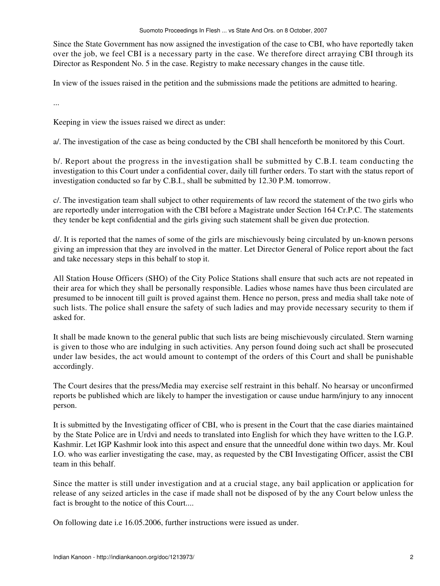Since the State Government has now assigned the investigation of the case to CBI, who have reportedly taken over the job, we feel CBI is a necessary party in the case. We therefore direct arraying CBI through its Director as Respondent No. 5 in the case. Registry to make necessary changes in the cause title.

In view of the issues raised in the petition and the submissions made the petitions are admitted to hearing.

...

Keeping in view the issues raised we direct as under:

a/. The investigation of the case as being conducted by the CBI shall henceforth be monitored by this Court.

b/. Report about the progress in the investigation shall be submitted by C.B.I. team conducting the investigation to this Court under a confidential cover, daily till further orders. To start with the status report of investigation conducted so far by C.B.I., shall be submitted by 12.30 P.M. tomorrow.

c/. The investigation team shall subject to other requirements of law record the statement of the two girls who are reportedly under interrogation with the CBI before a Magistrate under Section 164 Cr.P.C. The statements they tender be kept confidential and the girls giving such statement shall be given due protection.

d/. It is reported that the names of some of the girls are mischievously being circulated by un-known persons giving an impression that they are involved in the matter. Let Director General of Police report about the fact and take necessary steps in this behalf to stop it.

All Station House Officers (SHO) of the City Police Stations shall ensure that such acts are not repeated in their area for which they shall be personally responsible. Ladies whose names have thus been circulated are presumed to be innocent till guilt is proved against them. Hence no person, press and media shall take note of such lists. The police shall ensure the safety of such ladies and may provide necessary security to them if asked for.

It shall be made known to the general public that such lists are being mischievously circulated. Stern warning is given to those who are indulging in such activities. Any person found doing such act shall be prosecuted under law besides, the act would amount to contempt of the orders of this Court and shall be punishable accordingly.

The Court desires that the press/Media may exercise self restraint in this behalf. No hearsay or unconfirmed reports be published which are likely to hamper the investigation or cause undue harm/injury to any innocent person.

It is submitted by the Investigating officer of CBI, who is present in the Court that the case diaries maintained by the State Police are in Urdvi and needs to translated into English for which they have written to the I.G.P. Kashmir. Let IGP Kashmir look into this aspect and ensure that the unneedful done within two days. Mr. Koul I.O. who was earlier investigating the case, may, as requested by the CBI Investigating Officer, assist the CBI team in this behalf.

Since the matter is still under investigation and at a crucial stage, any bail application or application for release of any seized articles in the case if made shall not be disposed of by the any Court below unless the fact is brought to the notice of this Court....

On following date i.e 16.05.2006, further instructions were issued as under.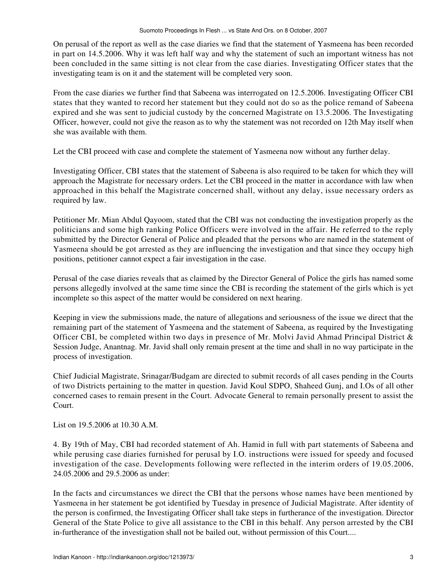On perusal of the report as well as the case diaries we find that the statement of Yasmeena has been recorded in part on 14.5.2006. Why it was left half way and why the statement of such an important witness has not been concluded in the same sitting is not clear from the case diaries. Investigating Officer states that the investigating team is on it and the statement will be completed very soon.

From the case diaries we further find that Sabeena was interrogated on 12.5.2006. Investigating Officer CBI states that they wanted to record her statement but they could not do so as the police remand of Sabeena expired and she was sent to judicial custody by the concerned Magistrate on 13.5.2006. The Investigating Officer, however, could not give the reason as to why the statement was not recorded on 12th May itself when she was available with them.

Let the CBI proceed with case and complete the statement of Yasmeena now without any further delay.

Investigating Officer, CBI states that the statement of Sabeena is also required to be taken for which they will approach the Magistrate for necessary orders. Let the CBI proceed in the matter in accordance with law when approached in this behalf the Magistrate concerned shall, without any delay, issue necessary orders as required by law.

Petitioner Mr. Mian Abdul Qayoom, stated that the CBI was not conducting the investigation properly as the politicians and some high ranking Police Officers were involved in the affair. He referred to the reply submitted by the Director General of Police and pleaded that the persons who are named in the statement of Yasmeena should be got arrested as they are influencing the investigation and that since they occupy high positions, petitioner cannot expect a fair investigation in the case.

Perusal of the case diaries reveals that as claimed by the Director General of Police the girls has named some persons allegedly involved at the same time since the CBI is recording the statement of the girls which is yet incomplete so this aspect of the matter would be considered on next hearing.

Keeping in view the submissions made, the nature of allegations and seriousness of the issue we direct that the remaining part of the statement of Yasmeena and the statement of Sabeena, as required by the Investigating Officer CBI, be completed within two days in presence of Mr. Molvi Javid Ahmad Principal District & Session Judge, Anantnag. Mr. Javid shall only remain present at the time and shall in no way participate in the process of investigation.

Chief Judicial Magistrate, Srinagar/Budgam are directed to submit records of all cases pending in the Courts of two Districts pertaining to the matter in question. Javid Koul SDPO, Shaheed Gunj, and I.Os of all other concerned cases to remain present in the Court. Advocate General to remain personally present to assist the Court.

List on 19.5.2006 at 10.30 A.M.

4. By 19th of May, CBI had recorded statement of Ah. Hamid in full with part statements of Sabeena and while perusing case diaries furnished for perusal by I.O. instructions were issued for speedy and focused investigation of the case. Developments following were reflected in the interim orders of 19.05.2006, 24.05.2006 and 29.5.2006 as under:

In the facts and circumstances we direct the CBI that the persons whose names have been mentioned by Yasmeena in her statement be got identified by Tuesday in presence of Judicial Magistrate. After identity of the person is confirmed, the Investigating Officer shall take steps in furtherance of the investigation. Director General of the State Police to give all assistance to the CBI in this behalf. Any person arrested by the CBI in-furtherance of the investigation shall not be bailed out, without permission of this Court....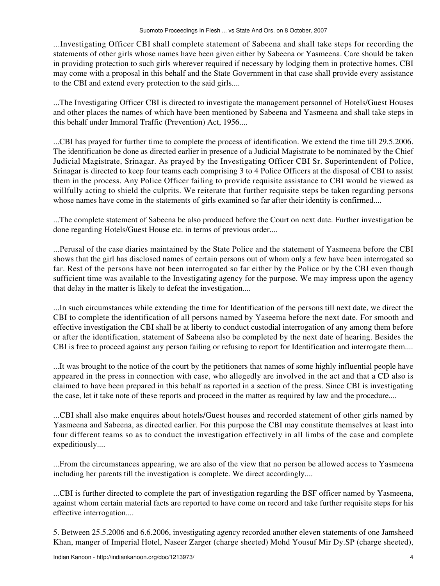...Investigating Officer CBI shall complete statement of Sabeena and shall take steps for recording the statements of other girls whose names have been given either by Sabeena or Yasmeena. Care should be taken in providing protection to such girls wherever required if necessary by lodging them in protective homes. CBI may come with a proposal in this behalf and the State Government in that case shall provide every assistance to the CBI and extend every protection to the said girls....

...The Investigating Officer CBI is directed to investigate the management personnel of Hotels/Guest Houses and other places the names of which have been mentioned by Sabeena and Yasmeena and shall take steps in this behalf under Immoral Traffic (Prevention) Act, 1956....

...CBI has prayed for further time to complete the process of identification. We extend the time till 29.5.2006. The identification be done as directed earlier in presence of a Judicial Magistrate to be nominated by the Chief Judicial Magistrate, Srinagar. As prayed by the Investigating Officer CBI Sr. Superintendent of Police, Srinagar is directed to keep four teams each comprising 3 to 4 Police Officers at the disposal of CBI to assist them in the process. Any Police Officer failing to provide requisite assistance to CBI would be viewed as willfully acting to shield the culprits. We reiterate that further requisite steps be taken regarding persons whose names have come in the statements of girls examined so far after their identity is confirmed....

...The complete statement of Sabeena be also produced before the Court on next date. Further investigation be done regarding Hotels/Guest House etc. in terms of previous order....

...Perusal of the case diaries maintained by the State Police and the statement of Yasmeena before the CBI shows that the girl has disclosed names of certain persons out of whom only a few have been interrogated so far. Rest of the persons have not been interrogated so far either by the Police or by the CBI even though sufficient time was available to the Investigating agency for the purpose. We may impress upon the agency that delay in the matter is likely to defeat the investigation....

...In such circumstances while extending the time for Identification of the persons till next date, we direct the CBI to complete the identification of all persons named by Yaseema before the next date. For smooth and effective investigation the CBI shall be at liberty to conduct custodial interrogation of any among them before or after the identification, statement of Sabeena also be completed by the next date of hearing. Besides the CBI is free to proceed against any person failing or refusing to report for Identification and interrogate them....

...It was brought to the notice of the court by the petitioners that names of some highly influential people have appeared in the press in connection with case, who allegedly are involved in the act and that a CD also is claimed to have been prepared in this behalf as reported in a section of the press. Since CBI is investigating the case, let it take note of these reports and proceed in the matter as required by law and the procedure....

...CBI shall also make enquires about hotels/Guest houses and recorded statement of other girls named by Yasmeena and Sabeena, as directed earlier. For this purpose the CBI may constitute themselves at least into four different teams so as to conduct the investigation effectively in all limbs of the case and complete expeditiously....

...From the circumstances appearing, we are also of the view that no person be allowed access to Yasmeena including her parents till the investigation is complete. We direct accordingly....

...CBI is further directed to complete the part of investigation regarding the BSF officer named by Yasmeena, against whom certain material facts are reported to have come on record and take further requisite steps for his effective interrogation....

5. Between 25.5.2006 and 6.6.2006, investigating agency recorded another eleven statements of one Jamsheed Khan, manger of Imperial Hotel, Naseer Zarger (charge sheeted) Mohd Yousuf Mir Dy.SP (charge sheeted),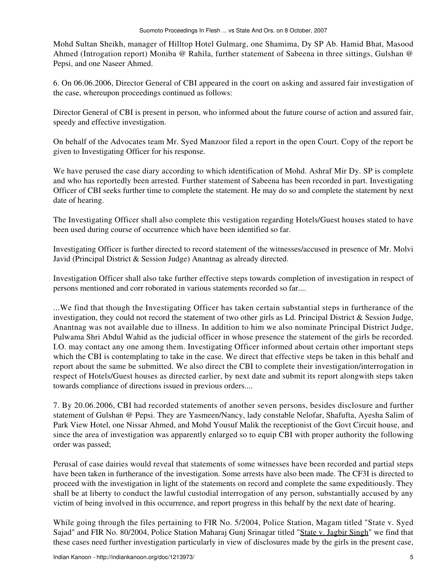Mohd Sultan Sheikh, manager of Hilltop Hotel Gulmarg, one Shamima, Dy SP Ab. Hamid Bhat, Masood Ahmed (Introgation report) Moniba @ Rahila, further statement of Sabeena in three sittings, Gulshan @ Pepsi, and one Naseer Ahmed.

6. On 06.06.2006, Director General of CBI appeared in the court on asking and assured fair investigation of the case, whereupon proceedings continued as follows:

Director General of CBI is present in person, who informed about the future course of action and assured fair, speedy and effective investigation.

On behalf of the Advocates team Mr. Syed Manzoor filed a report in the open Court. Copy of the report be given to Investigating Officer for his response.

We have perused the case diary according to which identification of Mohd. Ashraf Mir Dy. SP is complete and who has reportedly been arrested. Further statement of Sabeena has been recorded in part. Investigating Officer of CBI seeks further time to complete the statement. He may do so and complete the statement by next date of hearing.

The Investigating Officer shall also complete this vestigation regarding Hotels/Guest houses stated to have been used during course of occurrence which have been identified so far.

Investigating Officer is further directed to record statement of the witnesses/accused in presence of Mr. Molvi Javid (Principal District & Session Judge) Anantnag as already directed.

Investigation Officer shall also take further effective steps towards completion of investigation in respect of persons mentioned and corr roborated in various statements recorded so far....

...We find that though the Investigating Officer has taken certain substantial steps in furtherance of the investigation, they could not record the statement of two other girls as Ld. Principal District & Session Judge, Anantnag was not available due to illness. In addition to him we also nominate Principal District Judge, Pulwama Shri Abdul Wahid as the judicial officer in whose presence the statement of the girls be recorded. I.O. may contact any one among them. Investigating Officer informed about certain other important steps which the CBI is contemplating to take in the case. We direct that effective steps be taken in this behalf and report about the same be submitted. We also direct the CBI to complete their investigation/interrogation in respect of Hotels/Guest houses as directed earlier, by next date and submit its report alongwith steps taken towards compliance of directions issued in previous orders....

7. By 20.06.2006, CBI had recorded statements of another seven persons, besides disclosure and further statement of Gulshan @ Pepsi. They are Yasmeen/Nancy, lady constable Nelofar, Shafufta, Ayesha Salim of Park View Hotel, one Nissar Ahmed, and Mohd Yousuf Malik the receptionist of the Govt Circuit house, and since the area of investigation was apparently enlarged so to equip CBI with proper authority the following order was passed;

Perusal of case dairies would reveal that statements of some witnesses have been recorded and partial steps have been taken in furtherance of the investigation. Some arrests have also been made. The CF3I is directed to proceed with the investigation in light of the statements on record and complete the same expeditiously. They shall be at liberty to conduct the lawful custodial interrogation of any person, substantially accused by any victim of being involved in this occurrence, and report progress in this behalf by the next date of hearing.

While going through the files pertaining to FIR No. 5/2004, Police Station, Magam titled "State v. Syed Sajad" and FIR No. 80/2004, Police Station Maharaj Gunj Srinagar titled "State v. Jagbir Singh" we find that these cases need further investigation particularly in view of disclosures made by the girls in the present case,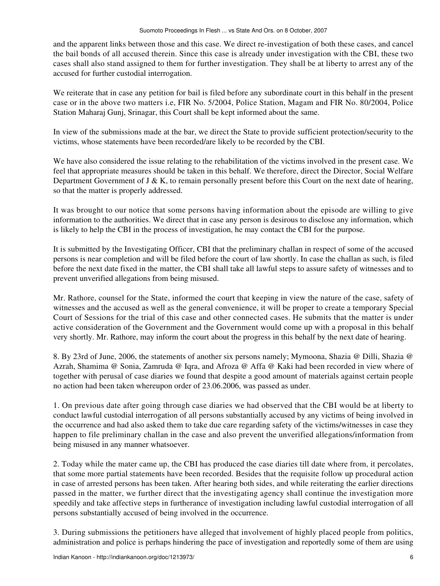and the apparent links between those and this case. We direct re-investigation of both these cases, and cancel the bail bonds of all accused therein. Since this case is already under investigation with the CBI, these two cases shall also stand assigned to them for further investigation. They shall be at liberty to arrest any of the accused for further custodial interrogation.

We reiterate that in case any petition for bail is filed before any subordinate court in this behalf in the present case or in the above two matters i.e, FIR No. 5/2004, Police Station, Magam and FIR No. 80/2004, Police Station Maharaj Gunj, Srinagar, this Court shall be kept informed about the same.

In view of the submissions made at the bar, we direct the State to provide sufficient protection/security to the victims, whose statements have been recorded/are likely to be recorded by the CBI.

We have also considered the issue relating to the rehabilitation of the victims involved in the present case. We feel that appropriate measures should be taken in this behalf. We therefore, direct the Director, Social Welfare Department Government of J & K, to remain personally present before this Court on the next date of hearing, so that the matter is properly addressed.

It was brought to our notice that some persons having information about the episode are willing to give information to the authorities. We direct that in case any person is desirous to disclose any information, which is likely to help the CBI in the process of investigation, he may contact the CBI for the purpose.

It is submitted by the Investigating Officer, CBI that the preliminary challan in respect of some of the accused persons is near completion and will be filed before the court of law shortly. In case the challan as such, is filed before the next date fixed in the matter, the CBI shall take all lawful steps to assure safety of witnesses and to prevent unverified allegations from being misused.

Mr. Rathore, counsel for the State, informed the court that keeping in view the nature of the case, safety of witnesses and the accused as well as the general convenience, it will be proper to create a temporary Special Court of Sessions for the trial of this case and other connected cases. He submits that the matter is under active consideration of the Government and the Government would come up with a proposal in this behalf very shortly. Mr. Rathore, may inform the court about the progress in this behalf by the next date of hearing.

8. By 23rd of June, 2006, the statements of another six persons namely; Mymoona, Shazia @ Dilli, Shazia @ Azrah, Shamima @ Sonia, Zamruda @ Iqra, and Afroza @ Affa @ Kaki had been recorded in view where of together with perusal of case diaries we found that despite a good amount of materials against certain people no action had been taken whereupon order of 23.06.2006, was passed as under.

1. On previous date after going through case diaries we had observed that the CBI would be at liberty to conduct lawful custodial interrogation of all persons substantially accused by any victims of being involved in the occurrence and had also asked them to take due care regarding safety of the victims/witnesses in case they happen to file preliminary challan in the case and also prevent the unverified allegations/information from being misused in any manner whatsoever.

2. Today while the mater came up, the CBI has produced the case diaries till date where from, it percolates, that some more partial statements have been recorded. Besides that the requisite follow up procedural action in case of arrested persons has been taken. After hearing both sides, and while reiterating the earlier directions passed in the matter, we further direct that the investigating agency shall continue the investigation more speedily and take affective steps in furtherance of investigation including lawful custodial interrogation of all persons substantially accused of being involved in the occurrence.

3. During submissions the petitioners have alleged that involvement of highly placed people from politics, administration and police is perhaps hindering the pace of investigation and reportedly some of them are using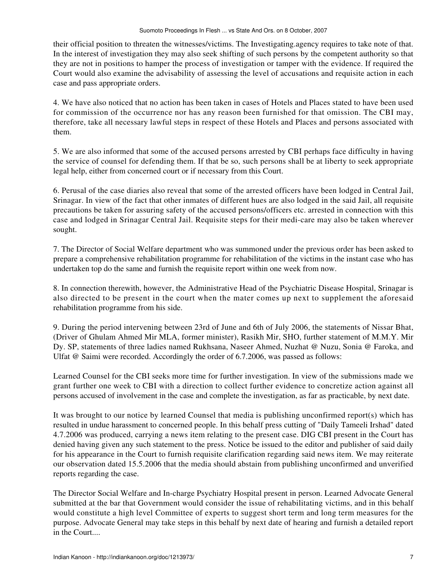their official position to threaten the witnesses/victims. The Investigating.agency requires to take note of that. In the interest of investigation they may also seek shifting of such persons by the competent authority so that they are not in positions to hamper the process of investigation or tamper with the evidence. If required the Court would also examine the advisability of assessing the level of accusations and requisite action in each case and pass appropriate orders.

4. We have also noticed that no action has been taken in cases of Hotels and Places stated to have been used for commission of the occurrence nor has any reason been furnished for that omission. The CBI may, therefore, take all necessary lawful steps in respect of these Hotels and Places and persons associated with them.

5. We are also informed that some of the accused persons arrested by CBI perhaps face difficulty in having the service of counsel for defending them. If that be so, such persons shall be at liberty to seek appropriate legal help, either from concerned court or if necessary from this Court.

6. Perusal of the case diaries also reveal that some of the arrested officers have been lodged in Central Jail, Srinagar. In view of the fact that other inmates of different hues are also lodged in the said Jail, all requisite precautions be taken for assuring safety of the accused persons/officers etc. arrested in connection with this case and lodged in Srinagar Central Jail. Requisite steps for their medi-care may also be taken wherever sought.

7. The Director of Social Welfare department who was summoned under the previous order has been asked to prepare a comprehensive rehabilitation programme for rehabilitation of the victims in the instant case who has undertaken top do the same and furnish the requisite report within one week from now.

8. In connection therewith, however, the Administrative Head of the Psychiatric Disease Hospital, Srinagar is also directed to be present in the court when the mater comes up next to supplement the aforesaid rehabilitation programme from his side.

9. During the period intervening between 23rd of June and 6th of July 2006, the statements of Nissar Bhat, (Driver of Ghulam Ahmed Mir MLA, former minister), Rasikh Mir, SHO, further statement of M.M.Y. Mir Dy. SP, statements of three ladies named Rukhsana, Naseer Ahmed, Nuzhat @ Nuzu, Sonia @ Faroka, and Ulfat @ Saimi were recorded. Accordingly the order of 6.7.2006, was passed as follows:

Learned Counsel for the CBI seeks more time for further investigation. In view of the submissions made we grant further one week to CBI with a direction to collect further evidence to concretize action against all persons accused of involvement in the case and complete the investigation, as far as practicable, by next date.

It was brought to our notice by learned Counsel that media is publishing unconfirmed report(s) which has resulted in undue harassment to concerned people. In this behalf press cutting of "Daily Tameeli Irshad" dated 4.7.2006 was produced, carrying a news item relating to the present case. DIG CBI present in the Court has denied having given any such statement to the press. Notice be issued to the editor and publisher of said daily for his appearance in the Court to furnish requisite clarification regarding said news item. We may reiterate our observation dated 15.5.2006 that the media should abstain from publishing unconfirmed and unverified reports regarding the case.

The Director Social Welfare and In-charge Psychiatry Hospital present in person. Learned Advocate General submitted at the bar that Government would consider the issue of rehabilitating victims, and in this behalf would constitute a high level Committee of experts to suggest short term and long term measures for the purpose. Advocate General may take steps in this behalf by next date of hearing and furnish a detailed report in the Court....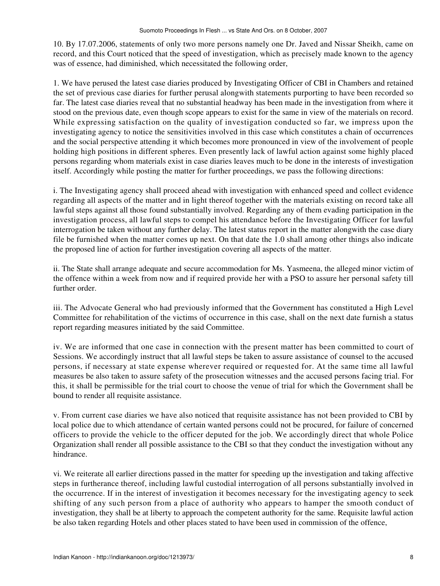10. By 17.07.2006, statements of only two more persons namely one Dr. Javed and Nissar Sheikh, came on record, and this Court noticed that the speed of investigation, which as precisely made known to the agency was of essence, had diminished, which necessitated the following order,

1. We have perused the latest case diaries produced by Investigating Officer of CBI in Chambers and retained the set of previous case diaries for further perusal alongwith statements purporting to have been recorded so far. The latest case diaries reveal that no substantial headway has been made in the investigation from where it stood on the previous date, even though scope appears to exist for the same in view of the materials on record. While expressing satisfaction on the quality of investigation conducted so far, we impress upon the investigating agency to notice the sensitivities involved in this case which constitutes a chain of occurrences and the social perspective attending it which becomes more pronounced in view of the involvement of people holding high positions in different spheres. Even presently lack of lawful action against some highly placed persons regarding whom materials exist in case diaries leaves much to be done in the interests of investigation itself. Accordingly while posting the matter for further proceedings, we pass the following directions:

i. The Investigating agency shall proceed ahead with investigation with enhanced speed and collect evidence regarding all aspects of the matter and in light thereof together with the materials existing on record take all lawful steps against all those found substantially involved. Regarding any of them evading participation in the investigation process, all lawful steps to compel his attendance before the Investigating Officer for lawful interrogation be taken without any further delay. The latest status report in the matter alongwith the case diary file be furnished when the matter comes up next. On that date the 1.0 shall among other things also indicate the proposed line of action for further investigation covering all aspects of the matter.

ii. The State shall arrange adequate and secure accommodation for Ms. Yasmeena, the alleged minor victim of the offence within a week from now and if required provide her with a PSO to assure her personal safety till further order.

iii. The Advocate General who had previously informed that the Government has constituted a High Level Committee for rehabilitation of the victims of occurrence in this case, shall on the next date furnish a status report regarding measures initiated by the said Committee.

iv. We are informed that one case in connection with the present matter has been committed to court of Sessions. We accordingly instruct that all lawful steps be taken to assure assistance of counsel to the accused persons, if necessary at state expense wherever required or requested for. At the same time all lawful measures be also taken to assure safety of the prosecution witnesses and the accused persons facing trial. For this, it shall be permissible for the trial court to choose the venue of trial for which the Government shall be bound to render all requisite assistance.

v. From current case diaries we have also noticed that requisite assistance has not been provided to CBI by local police due to which attendance of certain wanted persons could not be procured, for failure of concerned officers to provide the vehicle to the officer deputed for the job. We accordingly direct that whole Police Organization shall render all possible assistance to the CBI so that they conduct the investigation without any hindrance.

vi. We reiterate all earlier directions passed in the matter for speeding up the investigation and taking affective steps in furtherance thereof, including lawful custodial interrogation of all persons substantially involved in the occurrence. If in the interest of investigation it becomes necessary for the investigating agency to seek shifting of any such person from a place of authority who appears to hamper the smooth conduct of investigation, they shall be at liberty to approach the competent authority for the same. Requisite lawful action be also taken regarding Hotels and other places stated to have been used in commission of the offence,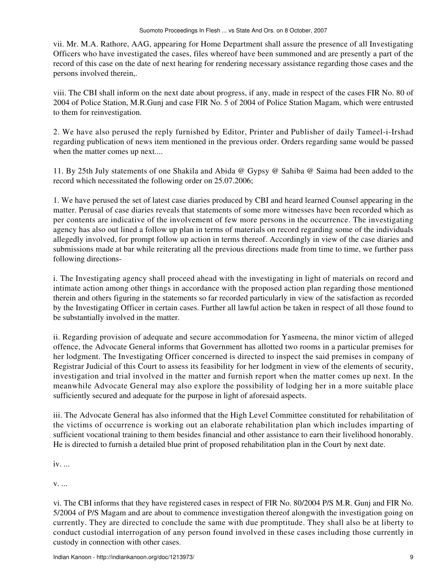vii. Mr. M.A. Rathore, AAG, appearing for Home Department shall assure the presence of all Investigating Officers who have investigated the cases, files whereof have been summoned and are presently a part of the record of this case on the date of next hearing for rendering necessary assistance regarding those cases and the persons involved therein,.

viii. The CBI shall inform on the next date about progress, if any, made in respect of the cases FIR No. 80 of 2004 of Police Station, M.R.Gunj and case FIR No. 5 of 2004 of Police Station Magam, which were entrusted to them for reinvestigation.

2. We have also perused the reply furnished by Editor, Printer and Publisher of daily Tameel-i-Irshad regarding publication of news item mentioned in the previous order. Orders regarding same would be passed when the matter comes up next....

11. By 25th July statements of one Shakila and Abida @ Gypsy @ Sahiba @ Saima had been added to the record which necessitated the following order on 25.07.2006;

1. We have perused the set of latest case diaries produced by CBI and heard learned Counsel appearing in the matter. Perusal of case diaries reveals that statements of some more witnesses have been recorded which as per contents are indicative of the involvement of few more persons in the occurrence. The investigating agency has also out lined a follow up plan in terms of materials on record regarding some of the individuals allegedly involved, for prompt follow up action in terms thereof. Accordingly in view of the case diaries and submissions made at bar while reiterating all the previous directions made from time to time, we further pass following directions-

i. The Investigating agency shall proceed ahead with the investigating in light of materials on record and intimate action among other things in accordance with the proposed action plan regarding those mentioned therein and others figuring in the statements so far recorded particularly in view of the satisfaction as recorded by the Investigating Officer in certain cases. Further all lawful action be taken in respect of all those found to be substantially involved in the matter.

ii. Regarding provision of adequate and secure accommodation for Yasmeena, the minor victim of alleged offence, the Advocate General informs that Government has allotted two rooms in a particular premises for her lodgment. The Investigating Officer concerned is directed to inspect the said premises in company of Registrar Judicial of this Court to assess its feasibility for her lodgment in view of the elements of security, investigation and trial involved in the matter and furnish report when the matter comes up next. In the meanwhile Advocate General may also explore the possibility of lodging her in a more suitable place sufficiently secured and adequate for the purpose in light of aforesaid aspects.

iii. The Advocate General has also informed that the High Level Committee constituted for rehabilitation of the victims of occurrence is working out an elaborate rehabilitation plan which includes imparting of sufficient vocational training to them besides financial and other assistance to earn their livelihood honorably. He is directed to furnish a detailed blue print of proposed rehabilitation plan in the Court by next date.

iv. ...

v. ...

vi. The CBI informs that they have registered cases in respect of FIR No. 80/2004 P/S M.R. Gunj and FIR No. 5/2004 of P/S Magam and are about to commence investigation thereof alongwith the investigation going on currently. They are directed to conclude the same with due promptitude. They shall also be at liberty to conduct custodial interrogation of any person found involved in these cases including those currently in custody in connection with other cases.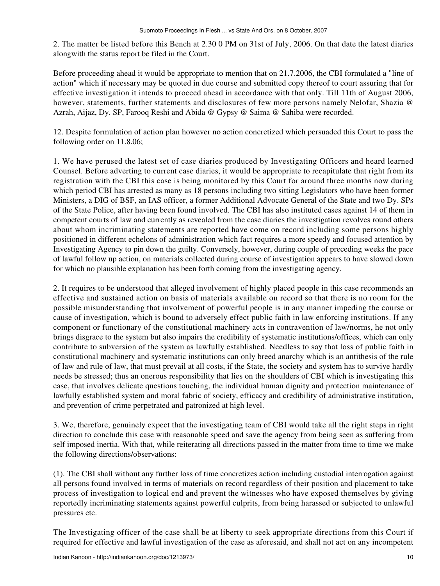2. The matter be listed before this Bench at 2.30 0 PM on 31st of July, 2006. On that date the latest diaries alongwith the status report be filed in the Court.

Before proceeding ahead it would be appropriate to mention that on 21.7.2006, the CBI formulated a "line of action" which if necessary may be quoted in due course and submitted copy thereof to court assuring that for effective investigation it intends to proceed ahead in accordance with that only. Till 11th of August 2006, however, statements, further statements and disclosures of few more persons namely Nelofar, Shazia @ Azrah, Aijaz, Dy. SP, Farooq Reshi and Abida @ Gypsy @ Saima @ Sahiba were recorded.

12. Despite formulation of action plan however no action concretized which persuaded this Court to pass the following order on 11.8.06;

1. We have perused the latest set of case diaries produced by Investigating Officers and heard learned Counsel. Before adverting to current case diaries, it would be appropriate to recapitulate that right from its registration with the CBI this case is being monitored by this Court for around three months now during which period CBI has arrested as many as 18 persons including two sitting Legislators who have been former Ministers, a DIG of BSF, an IAS officer, a former Additional Advocate General of the State and two Dy. SPs of the State Police, after having been found involved. The CBI has also instituted cases against 14 of them in competent courts of law and currently as revealed from the case diaries the investigation revolves round others about whom incriminating statements are reported have come on record including some persons highly positioned in different echelons of administration which fact requires a more speedy and focused attention by Investigating Agency to pin down the guilty. Conversely, however, during couple of preceding weeks the pace of lawful follow up action, on materials collected during course of investigation appears to have slowed down for which no plausible explanation has been forth coming from the investigating agency.

2. It requires to be understood that alleged involvement of highly placed people in this case recommends an effective and sustained action on basis of materials available on record so that there is no room for the possible misunderstanding that involvement of powerful people is in any manner impeding the course or cause of investigation, which is bound to adversely effect public faith in law enforcing institutions. If any component or functionary of the constitutional machinery acts in contravention of law/norms, he not only brings disgrace to the system but also impairs the credibility of systematic institutions/offices, which can only contribute to subversion of the system as lawfully established. Needless to say that loss of public faith in constitutional machinery and systematic institutions can only breed anarchy which is an antithesis of the rule of law and rule of law, that must prevail at all costs, if the State, the society and system has to survive hardly needs be stressed; thus an onerous responsibility that lies on the shoulders of CBI which is investigating this case, that involves delicate questions touching, the individual human dignity and protection maintenance of lawfully established system and moral fabric of society, efficacy and credibility of administrative institution, and prevention of crime perpetrated and patronized at high level.

3. We, therefore, genuinely expect that the investigating team of CBI would take all the right steps in right direction to conclude this case with reasonable speed and save the agency from being seen as suffering from self imposed inertia. With that, while reiterating all directions passed in the matter from time to time we make the following directions/observations:

(1). The CBI shall without any further loss of time concretizes action including custodial interrogation against all persons found involved in terms of materials on record regardless of their position and placement to take process of investigation to logical end and prevent the witnesses who have exposed themselves by giving reportedly incriminating statements against powerful culprits, from being harassed or subjected to unlawful pressures etc.

The Investigating officer of the case shall be at liberty to seek appropriate directions from this Court if required for effective and lawful investigation of the case as aforesaid, and shall not act on any incompetent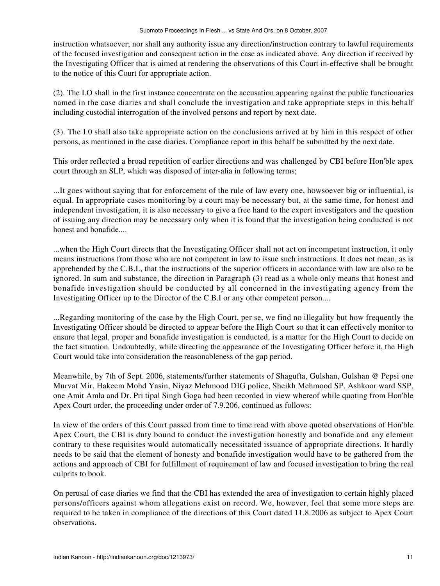instruction whatsoever; nor shall any authority issue any direction/instruction contrary to lawful requirements of the focused investigation and consequent action in the case as indicated above. Any direction if received by the Investigating Officer that is aimed at rendering the observations of this Court in-effective shall be brought to the notice of this Court for appropriate action.

(2). The I.O shall in the first instance concentrate on the accusation appearing against the public functionaries named in the case diaries and shall conclude the investigation and take appropriate steps in this behalf including custodial interrogation of the involved persons and report by next date.

(3). The I.0 shall also take appropriate action on the conclusions arrived at by him in this respect of other persons, as mentioned in the case diaries. Compliance report in this behalf be submitted by the next date.

This order reflected a broad repetition of earlier directions and was challenged by CBI before Hon'ble apex court through an SLP, which was disposed of inter-alia in following terms;

...It goes without saying that for enforcement of the rule of law every one, howsoever big or influential, is equal. In appropriate cases monitoring by a court may be necessary but, at the same time, for honest and independent investigation, it is also necessary to give a free hand to the expert investigators and the question of issuing any direction may be necessary only when it is found that the investigation being conducted is not honest and bonafide....

...when the High Court directs that the Investigating Officer shall not act on incompetent instruction, it only means instructions from those who are not competent in law to issue such instructions. It does not mean, as is apprehended by the C.B.I., that the instructions of the superior officers in accordance with law are also to be ignored. In sum and substance, the direction in Paragraph (3) read as a whole only means that honest and bonafide investigation should be conducted by all concerned in the investigating agency from the Investigating Officer up to the Director of the C.B.I or any other competent person....

...Regarding monitoring of the case by the High Court, per se, we find no illegality but how frequently the Investigating Officer should be directed to appear before the High Court so that it can effectively monitor to ensure that legal, proper and bonafide investigation is conducted, is a matter for the High Court to decide on the fact situation. Undoubtedly, while directing the appearance of the Investigating Officer before it, the High Court would take into consideration the reasonableness of the gap period.

Meanwhile, by 7th of Sept. 2006, statements/further statements of Shagufta, Gulshan, Gulshan @ Pepsi one Murvat Mir, Hakeem Mohd Yasin, Niyaz Mehmood DIG police, Sheikh Mehmood SP, Ashkoor ward SSP, one Amit Amla and Dr. Pri tipal Singh Goga had been recorded in view whereof while quoting from Hon'ble Apex Court order, the proceeding under order of 7.9.206, continued as follows:

In view of the orders of this Court passed from time to time read with above quoted observations of Hon'ble Apex Court, the CBI is duty bound to conduct the investigation honestly and bonafide and any element contrary to these requisites would automatically necessitated issuance of appropriate directions. It hardly needs to be said that the element of honesty and bonafide investigation would have to be gathered from the actions and approach of CBI for fulfillment of requirement of law and focused investigation to bring the real culprits to book.

On perusal of case diaries we find that the CBI has extended the area of investigation to certain highly placed persons/officers against whom allegations exist on record. We, however, feel that some more steps are required to be taken in compliance of the directions of this Court dated 11.8.2006 as subject to Apex Court observations.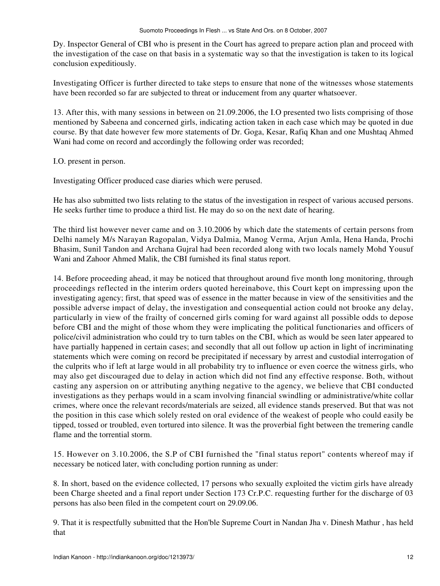Dy. Inspector General of CBI who is present in the Court has agreed to prepare action plan and proceed with the investigation of the case on that basis in a systematic way so that the investigation is taken to its logical conclusion expeditiously.

Investigating Officer is further directed to take steps to ensure that none of the witnesses whose statements have been recorded so far are subjected to threat or inducement from any quarter whatsoever.

13. After this, with many sessions in between on 21.09.2006, the I.O presented two lists comprising of those mentioned by Sabeena and concerned girls, indicating action taken in each case which may be quoted in due course. By that date however few more statements of Dr. Goga, Kesar, Rafiq Khan and one Mushtaq Ahmed Wani had come on record and accordingly the following order was recorded;

I.O. present in person.

Investigating Officer produced case diaries which were perused.

He has also submitted two lists relating to the status of the investigation in respect of various accused persons. He seeks further time to produce a third list. He may do so on the next date of hearing.

The third list however never came and on 3.10.2006 by which date the statements of certain persons from Delhi namely M/s Narayan Ragopalan, Vidya Dalmia, Manog Verma, Arjun Amla, Hena Handa, Prochi Bhasim, Sunil Tandon and Archana Gujral had been recorded along with two locals namely Mohd Yousuf Wani and Zahoor Ahmed Malik, the CBI furnished its final status report.

14. Before proceeding ahead, it may be noticed that throughout around five month long monitoring, through proceedings reflected in the interim orders quoted hereinabove, this Court kept on impressing upon the investigating agency; first, that speed was of essence in the matter because in view of the sensitivities and the possible adverse impact of delay, the investigation and consequential action could not brooke any delay, particularly in view of the frailty of concerned girls coming for ward against all possible odds to depose before CBI and the might of those whom they were implicating the political functionaries and officers of police/civil administration who could try to turn tables on the CBI, which as would be seen later appeared to have partially happened in certain cases; and secondly that all out follow up action in light of incriminating statements which were coming on record be precipitated if necessary by arrest and custodial interrogation of the culprits who if left at large would in all probability try to influence or even coerce the witness girls, who may also get discouraged due to delay in action which did not find any effective response. Both, without casting any aspersion on or attributing anything negative to the agency, we believe that CBI conducted investigations as they perhaps would in a scam involving financial swindling or administrative/white collar crimes, where once the relevant records/materials are seized, all evidence stands preserved. But that was not the position in this case which solely rested on oral evidence of the weakest of people who could easily be tipped, tossed or troubled, even tortured into silence. It was the proverbial fight between the tremering candle flame and the torrential storm.

15. However on 3.10.2006, the S.P of CBI furnished the "final status report" contents whereof may if necessary be noticed later, with concluding portion running as under:

8. In short, based on the evidence collected, 17 persons who sexually exploited the victim girls have already been Charge sheeted and a final report under Section 173 Cr.P.C. requesting further for the discharge of 03 persons has also been filed in the competent court on 29.09.06.

9. That it is respectfully submitted that the Hon'ble Supreme Court in Nandan Jha v. Dinesh Mathur , has held that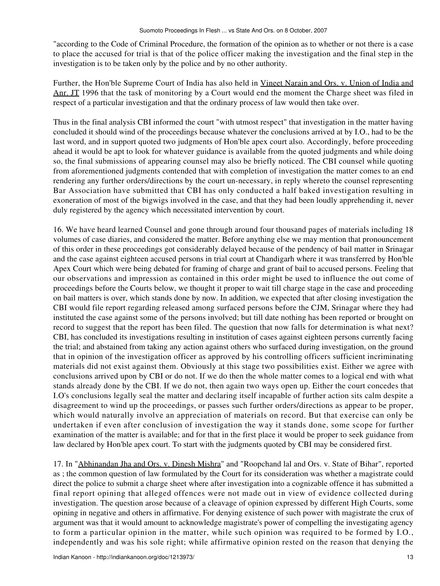"according to the Code of Criminal Procedure, the formation of the opinion as to whether or not there is a case to place the accused for trial is that of the police officer making the investigation and the final step in the investigation is to be taken only by the police and by no other authority.

Further, the Hon'ble Supreme Court of India has also held in Vineet Narain and Ors. v. Union of India and Anr. JT 1996 that the task of monitoring by a Court would end the moment the Charge sheet was filed in respect of a particular investigation and that the ordinary process of law would then take over.

Thus in the final analysis CBI informed the court "with utmost respect" that investigation in the matter having concluded it should wind of the proceedings because whatever the conclusions arrived at by I.O., had to be the last word, and in support quoted two judgments of Hon'ble apex court also. Accordingly, before proceeding ahead it would be apt to look for whatever guidance is available from the quoted judgments and while doing so, the final submissions of appearing counsel may also be briefly noticed. The CBI counsel while quoting from aforementioned judgments contended that with completion of investigation the matter comes to an end rendering any further orders/directions by the court un-necessary, in reply whereto the counsel representing Bar Association have submitted that CBI has only conducted a half baked investigation resulting in exoneration of most of the bigwigs involved in the case, and that they had been loudly apprehending it, never duly registered by the agency which necessitated intervention by court.

16. We have heard learned Counsel and gone through around four thousand pages of materials including 18 volumes of case diaries, and considered the matter. Before anything else we may mention that pronouncement of this order in these proceedings got considerably delayed because of the pendency of bail matter in Srinagar and the case against eighteen accused persons in trial court at Chandigarh where it was transferred by Hon'ble Apex Court which were being debated for framing of charge and grant of bail to accused persons. Feeling that our observations and impression as contained in this order might be used to influence the out come of proceedings before the Courts below, we thought it proper to wait till charge stage in the case and proceeding on bail matters is over, which stands done by now. In addition, we expected that after closing investigation the CBI would file report regarding released among surfaced persons before the CJM, Srinagar where they had instituted the case against some of the persons involved; but till date nothing has been reported or brought on record to suggest that the report has been filed. The question that now falls for determination is what next? CBI, has concluded its investigations resulting in institution of cases against eighteen persons currently facing the trial; and abstained from taking any action against others who surfaced during investigation, on the ground that in opinion of the investigation officer as approved by his controlling officers sufficient incriminating materials did not exist against them. Obviously at this stage two possibilities exist. Either we agree with conclusions arrived upon by CBI or do not. If we do then the whole matter comes to a logical end with what stands already done by the CBI. If we do not, then again two ways open up. Either the court concedes that I.O's conclusions legally seal the matter and declaring itself incapable of further action sits calm despite a disagreement to wind up the proceedings, or passes such further orders/directions as appear to be proper, which would naturally involve an appreciation of materials on record. But that exercise can only be undertaken if even after conclusion of investigation the way it stands done, some scope for further examination of the matter is available; and for that in the first place it would be proper to seek guidance from law declared by Hon'ble apex court. To start with the judgments quoted by CBI may be considered first.

17. In "Abhinandan Jha and Ors. v. Dinesh Mishra" and "Roopchand lal and Ors. v. State of Bihar", reported as ; the common question of law formulated by the Court for its consideration was whether a magistrate could direct the police to submit a charge sheet where after investigation into a cognizable offence it has submitted a final report opining that alleged offences were not made out in view of evidence collected during investigation. The question arose because of a cleavage of opinion expressed by different High Courts, some opining in negative and others in affirmative. For denying existence of such power with magistrate the crux of argument was that it would amount to acknowledge magistrate's power of compelling the investigating agency to form a particular opinion in the matter, while such opinion was required to be formed by I.O., independently and was his sole right; while affirmative opinion rested on the reason that denying the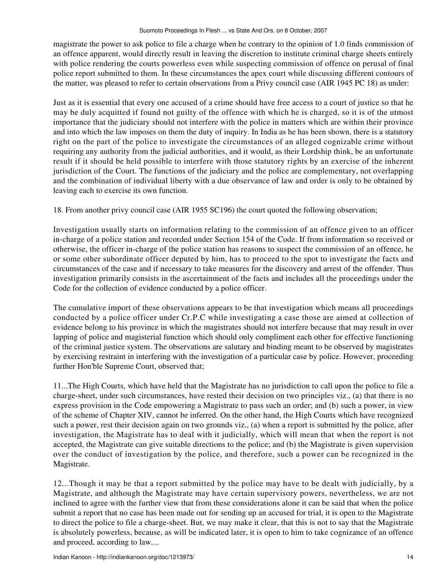magistrate the power to ask police to file a charge when he contrary to the opinion of 1.0 finds commission of an offence apparent, would directly result in leaving the discretion to institute criminal charge sheets entirely with police rendering the courts powerless even while suspecting commission of offence on perusal of final police report submitted to them. In these circumstances the apex court while discussing different contours of the matter, was pleased to refer to certain observations from a Privy council case (AIR 1945 PC 18) as under:

Just as it is essential that every one accused of a crime should have free access to a court of justice so that he may be duly acquitted if found not guilty of the offence with which he is charged, so it is of the utmost importance that the judiciary should not interfere with the police in matters which are within their province and into which the law imposes on them the duty of inquiry. In India as he has been shown, there is a statutory right on the part of the police to investigate the circumstances of an alleged cognizable crime without requiring any authority from the judicial authorities, and it would, as their Lordship think, be an unfortunate result if it should be held possible to interfere with those statutory rights by an exercise of the inherent jurisdiction of the Court. The functions of the judiciary and the police are complementary, not overlapping and the combination of individual liberty with a due observance of law and order is only to be obtained by leaving each to exercise its own function.

18. From another privy council case (AIR 1955 SC196) the court quoted the following observation;

Investigation usually starts on information relating to the commission of an offence given to an officer in-charge of a police station and recorded under Section 154 of the Code. If from information so received or otherwise, the officer in-charge of the police station has reasons to suspect the commission of an offence, he or some other subordinate officer deputed by him, has to proceed to the spot to investigate the facts and circumstances of the case and if necessary to take measures for the discovery and arrest of the offender. Thus investigation primarily consists in the ascertainment of the facts and includes all the proceedings under the Code for the collection of evidence conducted by a police officer.

The cumulative import of these observations appears to be that investigation which means all proceedings conducted by a police officer under Cr.P.C while investigating a case those are aimed at collection of evidence belong to his province in which the magistrates should not interfere because that may result in over lapping of police and magisterial function which should only compliment each other for effective functioning of the criminal justice system. The observations are salutary and binding meant to be observed by magistrates by exercising restraint in interfering with the investigation of a particular case by police. However, proceeding further Hon'ble Supreme Court, observed that;

11...The High Courts, which have held that the Magistrate has no jurisdiction to call upon the police to file a charge-sheet, under such circumstances, have rested their decision on two principles viz., (a) that there is no express provision in the Code empowering a Magistrate to pass such an order; and (b) such a power, in view of the scheme of Chapter XIV, cannot be inferred. On the other hand, the High Courts which have recognized such a power, rest their decision again on two grounds viz., (a) when a report is submitted by the police, after investigation, the Magistrate has to deal with it judicially, which will mean that when the report is not accepted, the Magistrate can give suitable directions to the police; and (b) the Magistrate is given supervision over the conduct of investigation by the police, and therefore, such a power can be recognized in the Magistrate.

12...Though it may be that a report submitted by the police may have to be dealt with judicially, by a Magistrate, and although the Magistrate may have certain supervisory powers, nevertheless, we are not inclined to agree with the further view that from these considerations alone it can be said that when the police submit a report that no case has been made out for sending up an accused for trial, it is open to the Magistrate to direct the police to file a charge-sheet. But, we may make it clear, that this is not to say that the Magistrate is absolutely powerless, because, as will be indicated later, it is open to him to take cognizance of an offence and proceed, according to law....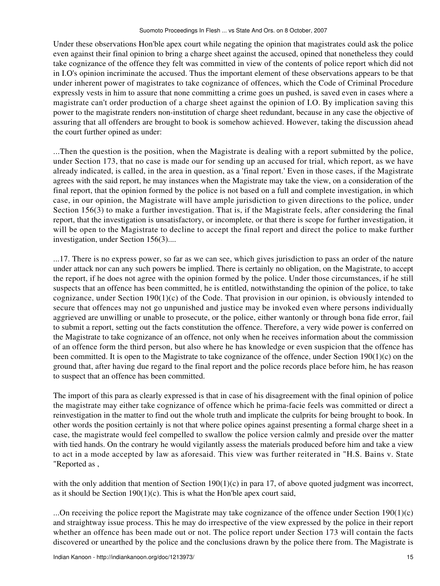Under these observations Hon'ble apex court while negating the opinion that magistrates could ask the police even against their final opinion to bring a charge sheet against the accused, opined that nonetheless they could take cognizance of the offence they felt was committed in view of the contents of police report which did not in I.O's opinion incriminate the accused. Thus the important element of these observations appears to be that under inherent power of magistrates to take cognizance of offences, which the Code of Criminal Procedure expressly vests in him to assure that none committing a crime goes un pushed, is saved even in cases where a magistrate can't order production of a charge sheet against the opinion of I.O. By implication saving this power to the magistrate renders non-institution of charge sheet redundant, because in any case the objective of assuring that all offenders are brought to book is somehow achieved. However, taking the discussion ahead the court further opined as under:

...Then the question is the position, when the Magistrate is dealing with a report submitted by the police, under Section 173, that no case is made our for sending up an accused for trial, which report, as we have already indicated, is called, in the area in question, as a 'final report.' Even in those cases, if the Magistrate agrees with the said report, he may instances when the Magistrate may take the view, on a consideration of the final report, that the opinion formed by the police is not based on a full and complete investigation, in which case, in our opinion, the Magistrate will have ample jurisdiction to given directions to the police, under Section 156(3) to make a further investigation. That is, if the Magistrate feels, after considering the final report, that the investigation is unsatisfactory, or incomplete, or that there is scope for further investigation, it will be open to the Magistrate to decline to accept the final report and direct the police to make further investigation, under Section 156(3)....

...17. There is no express power, so far as we can see, which gives jurisdiction to pass an order of the nature under attack nor can any such powers be implied. There is certainly no obligation, on the Magistrate, to accept the report, if he does not agree with the opinion formed by the police. Under those circumstances, if he still suspects that an offence has been committed, he is entitled, notwithstanding the opinion of the police, to take cognizance, under Section  $190(1)(c)$  of the Code. That provision in our opinion, is obviously intended to secure that offences may not go unpunished and justice may be invoked even where persons individually aggrieved are unwilling or unable to prosecute, or the police, either wantonly or through bona fide error, fail to submit a report, setting out the facts constitution the offence. Therefore, a very wide power is conferred on the Magistrate to take cognizance of an offence, not only when he receives information about the commission of an offence form the third person, but also where he has knowledge or even suspicion that the offence has been committed. It is open to the Magistrate to take cognizance of the offence, under Section 190(1)(c) on the ground that, after having due regard to the final report and the police records place before him, he has reason to suspect that an offence has been committed.

The import of this para as clearly expressed is that in case of his disagreement with the final opinion of police the magistrate may either take cognizance of offence which he prima-facie feels was committed or direct a reinvestigation in the matter to find out the whole truth and implicate the culprits for being brought to book. In other words the position certainly is not that where police opines against presenting a formal charge sheet in a case, the magistrate would feel compelled to swallow the police version calmly and preside over the matter with tied hands. On the contrary he would vigilantly assess the materials produced before him and take a view to act in a mode accepted by law as aforesaid. This view was further reiterated in "H.S. Bains v. State "Reported as ,

with the only addition that mention of Section  $190(1)(c)$  in para 17, of above quoted judgment was incorrect, as it should be Section  $190(1)(c)$ . This is what the Hon'ble apex court said,

...On receiving the police report the Magistrate may take cognizance of the offence under Section 190(1)(c) and straightway issue process. This he may do irrespective of the view expressed by the police in their report whether an offence has been made out or not. The police report under Section 173 will contain the facts discovered or unearthed by the police and the conclusions drawn by the police there from. The Magistrate is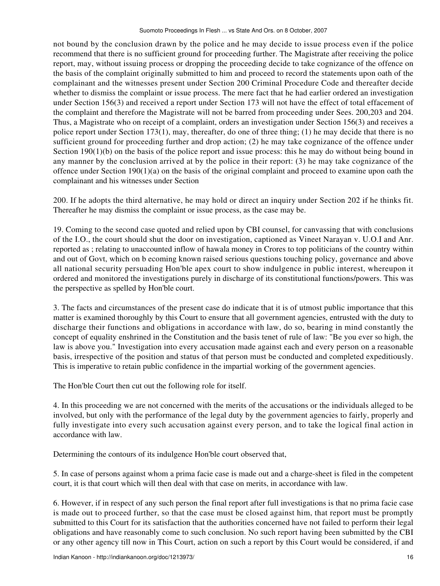not bound by the conclusion drawn by the police and he may decide to issue process even if the police recommend that there is no sufficient ground for proceeding further. The Magistrate after receiving the police report, may, without issuing process or dropping the proceeding decide to take cognizance of the offence on the basis of the complaint originally submitted to him and proceed to record the statements upon oath of the complainant and the witnesses present under Section 200 Criminal Procedure Code and thereafter decide whether to dismiss the complaint or issue process. The mere fact that he had earlier ordered an investigation under Section 156(3) and received a report under Section 173 will not have the effect of total effacement of the complaint and therefore the Magistrate will not be barred from proceeding under Sees. 200,203 and 204. Thus, a Magistrate who on receipt of a complaint, orders an investigation under Section 156(3) and receives a police report under Section 173(1), may, thereafter, do one of three thing; (1) he may decide that there is no sufficient ground for proceeding further and drop action; (2) he may take cognizance of the offence under Section 190(1)(b) on the basis of the police report and issue process: this he may do without being bound in any manner by the conclusion arrived at by the police in their report: (3) he may take cognizance of the offence under Section 190(1)(a) on the basis of the original complaint and proceed to examine upon oath the complainant and his witnesses under Section

200. If he adopts the third alternative, he may hold or direct an inquiry under Section 202 if he thinks fit. Thereafter he may dismiss the complaint or issue process, as the case may be.

19. Coming to the second case quoted and relied upon by CBI counsel, for canvassing that with conclusions of the I.O., the court should shut the door on investigation, captioned as Vineet Narayan v. U.O.I and Anr. reported as ; relating to unaccounted inflow of hawala money in Crores to top politicians of the country within and out of Govt, which on b ecoming known raised serious questions touching policy, governance and above all national security persuading Hon'ble apex court to show indulgence in public interest, whereupon it ordered and monitored the investigations purely in discharge of its constitutional functions/powers. This was the perspective as spelled by Hon'ble court.

3. The facts and circumstances of the present case do indicate that it is of utmost public importance that this matter is examined thoroughly by this Court to ensure that all government agencies, entrusted with the duty to discharge their functions and obligations in accordance with law, do so, bearing in mind constantly the concept of equality enshrined in the Constitution and the basis tenet of rule of law: "Be you ever so high, the law is above you." Investigation into every accusation made against each and every person on a reasonable basis, irrespective of the position and status of that person must be conducted and completed expeditiously. This is imperative to retain public confidence in the impartial working of the government agencies.

The Hon'ble Court then cut out the following role for itself.

4. In this proceeding we are not concerned with the merits of the accusations or the individuals alleged to be involved, but only with the performance of the legal duty by the government agencies to fairly, properly and fully investigate into every such accusation against every person, and to take the logical final action in accordance with law.

Determining the contours of its indulgence Hon'ble court observed that,

5. In case of persons against whom a prima facie case is made out and a charge-sheet is filed in the competent court, it is that court which will then deal with that case on merits, in accordance with law.

6. However, if in respect of any such person the final report after full investigations is that no prima facie case is made out to proceed further, so that the case must be closed against him, that report must be promptly submitted to this Court for its satisfaction that the authorities concerned have not failed to perform their legal obligations and have reasonably come to such conclusion. No such report having been submitted by the CBI or any other agency till now in This Court, action on such a report by this Court would be considered, if and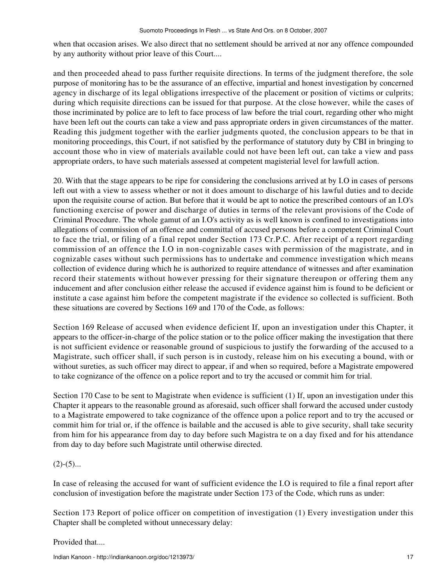when that occasion arises. We also direct that no settlement should be arrived at nor any offence compounded by any authority without prior leave of this Court....

and then proceeded ahead to pass further requisite directions. In terms of the judgment therefore, the sole purpose of monitoring has to be the assurance of an effective, impartial and honest investigation by concerned agency in discharge of its legal obligations irrespective of the placement or position of victims or culprits; during which requisite directions can be issued for that purpose. At the close however, while the cases of those incriminated by police are to left to face process of law before the trial court, regarding other who might have been left out the courts can take a view and pass appropriate orders in given circumstances of the matter. Reading this judgment together with the earlier judgments quoted, the conclusion appears to be that in monitoring proceedings, this Court, if not satisfied by the performance of statutory duty by CBI in bringing to account those who in view of materials available could not have been left out, can take a view and pass appropriate orders, to have such materials assessed at competent magisterial level for lawfull action.

20. With that the stage appears to be ripe for considering the conclusions arrived at by I.O in cases of persons left out with a view to assess whether or not it does amount to discharge of his lawful duties and to decide upon the requisite course of action. But before that it would be apt to notice the prescribed contours of an I.O's functioning exercise of power and discharge of duties in terms of the relevant provisions of the Code of Criminal Procedure. The whole gamut of an I.O's activity as is well known is confined to investigations into allegations of commission of an offence and committal of accused persons before a competent Criminal Court to face the trial, or filing of a final repot under Section 173 Cr.P.C. After receipt of a report regarding commission of an offence the I.O in non-cognizable cases with permission of the magistrate, and in cognizable cases without such permissions has to undertake and commence investigation which means collection of evidence during which he is authorized to require attendance of witnesses and after examination record their statements without however pressing for their signature thereupon or offering them any inducement and after conclusion either release the accused if evidence against him is found to be deficient or institute a case against him before the competent magistrate if the evidence so collected is sufficient. Both these situations are covered by Sections 169 and 170 of the Code, as follows:

Section 169 Release of accused when evidence deficient If, upon an investigation under this Chapter, it appears to the officer-in-charge of the police station or to the police officer making the investigation that there is not sufficient evidence or reasonable ground of suspicious to justify the forwarding of the accused to a Magistrate, such officer shall, if such person is in custody, release him on his executing a bound, with or without sureties, as such officer may direct to appear, if and when so required, before a Magistrate empowered to take cognizance of the offence on a police report and to try the accused or commit him for trial.

Section 170 Case to be sent to Magistrate when evidence is sufficient (1) If, upon an investigation under this Chapter it appears to the reasonable ground as aforesaid, such officer shall forward the accused under custody to a Magistrate empowered to take cognizance of the offence upon a police report and to try the accused or commit him for trial or, if the offence is bailable and the accused is able to give security, shall take security from him for his appearance from day to day before such Magistra te on a day fixed and for his attendance from day to day before such Magistrate until otherwise directed.

## $(2)-(5)...$

In case of releasing the accused for want of sufficient evidence the I.O is required to file a final report after conclusion of investigation before the magistrate under Section 173 of the Code, which runs as under:

Section 173 Report of police officer on competition of investigation (1) Every investigation under this Chapter shall be completed without unnecessary delay:

Provided that....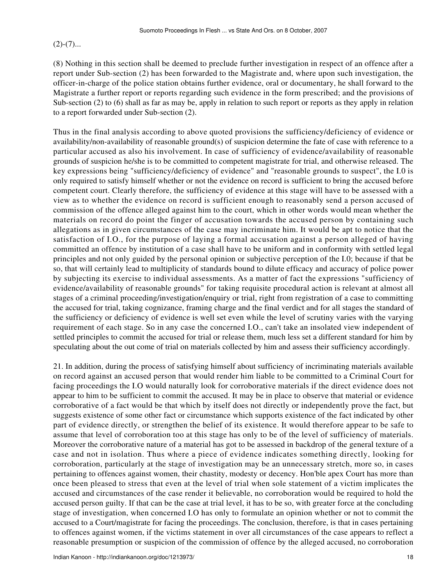$(2)-(7)...$ 

(8) Nothing in this section shall be deemed to preclude further investigation in respect of an offence after a report under Sub-section (2) has been forwarded to the Magistrate and, where upon such investigation, the officer-in-charge of the police station obtains further evidence, oral or documentary, he shall forward to the Magistrate a further report or reports regarding such evidence in the form prescribed; and the provisions of Sub-section (2) to (6) shall as far as may be, apply in relation to such report or reports as they apply in relation to a report forwarded under Sub-section (2).

Thus in the final analysis according to above quoted provisions the sufficiency/deficiency of evidence or availability/non-availability of reasonable ground(s) of suspicion determine the fate of case with reference to a particular accused as also his involvement. In case of sufficiency of evidence/availability of reasonable grounds of suspicion he/she is to be committed to competent magistrate for trial, and otherwise released. The key expressions being "sufficiency/deficiency of evidence" and "reasonable grounds to suspect", the I.0 is only required to satisfy himself whether or not the evidence on record is sufficient to bring the accused before competent court. Clearly therefore, the sufficiency of evidence at this stage will have to be assessed with a view as to whether the evidence on record is sufficient enough to reasonably send a person accused of commission of the offence alleged against him to the court, which in other words would mean whether the materials on record do point the finger of accusation towards the accused person by containing such allegations as in given circumstances of the case may incriminate him. It would be apt to notice that the satisfaction of I.O., for the purpose of laying a formal accusation against a person alleged of having committed an offence by institution of a case shall have to be uniform and in conformity with settled legal principles and not only guided by the personal opinion or subjective perception of the I.0; because if that be so, that will certainly lead to multiplicity of standards bound to dilute efficacy and accuracy of police power by subjecting its exercise to individual assessments. As a matter of fact the expressions "sufficiency of evidence/availability of reasonable grounds" for taking requisite procedural action is relevant at almost all stages of a criminal proceeding/investigation/enquiry or trial, right from registration of a case to committing the accused for trial, taking cognizance, framing charge and the final verdict and for all stages the standard of the sufficiency or deficiency of evidence is well set even while the level of scrutiny varies with the varying requirement of each stage. So in any case the concerned I.O., can't take an insolated view independent of settled principles to commit the accused for trial or release them, much less set a different standard for him by speculating about the out come of trial on materials collected by him and assess their sufficiency accordingly.

21. In addition, during the process of satisfying himself about sufficiency of incriminating materials available on record against an accused person that would render him liable to be committed to a Criminal Court for facing proceedings the I.O would naturally look for corroborative materials if the direct evidence does not appear to him to be sufficient to commit the accused. It may be in place to observe that material or evidence corroborative of a fact would be that which by itself does not directly or independently prove the fact, but suggests existence of some other fact or circumstance which supports existence of the fact indicated by other part of evidence directly, or strengthen the belief of its existence. It would therefore appear to be safe to assume that level of corroboration too at this stage has only to be of the level of sufficiency of materials. Moreover the corroborative nature of a material has got to be assessed in backdrop of the general texture of a case and not in isolation. Thus where a piece of evidence indicates something directly, looking for corroboration, particularly at the stage of investigation may be an unnecessary stretch, more so, in cases pertaining to offences against women, their chastity, modesty or decency. Hon'ble apex Court has more than once been pleased to stress that even at the level of trial when sole statement of a victim implicates the accused and circumstances of the case render it believable, no corroboration would be required to hold the accused person guilty. If that can be the case at trial level, it has to be so, with greater force at the concluding stage of investigation, when concerned I.O has only to formulate an opinion whether or not to commit the accused to a Court/magistrate for facing the proceedings. The conclusion, therefore, is that in cases pertaining to offences against women, if the victims statement in over all circumstances of the case appears to reflect a reasonable presumption or suspicion of the commission of offence by the alleged accused, no corroboration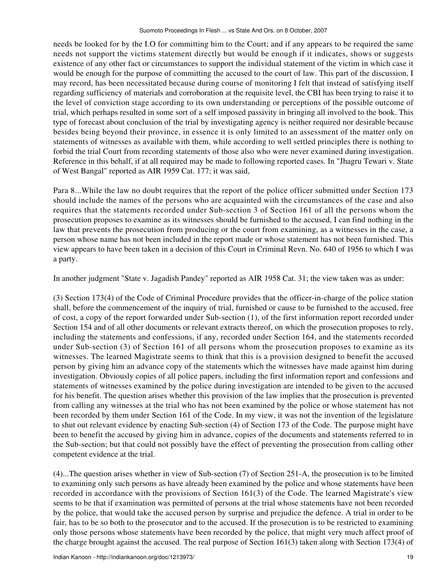needs be looked for by the I.O for committing him to the Court; and if any appears to be required the same needs not support the victims statement directly but would be enough if it indicates, shows or suggests existence of any other fact or circumstances to support the individual statement of the victim in which case it would be enough for the purpose of committing the accused to the court of law. This part of the discussion, I may record, has been necessitated because during course of monitoring I felt that instead of satisfying itself regarding sufficiency of materials and corroboration at the requisite level, the CBI has been trying to raise it to the level of conviction stage according to its own understanding or perceptions of the possible outcome of trial, which perhaps resulted in some sort of a self imposed passivity in bringing all involved to the book. This type of forecast about conclusion of the trial by investigating agency is neither required nor desirable because besides being beyond their province, in essence it is only limited to an assessment of the matter only on statements of witnesses as available with them, while according to well settled principles there is nothing to forbid the trial Court from recording statements of those also who were never examined during investigation. Reference in this behalf, if at all required may be made to following reported cases. In "Jhagru Tewari v. State of West Bangal" reported as AIR 1959 Cat. 177; it was said,

Para 8...While the law no doubt requires that the report of the police officer submitted under Section 173 should include the names of the persons who are acquainted with the circumstances of the case and also requires that the statements recorded under Sub-section 3 of Section 161 of all the persons whom the prosecution proposes to examine as its witnesses should be furnished to the accused, I can find nothing in the law that prevents the prosecution from producing or the court from examining, as a witnesses in the case, a person whose name has not been included in the report made or whose statement has not been furnished. This view appears to have been taken in a decision of this Court in Criminal Revn. No. 640 of 1956 to which I was a party.

In another judgment "State v. Jagadish Pandey" reported as AIR 1958 Cat. 31; the view taken was as under:

(3) Section 173(4) of the Code of Criminal Procedure provides that the officer-in-charge of the police station shall, before the commencement of the inquiry of trial, furnished or cause to be furnished to the accused, free of cost, a copy of the report forwarded under Sub-section (1), of the first information report recorded under Section 154 and of all other documents or relevant extracts thereof, on which the prosecution proposes to rely, including the statements and confessions, if any, recorded under Section 164, and the statements recorded under Sub-section (3) of Section 161 of all persons whom the prosecution proposes to examine as its witnesses. The learned Magistrate seems to think that this is a provision designed to benefit the accused person by giving him an advance copy of the statements which the witnesses have made against him during investigation. Obviously copies of all police papers, including the first information report and confessions and statements of witnesses examined by the police during investigation are intended to be given to the accused for his benefit. The question arises whether this provision of the law implies that the prosecution is prevented from calling any witnesses at the trial who has not been examined by the police or whose statement has not been recorded by them under Section 161 of the Code. In my view, it was not the invention of the legislature to shut out relevant evidence by enacting Sub-section (4) of Section 173 of the Code. The purpose might have been to benefit the accused by giving him in advance, copies of the documents and statements referred to in the Sub-section; but that could not possibly have the effect of preventing the prosecution from calling other competent evidence at the trial.

(4)...The question arises whether in view of Sub-section (7) of Section 251-A, the prosecution is to be limited to examining only such persons as have already been examined by the police and whose statements have been recorded in accordance with the provisions of Section 161(3) of the Code. The learned Magistrate's view seems to be that if examination was permitted of persons at the trial whose statements have not been recorded by the police, that would take the accused person by surprise and prejudice the defence. A trial in order to be fair, has to be so both to the prosecutor and to the accused. If the prosecution is to be restricted to examining only those persons whose statements have been recorded by the police, that might very much affect proof of the charge brought against the accused. The real purpose of Section 161(3) taken along with Section 173(4) of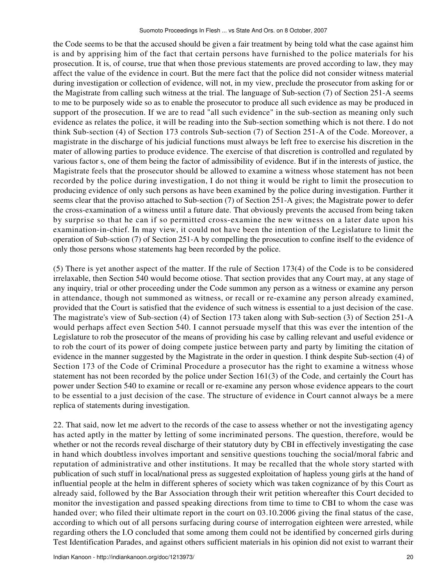the Code seems to be that the accused should be given a fair treatment by being told what the case against him is and by apprising him of the fact that certain persons have furnished to the police materials for his prosecution. It is, of course, true that when those previous statements are proved according to law, they may affect the value of the evidence in court. But the mere fact that the police did not consider witness material during investigation or collection of evidence, will not, in my view, preclude the prosecutor from asking for or the Magistrate from calling such witness at the trial. The language of Sub-section (7) of Section 251-A seems to me to be purposely wide so as to enable the prosecutor to produce all such evidence as may be produced in support of the prosecution. If we are to read "all such evidence" in the sub-section as meaning only such evidence as relates the police, it will be reading into the Sub-section something which is not there. I do not think Sub-section (4) of Section 173 controls Sub-section (7) of Section 251-A of the Code. Moreover, a magistrate in the discharge of his judicial functions must always be left free to exercise his discretion in the mater of allowing parties to produce evidence. The exercise of that discretion is controlled and regulated by various factor s, one of them being the factor of admissibility of evidence. But if in the interests of justice, the Magistrate feels that the prosecutor should be allowed to examine a witness whose statement has not been recorded by the police during investigation, I do not thing it would be right to limit the prosecution to producing evidence of only such persons as have been examined by the police during investigation. Further it seems clear that the proviso attached to Sub-section (7) of Section 251-A gives; the Magistrate power to defer the cross-examination of a witness until a future date. That obviously prevents the accused from being taken by surprise so that he can if so permitted cross-examine the new witness on a later date upon his examination-in-chief. In may view, it could not have been the intention of the Legislature to limit the operation of Sub-sction (7) of Section 251-A by compelling the prosecution to confine itself to the evidence of only those persons whose statements hag been recorded by the police.

(5) There is yet another aspect of the matter. If the rule of Section 173(4) of the Code is to be considered irrelaxable, then Section 540 would become otiose. That section provides that any Court may, at any stage of any inquiry, trial or other proceeding under the Code summon any person as a witness or examine any person in attendance, though not summoned as witness, or recall or re-examine any person already examined, provided that the Court is satisfied that the evidence of such witness is essential to a just decision of the case. The magistrate's view of Sub-section (4) of Section 173 taken along with Sub-section (3) of Section 251-A would perhaps affect even Section 540. I cannot persuade myself that this was ever the intention of the Legislature to rob the prosecutor of the means of providing his case by calling relevant and useful evidence or to rob the court of its power of doing compete justice between party and party by limiting the citation of evidence in the manner suggested by the Magistrate in the order in question. I think despite Sub-section (4) of Section 173 of the Code of Criminal Procedure a prosecutor has the right to examine a witness whose statement has not been recorded by the police under Section 161(3) of the Code, and certainly the Court has power under Section 540 to examine or recall or re-examine any person whose evidence appears to the court to be essential to a just decision of the case. The structure of evidence in Court cannot always be a mere replica of statements during investigation.

22. That said, now let me advert to the records of the case to assess whether or not the investigating agency has acted aptly in the matter by letting of some incriminated persons. The question, therefore, would be whether or not the records reveal discharge of their statutory duty by CBI in effectively investigating the case in hand which doubtless involves important and sensitive questions touching the social/moral fabric and reputation of administrative and other institutions. It may be recalled that the whole story started with publication of such stuff in local/national press as suggested exploitation of hapless young girls at the hand of influential people at the helm in different spheres of society which was taken cognizance of by this Court as already said, followed by the Bar Association through their writ petition whereafter this Court decided to monitor the investigation and passed speaking directions from time to time to CBI to whom the case was handed over; who filed their ultimate report in the court on 03.10.2006 giving the final status of the case, according to which out of all persons surfacing during course of interrogation eighteen were arrested, while regarding others the I.O concluded that some among them could not be identified by concerned girls during Test Identification Parades, and against others sufficient materials in his opinion did not exist to warrant their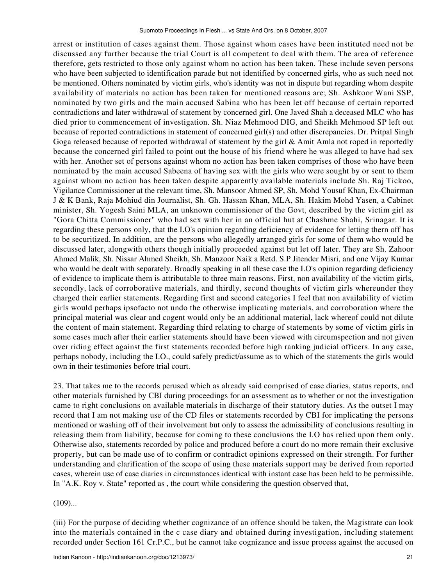arrest or institution of cases against them. Those against whom cases have been instituted need not be discussed any further because the trial Court is all competent to deal with them. The area of reference therefore, gets restricted to those only against whom no action has been taken. These include seven persons who have been subjected to identification parade but not identified by concerned girls, who as such need not be mentioned. Others nominated by victim girls, who's identity was not in dispute but regarding whom despite availability of materials no action has been taken for mentioned reasons are; Sh. Ashkoor Wani SSP, nominated by two girls and the main accused Sabina who has been let off because of certain reported contradictions and later withdrawal of statement by concerned girl. One Javed Shah a deceased MLC who has died prior to commencement of investigation. Sh. Niaz Mehmood DIG, and Sheikh Mehmood SP left out because of reported contradictions in statement of concerned girl(s) and other discrepancies. Dr. Pritpal Singh Goga released because of reported withdrawal of statement by the girl & Amit Amla not roped in reportedly because the concerned girl failed to point out the house of his friend where he was alleged to have had sex with her. Another set of persons against whom no action has been taken comprises of those who have been nominated by the main accused Sabeena of having sex with the girls who were sought by or sent to them against whom no action has been taken despite apparently available materials include Sh. Raj Tickoo, Vigilance Commissioner at the relevant time, Sh. Mansoor Ahmed SP, Sh. Mohd Yousuf Khan, Ex-Chairman J & K Bank, Raja Mohiud din Journalist, Sh. Gh. Hassan Khan, MLA, Sh. Hakim Mohd Yasen, a Cabinet minister, Sh. Yogesh Saini MLA, an unknown commissioner of the Govt, described by the victim girl as "Gora Chitta Commissioner" who had sex with her in an official hut at Chashme Shahi, Srinagar. It is regarding these persons only, that the I.O's opinion regarding deficiency of evidence for letting thern off has to be securitized. In addition, are the persons who allegedly arranged girls for some of them who would be discussed later, alongwith others though initially proceeded against but let off later. They are Sh. Zahoor Ahmed Malik, Sh. Nissar Ahmed Sheikh, Sh. Manzoor Naik a Retd. S.P Jitender Misri, and one Vijay Kumar who would be dealt with separately. Broadly speaking in all these case the I.O's opinion regarding deficiency of evidence to implicate them is attributable to three main reasons. First, non availability of the victim girls, secondly, lack of corroborative materials, and thirdly, second thoughts of victim girls whereunder they charged their earlier statements. Regarding first and second categories I feel that non availability of victim girls would perhaps ipsofacto not undo the otherwise implicating materials, and corroboration where the principal material was clear and cogent would only be an additional material, lack whereof could not dilute the content of main statement. Regarding third relating to charge of statements by some of victim girls in some cases much after their earlier statements should have been viewed with circumspection and not given over riding effect against the first statements recorded before high ranking judicial officers. In any case, perhaps nobody, including the I.O., could safely predict/assume as to which of the statements the girls would own in their testimonies before trial court.

23. That takes me to the records perused which as already said comprised of case diaries, status reports, and other materials furnished by CBI during proceedings for an assessment as to whether or not the investigation came to right conclusions on available materials in discharge of their statutory duties. As the outset I may record that I am not making use of the CD files or statements recorded by CBI for implicating the persons mentioned or washing off of their involvement but only to assess the admissibility of conclusions resulting in releasing them from liability, because for coming to these conclusions the I.O has relied upon them only. Otherwise also, statements recorded by police and produced before a court do no more remain their exclusive property, but can be made use of to confirm or contradict opinions expressed on their strength. For further understanding and clarification of the scope of using these materials support may be derived from reported cases, wherein use of case diaries in circumstances identical with instant case has been held to be permissible. In "A.K. Roy v. State" reported as , the court while considering the question observed that,

 $(109)...$ 

(iii) For the purpose of deciding whether cognizance of an offence should be taken, the Magistrate can look into the materials contained in the c case diary and obtained during investigation, including statement recorded under Section 161 Cr.P.C., but he cannot take cognizance and issue process against the accused on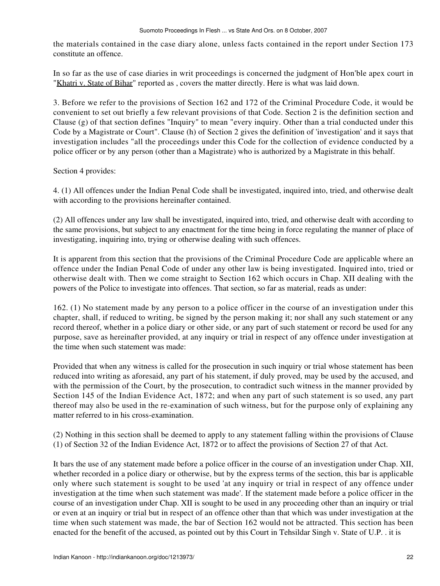the materials contained in the case diary alone, unless facts contained in the report under Section 173 constitute an offence.

In so far as the use of case diaries in writ proceedings is concerned the judgment of Hon'ble apex court in "Khatri v. State of Bihar" reported as , covers the matter directly. Here is what was laid down.

3. Before we refer to the provisions of Section 162 and 172 of the Criminal Procedure Code, it would be convenient to set out briefly a few relevant provisions of that Code. Section 2 is the definition section and Clause (g) of that section defines "Inquiry" to mean "every inquiry. Other than a trial conducted under this Code by a Magistrate or Court". Clause (h) of Section 2 gives the definition of 'investigation' and it says that investigation includes "all the proceedings under this Code for the collection of evidence conducted by a police officer or by any person (other than a Magistrate) who is authorized by a Magistrate in this behalf.

Section 4 provides:

4. (1) All offences under the Indian Penal Code shall be investigated, inquired into, tried, and otherwise dealt with according to the provisions hereinafter contained.

(2) All offences under any law shall be investigated, inquired into, tried, and otherwise dealt with according to the same provisions, but subject to any enactment for the time being in force regulating the manner of place of investigating, inquiring into, trying or otherwise dealing with such offences.

It is apparent from this section that the provisions of the Criminal Procedure Code are applicable where an offence under the Indian Penal Code of under any other law is being investigated. Inquired into, tried or otherwise dealt with. Then we come straight to Section 162 which occurs in Chap. XII dealing with the powers of the Police to investigate into offences. That section, so far as material, reads as under:

162. (1) No statement made by any person to a police officer in the course of an investigation under this chapter, shall, if reduced to writing, be signed by the person making it; nor shall any such statement or any record thereof, whether in a police diary or other side, or any part of such statement or record be used for any purpose, save as hereinafter provided, at any inquiry or trial in respect of any offence under investigation at the time when such statement was made:

Provided that when any witness is called for the prosecution in such inquiry or trial whose statement has been reduced into writing as aforesaid, any part of his statement, if duly proved, may be used by the accused, and with the permission of the Court, by the prosecution, to contradict such witness in the manner provided by Section 145 of the Indian Evidence Act, 1872; and when any part of such statement is so used, any part thereof may also be used in the re-examination of such witness, but for the purpose only of explaining any matter referred to in his cross-examination.

(2) Nothing in this section shall be deemed to apply to any statement falling within the provisions of Clause (1) of Section 32 of the Indian Evidence Act, 1872 or to affect the provisions of Section 27 of that Act.

It bars the use of any statement made before a police officer in the course of an investigation under Chap. XII, whether recorded in a police diary or otherwise, but by the express terms of the section, this bar is applicable only where such statement is sought to be used 'at any inquiry or trial in respect of any offence under investigation at the time when such statement was made'. If the statement made before a police officer in the course of an investigation under Chap. XII is sought to be used in any proceeding other than an inquiry or trial or even at an inquiry or trial but in respect of an offence other than that which was under investigation at the time when such statement was made, the bar of Section 162 would not be attracted. This section has been enacted for the benefit of the accused, as pointed out by this Court in Tehsildar Singh v. State of U.P. . it is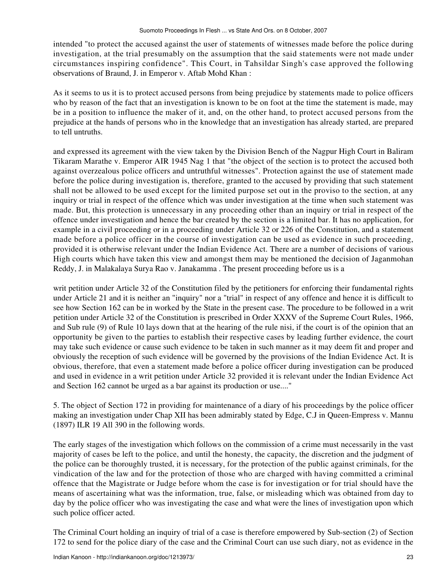intended "to protect the accused against the user of statements of witnesses made before the police during investigation, at the trial presumably on the assumption that the said statements were not made under circumstances inspiring confidence". This Court, in Tahsildar Singh's case approved the following observations of Braund, J. in Emperor v. Aftab Mohd Khan :

As it seems to us it is to protect accused persons from being prejudice by statements made to police officers who by reason of the fact that an investigation is known to be on foot at the time the statement is made, may be in a position to influence the maker of it, and, on the other hand, to protect accused persons from the prejudice at the hands of persons who in the knowledge that an investigation has already started, are prepared to tell untruths.

and expressed its agreement with the view taken by the Division Bench of the Nagpur High Court in Baliram Tikaram Marathe v. Emperor AIR 1945 Nag 1 that "the object of the section is to protect the accused both against overzealous police officers and untruthful witnesses". Protection against the use of statement made before the police during investigation is, therefore, granted to the accused by providing that such statement shall not be allowed to be used except for the limited purpose set out in the proviso to the section, at any inquiry or trial in respect of the offence which was under investigation at the time when such statement was made. But, this protection is unnecessary in any proceeding other than an inquiry or trial in respect of the offence under investigation and hence the bar created by the section is a limited bar. It has no application, for example in a civil proceeding or in a proceeding under Article 32 or 226 of the Constitution, and a statement made before a police officer in the course of investigation can be used as evidence in such proceeding, provided it is otherwise relevant under the Indian Evidence Act. There are a number of decisions of various High courts which have taken this view and amongst them may be mentioned the decision of Jaganmohan Reddy, J. in Malakalaya Surya Rao v. Janakamma . The present proceeding before us is a

writ petition under Article 32 of the Constitution filed by the petitioners for enforcing their fundamental rights under Article 21 and it is neither an "inquiry" nor a "trial" in respect of any offence and hence it is difficult to see how Section 162 can be in worked by the State in the present case. The procedure to be followed in a writ petition under Article 32 of the Constitution is prescribed in Order XXXV of the Supreme Court Rules, 1966, and Sub rule (9) of Rule 10 lays down that at the hearing of the rule nisi, if the court is of the opinion that an opportunity be given to the parties to establish their respective cases by leading further evidence, the court may take such evidence or cause such evidence to be taken in such manner as it may deem fit and proper and obviously the reception of such evidence will be governed by the provisions of the Indian Evidence Act. It is obvious, therefore, that even a statement made before a police officer during investigation can be produced and used in evidence in a writ petition under Article 32 provided it is relevant under the Indian Evidence Act and Section 162 cannot be urged as a bar against its production or use...."

5. The object of Section 172 in providing for maintenance of a diary of his proceedings by the police officer making an investigation under Chap XII has been admirably stated by Edge, C.J in Queen-Empress v. Mannu (1897) ILR 19 All 390 in the following words.

The early stages of the investigation which follows on the commission of a crime must necessarily in the vast majority of cases be left to the police, and until the honesty, the capacity, the discretion and the judgment of the police can be thoroughly trusted, it is necessary, for the protection of the public against criminals, for the vindication of the law and for the protection of those who are charged with having committed a criminal offence that the Magistrate or Judge before whom the case is for investigation or for trial should have the means of ascertaining what was the information, true, false, or misleading which was obtained from day to day by the police officer who was investigating the case and what were the lines of investigation upon which such police officer acted.

The Criminal Court holding an inquiry of trial of a case is therefore empowered by Sub-section (2) of Section 172 to send for the police diary of the case and the Criminal Court can use such diary, not as evidence in the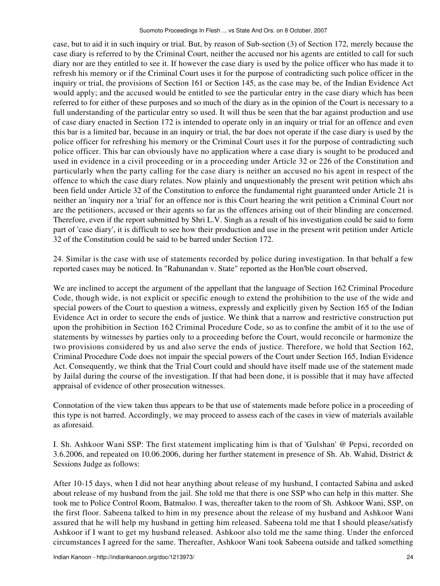case, but to aid it in such inquiry or trial. But, by reason of Sub-section (3) of Section 172, merely because the case diary is referred to by the Criminal Court, neither the accused nor his agents are entitled to call for such diary nor are they entitled to see it. If however the case diary is used by the police officer who has made it to refresh his memory or if the Criminal Court uses it for the purpose of contradicting such police officer in the inquiry or trial, the provisions of Section 161 or Section 145, as the case may be, of the Indian Evidence Act would apply; and the accused would be entitled to see the particular entry in the case diary which has been referred to for either of these purposes and so much of the diary as in the opinion of the Court is necessary to a full understanding of the particular entry so used. It will thus be seen that the bar against production and use of case diary enacted in Section 172 is intended to operate only in an inquiry or trial for an offence and even this bar is a limited bar, because in an inquiry or trial, the bar does not operate if the case diary is used by the police officer for refreshing his memory or the Criminal Court uses it for the purpose of contradicting such police officer. This bar can obviously have no application where a case diary is sought to be produced and used in evidence in a civil proceeding or in a proceeding under Article 32 or 226 of the Constitution and particularly when the party calling for the case diary is neither an accused no his agent in respect of the offence to which the case diary relates. Now plainly and unquestionably the present writ petition which ahs been field under Article 32 of the Constitution to enforce the fundamental right guaranteed under Article 21 is neither an 'inquiry nor a 'trial' for an offence nor is this Court hearing the writ petition a Criminal Court nor are the petitioners, accused or their agents so far as the offences arising out of their blinding are concerned. Therefore, even if the report submitted by Shri L.V. Singh as a result of his investigation could be said to form part of 'case diary', it is difficult to see how their production and use in the present writ petition under Article 32 of the Constitution could be said to be barred under Section 172.

24. Similar is the case with use of statements recorded by police during investigation. In that behalf a few reported cases may be noticed. In "Rahunandan v. State" reported as the Hon'ble court observed,

We are inclined to accept the argument of the appellant that the language of Section 162 Criminal Procedure Code, though wide, is not explicit or specific enough to extend the prohibition to the use of the wide and special powers of the Court to question a witness, expressly and explicitly given by Section 165 of the Indian Evidence Act in order to secure the ends of justice. We think that a narrow and restrictive construction put upon the prohibition in Section 162 Criminal Procedure Code, so as to confine the ambit of it to the use of statements by witnesses by parties only to a proceeding before the Court, would reconcile or harmonize the two provisions considered by us and also serve the ends of justice. Therefore, we hold that Section 162, Criminal Procedure Code does not impair the special powers of the Court under Section 165, Indian Evidence Act. Consequently, we think that the Trial Court could and should have itself made use of the statement made by Jailal during the course of the investigation. If that had been done, it is possible that it may have affected appraisal of evidence of other prosecution witnesses.

Connotation of the view taken thus appears to be that use of statements made before police in a proceeding of this type is not barred. Accordingly, we may proceed to assess each of the cases in view of materials available as aforesaid.

I. Sh. Ashkoor Wani SSP: The first statement implicating him is that of 'Gulshan' @ Pepsi, recorded on 3.6.2006, and repeated on 10.06.2006, during her further statement in presence of Sh. Ab. Wahid, District & Sessions Judge as follows:

After 10-15 days, when I did not hear anything about release of my husband, I contacted Sabina and asked about release of my husband from the jail. She told me that there is one SSP who can help in this matter. She took me to Police Control Room, Batmaloo. I was, thereafter taken to the room of Sh. Ashkoor Wani, SSP, on the first floor. Sabeena talked to him in my presence about the release of my husband and Ashkoor Wani assured that he will help my husband in getting him released. Sabeena told me that I should please/satisfy Ashkoor if I want to get my husband released. Ashkoor also told me the same thing. Under the enforced circumstances I agreed for the same. Thereafter, Ashkoor Wani took Sabeena outside and talked something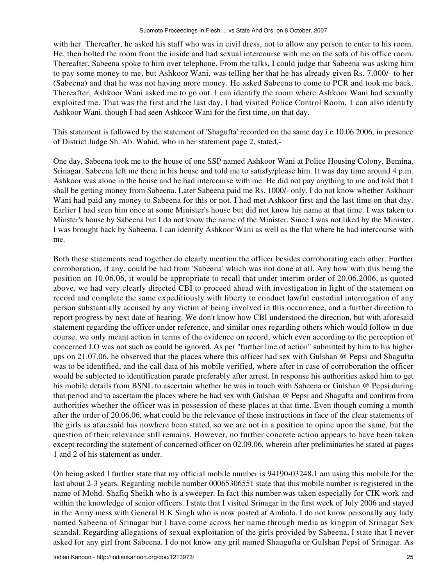with her. Thereafter, he asked his staff who was in civil dress, not to allow any person to enter to his room. He, then bolted the room from the inside and had sexual intercourse with me on the sofa of his office room. Thereafter, Sabeena spoke to him over telephone. From the talks, I could judge that Sabeena was asking him to pay some money to me, but Ashkoor Wani, was telling her that he has already given Rs. 7,000/- to her (Sabeena) and that he was not having more money. He asked Sabeena to come to PCR and took me back. Thereafter, Ashkoor Wani asked me to go out. I can identify the room where Ashkoor Wani had sexually exploited me. That was the first and the last day, I had visited Police Control Room. 1 can also identify Ashkoor Wani, though I had seen Ashkoor Wani for the first time, on that day.

This statement is followed by the statement of 'Shagufta' recorded on the same day i.e 10.06.2006, in presence of District Judge Sh. Ab. Wahid, who in her statement page 2, stated,-

One day, Sabeena took me to the house of one SSP named Ashkoor Wani at Police Housing Colony, Bemina, Srinagar. Sabeena left me there in his house and told me to satisfy/please him. It was day time around 4 p.m. Ashkoor was alone in the house and he had intercourse with me. He did not pay anything to me and told that I shall be getting money from Sabeena. Later Sabeena paid me Rs. 1000/- only. I do not know whether Askhoor Wani had paid any money to Sabeena for this or not. I had met Ashkoor first and the last time on that day. Earlier I had seen him once at some Minister's house but did not know his name at that time. I was taken to Minster's house by Sabeena but I do not know the name of the Minister. Since I was not liked by the Minister, I was brought back by Sabeena. I can identify Ashkoor Wani as well as the flat where he had intercourse with me.

Both these statements read together do clearly mention the officer besides corroborating each other. Further corroboration, if any, could be had from 'Sabeena' which was not done at all. Any how with this being the position on 10.06.06, it would be appropriate to recall that under interim order of 20.06.2006, as quoted above, we had very clearly directed CBI to proceed ahead with investigation in light of the statement on record and complete the same expeditiously with liberty to conduct lawful custodial interrogation of any person substantially accused by any victim of being involved in this occurrence, and a further direction to report progress by next date of hearing. We don't know how CBI understood the direction, but with aforesaid statement regarding the officer under reference, and similar ones regarding others which would follow in due course, we only meant action in terms of the evidence on record, which even according to the perception of concerned I.O was not such as could be ignored. As per "further line of action" submitted by him to his higher ups on 21.07.06, he observed that the places where this officer had sex with Gulshan @ Pepsi and Shagufta was to be identified, and the call data of his mobile verified, where after in case of corroboration the officer would be subjected to identification parade preferably after arrest. In response his authorities asked him to get his mobile details from BSNL to ascertain whether he was in touch with Sabeena or Gulshan @ Pepsi during that period and to ascertain the places where he had sex with Gulshan @ Pepsi and Shagufta and confirm from authorities whether the officer was in possession of these places at that time. Even though coming a month after the order of 20.06.06, what could be the relevance of these instructions in face of the clear statements of the girls as aforesaid has nowhere been stated, so we are not in a position to opine upon the same, but the question of their relevance still remains. However, no further concrete action appears to have been taken except recording the statement of concerned officer on 02.09.06, wherein after preliminaries he stated at pages 1 and 2 of his statement as under.

On being asked I further state that my official mobile number is 94190-03248.1 am using this mobile for the last about 2-3 years. Regarding mobile number 00065306551 state that this mobile number is registered in the name of Mohd. Shafiq Sheikh who is a sweeper. In fact this number was taken especially for CIK work and within the knowledge of senior officers. I state that I visited Srinagar in the first week of July 2006 and stayed in the Army mess with General B.K Singh who is now posted at Ambala. I do not know personally any lady named Sabeena of Srinagar but I have come across her name through media as kingpin of Srinagar Sex scandal. Regarding allegations of sexual exploitation of the girls provided by Sabeena, I state that I never asked for any girl from Sabeena. I do not know any gril named Shaugufta or Gulshan Pepsi of Srinagar. As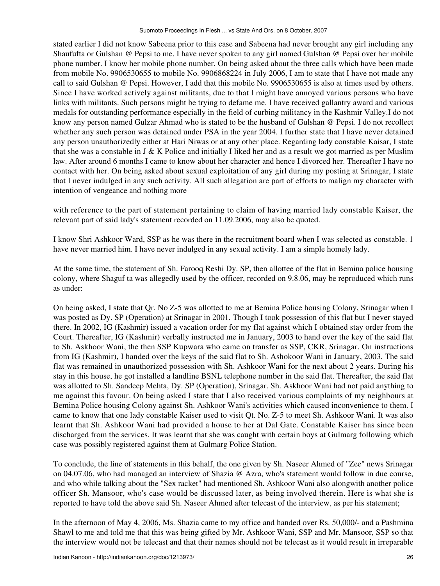stated earlier I did not know Sabeena prior to this case and Sabeena had never brought any girl including any Shaufufta or Gulshan @ Pepsi to me. I have never spoken to any girl named Gulshan @ Pepsi over her mobile phone number. I know her mobile phone number. On being asked about the three calls which have been made from mobile No. 9906530655 to mobile No. 9906868224 in July 2006, I am to state that I have not made any call to said Gulshan @ Pepsi. However, I add that this mobile No. 9906530655 is also at times used by others. Since I have worked actively against militants, due to that I might have annoyed various persons who have links with militants. Such persons might be trying to defame me. I have received gallantry award and various medals for outstanding performance especially in the field of curbing militancy in the Kashmir Valley.I do not know any person named Gulzar Ahmad who is stated to be the husband of Gulshan @ Pepsi. I do not recollect whether any such person was detained under PSA in the year 2004. I further state that I have never detained any person unauthorizedly either at Hari Niwas or at any other place. Regarding lady constable Kaisar, I state that she was a constable in J & K Police and initially I liked her and as a result we got married as per Muslim law. After around 6 months I came to know about her character and hence I divorced her. Thereafter I have no contact with her. On being asked about sexual exploitation of any girl during my posting at Srinagar, I state that I never indulged in any such activity. All such allegation are part of efforts to malign my character with intention of vengeance and nothing more

with reference to the part of statement pertaining to claim of having married lady constable Kaiser, the relevant part of said lady's statement recorded on 11.09.2006, may also be quoted.

I know Shri Ashkoor Ward, SSP as he was there in the recruitment board when I was selected as constable. 1 have never married him. I have never indulged in any sexual activity. I am a simple homely lady.

At the same time, the statement of Sh. Farooq Reshi Dy. SP, then allottee of the flat in Bemina police housing colony, where Shaguf ta was allegedly used by the officer, recorded on 9.8.06, may be reproduced which runs as under:

On being asked, I state that Qr. No Z-5 was allotted to me at Bemina Police housing Colony, Srinagar when I was posted as Dy. SP (Operation) at Srinagar in 2001. Though I took possession of this flat but I never stayed there. In 2002, IG (Kashmir) issued a vacation order for my flat against which I obtained stay order from the Court. Thereafter, IG (Kashmir) verbally instructed me in January, 2003 to hand over the key of the said flat to Sh. Askhoor Wani, the then SSP Kupwara who came on transfer as SSP, CKR, Srinagar. On instructions from IG (Kashmir), I handed over the keys of the said flat to Sh. Ashokoor Wani in January, 2003. The said flat was remained in unauthorized possession with Sh. Ashkoor Wani for the next about 2 years. During his stay in this house, he got installed a landline BSNL telephone number in the said flat. Thereafter, the said flat was allotted to Sh. Sandeep Mehta, Dy. SP (Operation), Srinagar. Sh. Askhoor Wani had not paid anything to me against this favour. On being asked I state that I also received various complaints of my neighbours at Bemina Police housing Colony against Sh. Ashkoor Wani's activities which caused inconvenience to them. I came to know that one lady constable Kaiser used to visit Qt. No. Z-5 to meet Sh. Ashkoor Wani. It was also learnt that Sh. Ashkoor Wani had provided a house to her at Dal Gate. Constable Kaiser has since been discharged from the services. It was learnt that she was caught with certain boys at Gulmarg following which case was possibly registered against them at Gulmarg Police Station.

To conclude, the line of statements in this behalf, the one given by Sh. Naseer Ahmed of "Zee" news Srinagar on 04.07.06, who had managed an interview of Shazia @ Azra, who's statement would follow in due course, and who while talking about the "Sex racket" had mentioned Sh. Ashkoor Wani also alongwith another police officer Sh. Mansoor, who's case would be discussed later, as being involved therein. Here is what she is reported to have told the above said Sh. Naseer Ahmed after telecast of the interview, as per his statement;

In the afternoon of May 4, 2006, Ms. Shazia came to my office and handed over Rs. 50,000/- and a Pashmina Shawl to me and told me that this was being gifted by Mr. Ashkoor Wani, SSP and Mr. Mansoor, SSP so that the interview would not be telecast and that their names should not be telecast as it would result in irreparable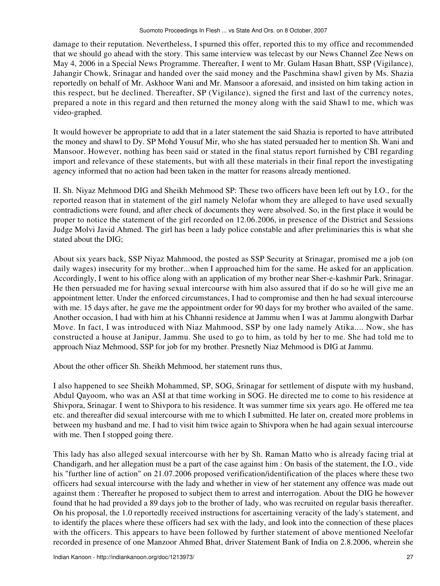damage to their reputation. Nevertheless, I spurned this offer, reported this to my office and recommended that we should go ahead with the story. This same interview was telecast by our News Channel Zee News on May 4, 2006 in a Special News Programme. Thereafter, I went to Mr. Gulam Hasan Bhatt, SSP (Vigilance), Jahangir Chowk, Srinagar and handed over the said money and the Paschmina shawl given by Ms. Shazia reportedly on behalf of Mr. Askhoor Wani and Mr. Mansoor a aforesaid, and insisted on him taking action in this respect, but he declined. Thereafter, SP (Vigilance), signed the first and last of the currency notes, prepared a note in this regard and then returned the money along with the said Shawl to me, which was video-graphed.

It would however be appropriate to add that in a later statement the said Shazia is reported to have attributed the money and shawl to Dy. SP Mohd Yousuf Mir, who she has stated persuaded her to mention Sh. Wani and Mansoor. However, nothing has been said or stated in the final status report furnished by CBI regarding import and relevance of these statements, but with all these materials in their final report the investigating agency informed that no action had been taken in the matter for reasons already mentioned.

II. Sh. Niyaz Mehmood DIG and Sheikh Mehmood SP: These two officers have been left out by I.O., for the reported reason that in statement of the girl namely Nelofar whom they are alleged to have used sexually contradictions were found, and after check of documents they were absolved. So, in the first place it would be proper to notice the statement of the girl recorded on 12.06.2006, in presence of the District and Sessions Judge Molvi Javid Ahmed. The girl has been a lady police constable and after preliminaries this is what she stated about the DIG;

About six years back, SSP Niyaz Mahmood, the posted as SSP Security at Srinagar, promised me a job (on daily wages) insecurity for my brother...when I approached him for the same. He asked for an application. Accordingly, I went to his office along with an application of my brother near Sher-e-kashmir Park, Srinagar. He then persuaded me for having sexual intercourse with him also assured that if do so he will give me an appointment letter. Under the enforced circumstances, I had to compromise and then he had sexual intercourse with me. 15 days after, he gave me the appointment order for 90 days for my brother who availed of the same. Another occasion, I had with him at his Chhanni residence at Jammu when I was at Jammu alongwith Darbar Move. In fact, I was introduced with Niaz Mahmood, SSP by one lady namely Atika.... Now, she has constructed a house at Janipur, Jammu. She used to go to him, as told by her to me. She had told me to approach Niaz Mehmood, SSP for job for my brother. Presnetly Niaz Mehmood is DIG at Jammu.

About the other officer Sh. Sheikh Mehmood, her statement runs thus,

I also happened to see Sheikh Mohammed, SP, SOG, Srinagar for settlement of dispute with my husband, Abdul Qayoom, who was an ASI at that time working in SOG. He directed me to come to his residence at Shivpora, Srinagar. I went to Shivpora to his residence. It was summer time six years ago. He offered me tea etc. and thereafter did sexual intercourse with me to which I submitted. He later on, created more problems in between my husband and me. I had to visit him twice again to Shivpora when he had again sexual intercourse with me. Then I stopped going there.

This lady has also alleged sexual intercourse with her by Sh. Raman Matto who is already facing trial at Chandigarh, and her allegation must be a part of the case against him : On basis of the statement, the I.O., vide his "further line of action" on 21.07.2006 proposed verification/identification of the places where these two officers had sexual intercourse with the lady and whether in view of her statement any offence was made out against them : Thereafter he proposed to subject them to arrest and interrogation. About the DIG he however found that he had provided a 89 days job to the brother of lady, who was recruited on regular basis thereafter. On his proposal, the 1.0 reportedly received instructions for ascertaining veracity of the lady's statement, and to identify the places where these officers had sex with the lady, and look into the connection of these places with the officers. This appears to have been followed by further statement of above mentioned Neelofar recorded in presence of one Manzoor Ahmed Bhat, driver Statement Bank of India on 2.8.2006, wherein she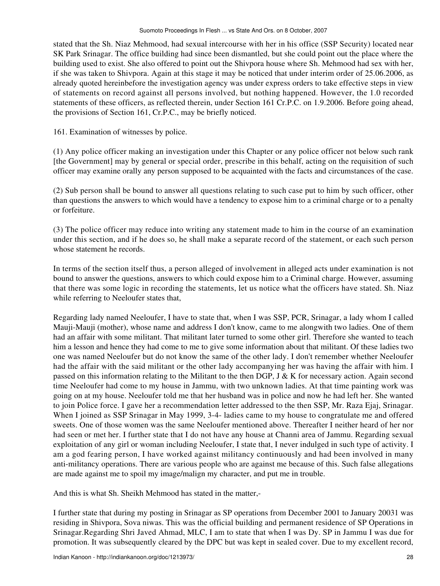stated that the Sh. Niaz Mehmood, had sexual intercourse with her in his office (SSP Security) located near SK Park Srinagar. The office building had since been dismantled, but she could point out the place where the building used to exist. She also offered to point out the Shivpora house where Sh. Mehmood had sex with her, if she was taken to Shivpora. Again at this stage it may be noticed that under interim order of 25.06.2006, as already quoted hereinbefore the investigation agency was under express orders to take effective steps in view of statements on record against all persons involved, but nothing happened. However, the 1.0 recorded statements of these officers, as reflected therein, under Section 161 Cr.P.C. on 1.9.2006. Before going ahead, the provisions of Section 161, Cr.P.C., may be briefly noticed.

161. Examination of witnesses by police.

(1) Any police officer making an investigation under this Chapter or any police officer not below such rank [the Government] may by general or special order, prescribe in this behalf, acting on the requisition of such officer may examine orally any person supposed to be acquainted with the facts and circumstances of the case.

(2) Sub person shall be bound to answer all questions relating to such case put to him by such officer, other than questions the answers to which would have a tendency to expose him to a criminal charge or to a penalty or forfeiture.

(3) The police officer may reduce into writing any statement made to him in the course of an examination under this section, and if he does so, he shall make a separate record of the statement, or each such person whose statement he records.

In terms of the section itself thus, a person alleged of involvement in alleged acts under examination is not bound to answer the questions, answers to which could expose him to a Criminal charge. However, assuming that there was some logic in recording the statements, let us notice what the officers have stated. Sh. Niaz while referring to Neeloufer states that,

Regarding lady named Neeloufer, I have to state that, when I was SSP, PCR, Srinagar, a lady whom I called Mauji-Mauji (mother), whose name and address I don't know, came to me alongwith two ladies. One of them had an affair with some militant. That militant later turned to some other girl. Therefore she wanted to teach him a lesson and hence they had come to me to give some information about that militant. Of these ladies two one was named Neeloufer but do not know the same of the other lady. I don't remember whether Neeloufer had the affair with the said militant or the other lady accompanying her was having the affair with him. I passed on this information relating to the Militant to the then DGP, J & K for necessary action. Again second time Neeloufer had come to my house in Jammu, with two unknown ladies. At that time painting work was going on at my house. Neeloufer told me that her husband was in police and now he had left her. She wanted to join Police force. I gave her a recommendation letter addressed to the then SSP, Mr. Raza Ejaj, Srinagar. When I joined as SSP Srinagar in May 1999, 3-4- ladies came to my house to congratulate me and offered sweets. One of those women was the same Neeloufer mentioned above. Thereafter I neither heard of her nor had seen or met her. I further state that I do not have any house at Channi area of Jammu. Regarding sexual exploitation of any girl or woman including Neeloufer, I state that, I never indulged in such type of activity. I am a god fearing person, I have worked against militancy continuously and had been involved in many anti-militancy operations. There are various people who are against me because of this. Such false allegations are made against me to spoil my image/malign my character, and put me in trouble.

And this is what Sh. Sheikh Mehmood has stated in the matter,-

I further state that during my posting in Srinagar as SP operations from December 2001 to January 20031 was residing in Shivpora, Sova niwas. This was the official building and permanent residence of SP Operations in Srinagar.Regarding Shri Javed Ahmad, MLC, I am to state that when I was Dy. SP in Jammu I was due for promotion. It was subsequently cleared by the DPC but was kept in sealed cover. Due to my excellent record,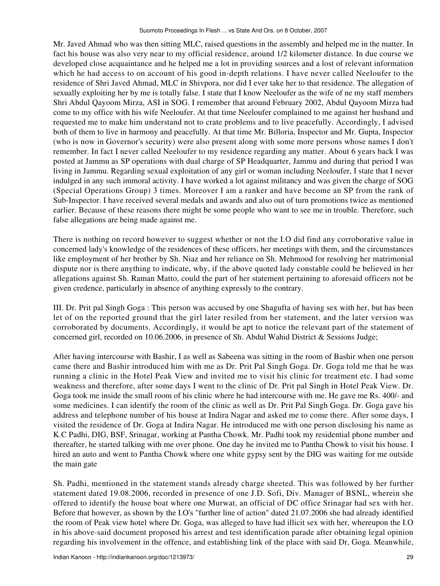Mr. Javed Ahmad who was then sitting MLC, raised questions in the assembly and helped me in the matter. In fact his house was also very near to my official residence, around 1/2 kilometer distance. In due course we developed close acquaintance and he helped me a lot in providing sources and a lost of relevant information which he had access to on account of his good in-depth relations. I have never called Neeloufer to the residence of Shri Javed Ahmad, MLC in Shivpora, nor did I ever take her to that residence. The allegation of sexually exploiting her by me is totally false. I state that I know Neeloufer as the wife of ne my staff members Shri Abdul Qayoom Mirza, ASI in SOG. I remember that around February 2002, Abdul Qayoom Mirza had come to my office with his wife Neeloufer. At that time Neeloufer complained to me against her husband and requested me to make him understand not to crate problems and to live peacefully. Accordingly, I advised both of them to live in harmony and peacefully. At that time Mr. Billoria, Inspector and Mr. Gupta, Inspector (who is now in Governor's security) were also present along with some more persons whose names I don't remember. In fact I never called Neeloufer to my residence regarding any matter. About 6 years back I was posted at Jammu as SP operations with dual charge of SP Headquarter, Jammu and during that period I was living in Jammu. Regarding sexual exploitation of any girl or woman including Neeloufer, I state that I never indulged in any such immoral activity. I have worked a lot against militancy and was given the charge of SOG (Special Operations Group) 3 times. Moreover I am a ranker and have become an SP from the rank of Sub-Inspector. I have received several medals and awards and also out of turn promotions twice as mentioned earlier. Because of these reasons there might be some people who want to see me in trouble. Therefore, such false allegations are being made against me.

There is nothing on record however to suggest whether or not the I.O did find any corroborative value in concerned lady's knowledge of the residences of these officers, her meetings with them, and the circumstances like employment of her brother by Sh. Niaz and her reliance on Sh. Mehmood for resolving her matrimonial dispute nor is there anything to indicate, why, if the above quoted lady constable could be believed in her allegations against Sh. Raman Matto, could the part of her statement pertaining to aforesaid officers not be given credence, particularly in absence of anything expressly to the contrary.

III. Dr. Prit pal Singh Goga : This person was accused by one Shagufta of having sex with her, but has been let of on the reported ground that the girl later resiled from her statement, and the later version was corroborated by documents. Accordingly, it would be apt to notice the relevant part of the statement of concerned girl, recorded on 10.06.2006, in presence of Sh. Abdul Wahid District & Sessions Judge;

After having intercourse with Bashir, I as well as Sabeena was sitting in the room of Bashir when one person came there and Bashir introduced him with me as Dr. Prit Pal Singh Goga. Dr. Goga told me that he was running a clinic in the Hotel Peak View and invited me to visit his clinic for treatment etc. I had some weakness and therefore, after some days I went to the clinic of Dr. Prit pal Singh in Hotel Peak View. Dr. Goga took me inside the small room of his clinic where he had intercourse with me. He gave me Rs. 400/- and some medicines. I can identify the room of the clinic as well as Dr. Prit Pal Singh Goga. Dr. Goga gave his address and telephone number of his house at Indira Nagar and asked me to come there. After some days, I visited the residence of Dr. Goga at Indira Nagar. He introduced me with one person disclosing his name as K.C Padhi, DIG, BSF, Srinagar, working at Pantha Chowk. Mr. Padhi took my residential phone number and thereafter, he started talking with me over phone. One day he invited me to Pantha Chowk to visit his house. I hired an auto and went to Pantha Chowk where one white gypsy sent by the DIG was waiting for me outside the main gate

Sh. Padhi, mentioned in the statement stands already charge sheeted. This was followed by her further statement dated 19.08.2006, recorded in presence of one J.D. Sofi, Div. Manager of BSNL, wherein she offered to identify the house boat where one Murwat, an official of DC office Srinagar had sex with her. Before that however, as shown by the I.O's "further line of action" dated 21.07.2006 she had already identified the room of Peak view hotel where Dr. Goga, was alleged to have had illicit sex with her, whereupon the I.O in his above-said document proposed his arrest and test identification parade after obtaining legal opinion regarding his involvement in the offence, and establishing link of the place with said Dr, Goga. Meanwhile,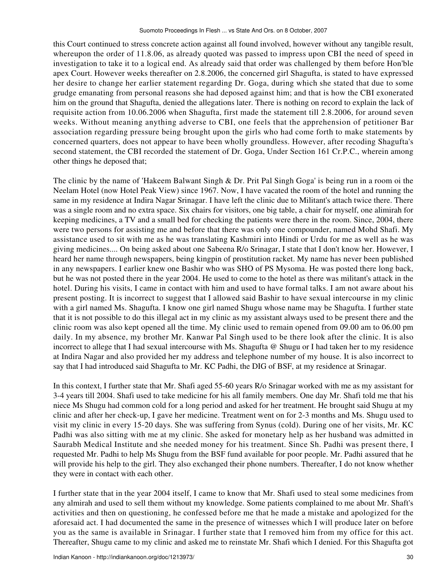this Court continued to stress concrete action against all found involved, however without any tangible result, whereupon the order of 11.8.06, as already quoted was passed to impress upon CBI the need of speed in investigation to take it to a logical end. As already said that order was challenged by them before Hon'ble apex Court. However weeks thereafter on 2.8.2006, the concerned girl Shagufta, is stated to have expressed her desire to change her earlier statement regarding Dr. Goga, during which she stated that due to some grudge emanating from personal reasons she had deposed against him; and that is how the CBI exonerated him on the ground that Shagufta, denied the allegations later. There is nothing on record to explain the lack of requisite action from 10.06.2006 when Shagufta, first made the statement till 2.8.2006, for around seven weeks. Without meaning anything adverse to CBI, one feels that the apprehension of petitioner Bar association regarding pressure being brought upon the girls who had come forth to make statements by concerned quarters, does not appear to have been wholly groundless. However, after recoding Shagufta's second statement, the CBI recorded the statement of Dr. Goga, Under Section 161 Cr.P.C., wherein among other things he deposed that;

The clinic by the name of 'Hakeem Balwant Singh & Dr. Prit Pal Singh Goga' is being run in a room oi the Neelam Hotel (now Hotel Peak View) since 1967. Now, I have vacated the room of the hotel and running the same in my residence at Indira Nagar Srinagar. I have left the clinic due to Militant's attach twice there. There was a single room and no extra space. Six chairs for visitors, one big table, a chair for myself, one alimirah for keeping medicines, a TV and a small bed for checking the patients were there in the room. Since, 2004, there were two persons for assisting me and before that there was only one compounder, named Mohd Shafi. My assistance used to sit with me as he was translating Kashmiri into Hindi or Urdu for me as well as he was giving medicines.... On being asked about one Sabeena R/o Srinagar, I state that I don't know her. However, I heard her name through newspapers, being kingpin of prostitution racket. My name has never been published in any newspapers. I earlier knew one Bashir who was SHO of PS Mysoma. He was posted there long back, but he was not posted there in the year 2004. He used to come to the hotel as there was militant's attack in the hotel. During his visits, I came in contact with him and used to have formal talks. I am not aware about his present posting. It is incorrect to suggest that I allowed said Bashir to have sexual intercourse in my clinic with a girl named Ms. Shagufta. I know one girl named Shugu whose name may be Shagufta. I further state that it is not possible to do this illegal act in my clinic as my assistant always used to be present there and the clinic room was also kept opened all the time. My clinic used to remain opened from 09.00 am to 06.00 pm daily. In my absence, my brother Mr. Kanwar Pal Singh used to be there look after the clinic. It is also incorrect to allege that I had sexual intercourse with Ms. Shagufta @ Shugu or I had taken her to my residence at Indira Nagar and also provided her my address and telephone number of my house. It is also incorrect to say that I had introduced said Shagufta to Mr. KC Padhi, the DIG of BSF, at my residence at Srinagar.

In this context, I further state that Mr. Shafi aged 55-60 years R/o Srinagar worked with me as my assistant for 3-4 years till 2004. Shafi used to take medicine for his all family members. One day Mr. Shafi told me that his niece Ms Shugu had common cold for a long period and asked for her treatment. He brought said Shugu at my clinic and after her check-up, I gave her medicine. Treatment went on for 2-3 months and Ms. Shugu used to visit my clinic in every 15-20 days. She was suffering from Synus (cold). During one of her visits, Mr. KC Padhi was also sitting with me at my clinic. She asked for monetary help as her husband was admitted in Saurabh Medical Institute and she needed money for his treatment. Since Sh. Padhi was present there, I requested Mr. Padhi to help Ms Shugu from the BSF fund available for poor people. Mr. Padhi assured that he will provide his help to the girl. They also exchanged their phone numbers. Thereafter, I do not know whether they were in contact with each other.

I further state that in the year 2004 itself, I came to know that Mr. Shafi used to steal some medicines from any almirah and used to sell them without my knowledge. Some patients complained to me about Mr. Shaft's activities and then on questioning, he confessed before me that he made a mistake and apologized for the aforesaid act. I had documented the same in the presence of witnesses which I will produce later on before you as the same is available in Srinagar. I further state that I removed him from my office for this act. Thereafter, Shugu came to my clinic and asked me to reinstate Mr. Shafi which I denied. For this Shagufta got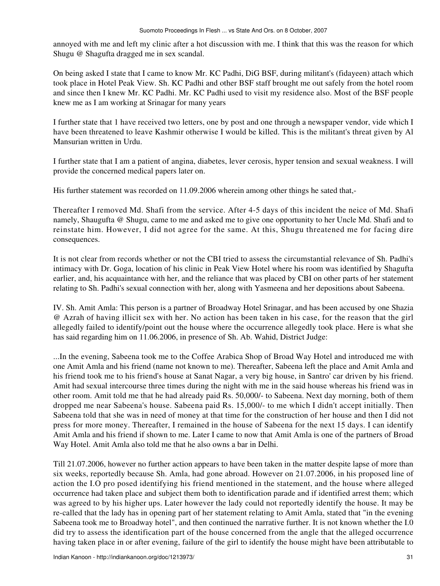annoyed with me and left my clinic after a hot discussion with me. I think that this was the reason for which Shugu @ Shagufta dragged me in sex scandal.

On being asked I state that I came to know Mr. KC Padhi, DiG BSF, during militant's (fidayeen) attach which took place in Hotel Peak View. Sh. KC Padhi and other BSF staff brought me out safely from the hotel room and since then I knew Mr. KC Padhi. Mr. KC Padhi used to visit my residence also. Most of the BSF people knew me as I am working at Srinagar for many years

I further state that 1 have received two letters, one by post and one through a newspaper vendor, vide which I have been threatened to leave Kashmir otherwise I would be killed. This is the militant's threat given by Al Mansurian written in Urdu.

I further state that I am a patient of angina, diabetes, lever cerosis, hyper tension and sexual weakness. I will provide the concerned medical papers later on.

His further statement was recorded on 11.09.2006 wherein among other things he sated that,-

Thereafter I removed Md. Shafi from the service. After 4-5 days of this incident the neice of Md. Shafi namely, Shaugufta @ Shugu, came to me and asked me to give one opportunity to her Uncle Md. Shafi and to reinstate him. However, I did not agree for the same. At this, Shugu threatened me for facing dire consequences.

It is not clear from records whether or not the CBI tried to assess the circumstantial relevance of Sh. Padhi's intimacy with Dr. Goga, location of his clinic in Peak View Hotel where his room was identified by Shagufta earlier, and, his acquaintance with her, and the reliance that was placed by CBI on other parts of her statement relating to Sh. Padhi's sexual connection with her, along with Yasmeena and her depositions about Sabeena.

IV. Sh. Amit Amla: This person is a partner of Broadway Hotel Srinagar, and has been accused by one Shazia @ Azrah of having illicit sex with her. No action has been taken in his case, for the reason that the girl allegedly failed to identify/point out the house where the occurrence allegedly took place. Here is what she has said regarding him on 11.06.2006, in presence of Sh. Ab. Wahid, District Judge:

...In the evening, Sabeena took me to the Coffee Arabica Shop of Broad Way Hotel and introduced me with one Amit Amla and his friend (name not known to me). Thereafter, Sabeena left the place and Amit Amla and his friend took me to his friend's house at Sanat Nagar, a very big house, in Santro' car driven by his friend. Amit had sexual intercourse three times during the night with me in the said house whereas his friend was in other room. Amit told me that he had already paid Rs. 50,000/- to Sabeena. Next day morning, both of them dropped me near Sabeena's house. Sabeena paid Rs. 15,000/- to me which I didn't accept initially. Then Sabeena told that she was in need of money at that time for the construction of her house and then I did not press for more money. Thereafter, I remained in the house of Sabeena for the next 15 days. I can identify Amit Amla and his friend if shown to me. Later I came to now that Amit Amla is one of the partners of Broad Way Hotel. Amit Amla also told me that he also owns a bar in Delhi.

Till 21.07.2006, however no further action appears to have been taken in the matter despite lapse of more than six weeks, reportedly because Sh. Amla, had gone abroad. However on 21.07.2006, in his proposed line of action the I.O pro posed identifying his friend mentioned in the statement, and the house where alleged occurrence had taken place and subject them both to identification parade and if identified arrest them; which was agreed to by his higher ups. Later however the lady could not reportedly identify the house. It may be re-called that the lady has in opening part of her statement relating to Amit Amla, stated that "in the evening Sabeena took me to Broadway hotel", and then continued the narrative further. It is not known whether the I.0 did try to assess the identification part of the house concerned from the angle that the alleged occurrence having taken place in or after evening, failure of the girl to identify the house might have been attributable to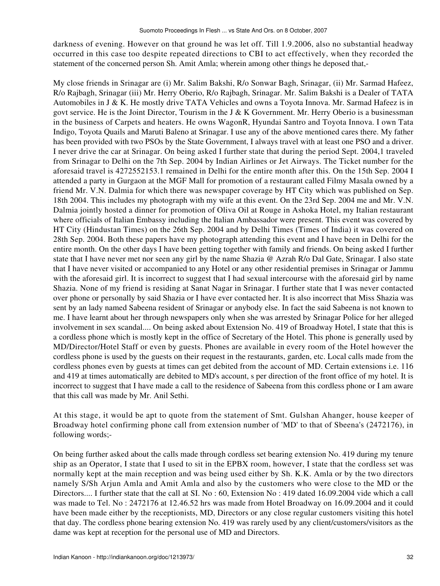darkness of evening. However on that ground he was let off. Till 1.9.2006, also no substantial headway occurred in this case too despite repeated directions to CBI to act effectively, when they recorded the statement of the concerned person Sh. Amit Amla; wherein among other things he deposed that,-

My close friends in Srinagar are (i) Mr. Salim Bakshi, R/o Sonwar Bagh, Srinagar, (ii) Mr. Sarmad Hafeez, R/o Rajbagh, Srinagar (iii) Mr. Herry Oberio, R/o Rajbagh, Srinagar. Mr. Salim Bakshi is a Dealer of TATA Automobiles in J & K. He mostly drive TATA Vehicles and owns a Toyota Innova. Mr. Sarmad Hafeez is in govt service. He is the Joint Director, Tourism in the J & K Government. Mr. Herry Oberio is a businessman in the business of Carpets and heaters. He owns WagonR, Hyundai Santro and Toyota Innova. I own Tata Indigo, Toyota Quails and Maruti Baleno at Srinagar. I use any of the above mentioned cares there. My father has been provided with two PSOs by the State Government, I always travel with at least one PSO and a driver. I never drive the car at Srinagar. On being asked I further state that during the period Sept. 2004,1 traveled from Srinagar to Delhi on the 7th Sep. 2004 by Indian Airlines or Jet Airways. The Ticket number for the aforesaid travel is 4272552153.1 remained in Delhi for the entire month after this. On the 15th Sep. 2004 I attended a party in Gurgaon at the MGF Mall for promotion of a restaurant called Filmy Masala owned by a friend Mr. V.N. Dalmia for which there was newspaper coverage by HT City which was published on Sep. 18th 2004. This includes my photograph with my wife at this event. On the 23rd Sep. 2004 me and Mr. V.N. Dalmia jointly hosted a dinner for promotion of Oliva Oil at Rouge in Ashoka Hotel, my Italian restaurant where officials of Italian Embassy including the Italian Ambassador were present. This event was covered by HT City (Hindustan Times) on the 26th Sep. 2004 and by Delhi Times (Times of India) it was covered on 28th Sep. 2004. Both these papers have my photograph attending this event and I have been in Delhi for the entire month. On the other days I have been getting together with family and friends. On being asked I further state that I have never met nor seen any girl by the name Shazia @ Azrah R/o Dal Gate, Srinagar. I also state that I have never visited or accompanied to any Hotel or any other residential premises in Srinagar or Jammu with the aforesaid girl. It is incorrect to suggest that I had sexual intercourse with the aforesaid girl by name Shazia. None of my friend is residing at Sanat Nagar in Srinagar. I further state that I was never contacted over phone or personally by said Shazia or I have ever contacted her. It is also incorrect that Miss Shazia was sent by an lady named Sabeena resident of Srinagar or anybody else. In fact the said Sabeena is not known to me. I have learnt about her through newspapers only when she was arrested by Srinagar Police for her alleged involvement in sex scandal.... On being asked about Extension No. 419 of Broadway Hotel, I state that this is a cordless phone which is mostly kept in the office of Secretary of the Hotel. This phone is generally used by MD/Director/Hotel Staff or even by guests. Phones are available in every room of the Hotel however the cordless phone is used by the guests on their request in the restaurants, garden, etc. Local calls made from the cordless phones even by guests at times can get debited from the account of MD. Certain extensions i.e. 116 and 419 at times automatically are debited to MD's account, s per direction of the front office of my hotel. It is incorrect to suggest that I have made a call to the residence of Sabeena from this cordless phone or I am aware that this call was made by Mr. Anil Sethi.

At this stage, it would be apt to quote from the statement of Smt. Gulshan Ahanger, house keeper of Broadway hotel confirming phone call from extension number of 'MD' to that of Sbeena's (2472176), in following words;-

On being further asked about the calls made through cordless set bearing extension No. 419 during my tenure ship as an Operator, I state that I used to sit in the EPBX room, however, I state that the cordless set was normally kept at the main reception and was being used either by Sh. K.K. Amla or by the two directors namely S/Sh Arjun Amla and Amit Amla and also by the customers who were close to the MD or the Directors.... I further state that the call at SI. No : 60, Extension No : 419 dated 16.09.2004 vide which a call was made to Tel. No : 2472176 at 12.46.52 hrs was made from Hotel Broadway on 16.09.2004 and it could have been made either by the receptionists, MD, Directors or any close regular customers visiting this hotel that day. The cordless phone bearing extension No. 419 was rarely used by any client/customers/visitors as the dame was kept at reception for the personal use of MD and Directors.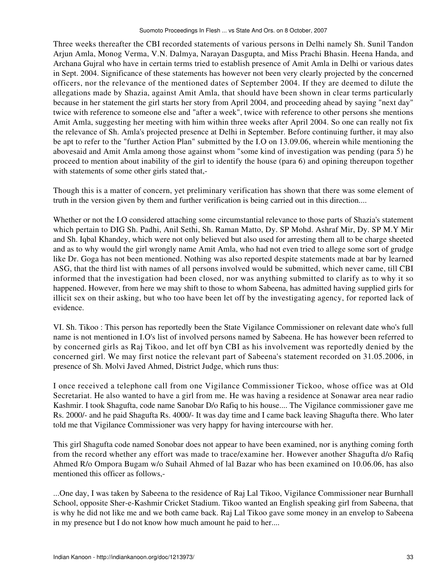Three weeks thereafter the CBI recorded statements of various persons in Delhi namely Sh. Sunil Tandon Arjun Amla, Monog Verma, V.N. Dalmya, Narayan Dasgupta, and Miss Prachi Bhasin. Heena Handa, and Archana Gujral who have in certain terms tried to establish presence of Amit Amla in Delhi or various dates in Sept. 2004. Significance of these statements has however not been very clearly projected by the concerned officers, nor the relevance of the mentioned dates of September 2004. If they are deemed to dilute the allegations made by Shazia, against Amit Amla, that should have been shown in clear terms particularly because in her statement the girl starts her story from April 2004, and proceeding ahead by saying "next day" twice with reference to someone else and "after a week", twice with reference to other persons she mentions Amit Amla, suggesting her meeting with him within three weeks after April 2004. So one can really not fix the relevance of Sh. Amla's projected presence at Delhi in September. Before continuing further, it may also be apt to refer to the "further Action Plan" submitted by the I.O on 13.09.06, wherein while mentioning the abovesaid and Amit Amla among those against whom "some kind of investigation was pending (para 5) he proceed to mention about inability of the girl to identify the house (para 6) and opining thereupon together with statements of some other girls stated that,-

Though this is a matter of concern, yet preliminary verification has shown that there was some element of truth in the version given by them and further verification is being carried out in this direction....

Whether or not the I.O considered attaching some circumstantial relevance to those parts of Shazia's statement which pertain to DIG Sh. Padhi, Anil Sethi, Sh. Raman Matto, Dy. SP Mohd. Ashraf Mir, Dy. SP M.Y Mir and Sh. Iqbal Khandey, which were not only believed but also used for arresting them all to be charge sheeted and as to why would the girl wrongly name Amit Amla, who had not even tried to allege some sort of grudge like Dr. Goga has not been mentioned. Nothing was also reported despite statements made at bar by learned ASG, that the third list with names of all persons involved would be submitted, which never came, till CBI informed that the investigation had been closed, nor was anything submitted to clarify as to why it so happened. However, from here we may shift to those to whom Sabeena, has admitted having supplied girls for illicit sex on their asking, but who too have been let off by the investigating agency, for reported lack of evidence.

VI. Sh. Tikoo : This person has reportedly been the State Vigilance Commissioner on relevant date who's full name is not mentioned in I.O's list of involved persons named by Sabeena. He has however been referred to by concerned girls as Raj Tikoo, and let off byn CBI as his involvement was reportedly denied by the concerned girl. We may first notice the relevant part of Sabeena's statement recorded on 31.05.2006, in presence of Sh. Molvi Javed Ahmed, District Judge, which runs thus:

I once received a telephone call from one Vigilance Commissioner Tickoo, whose office was at Old Secretariat. He also wanted to have a girl from me. He was having a residence at Sonawar area near radio Kashmir. I took Shagufta, code name Sanobar D/o Rafiq to his house.... The Vigilance commissioner gave me Rs. 2000/- and he paid Shagufta Rs. 4000/- It was day time and I came back leaving Shagufta there. Who later told me that Vigilance Commissioner was very happy for having intercourse with her.

This girl Shagufta code named Sonobar does not appear to have been examined, nor is anything coming forth from the record whether any effort was made to trace/examine her. However another Shagufta d/o Rafiq Ahmed R/o Ompora Bugam w/o Suhail Ahmed of lal Bazar who has been examined on 10.06.06, has also mentioned this officer as follows,-

...One day, I was taken by Sabeena to the residence of Raj Lal Tikoo, Vigilance Commissioner near Burnhall School, opposite Sher-e-Kashmir Cricket Stadium. Tikoo wanted an English speaking girl from Sabeena, that is why he did not like me and we both came back. Raj Lal Tikoo gave some money in an envelop to Sabeena in my presence but I do not know how much amount he paid to her....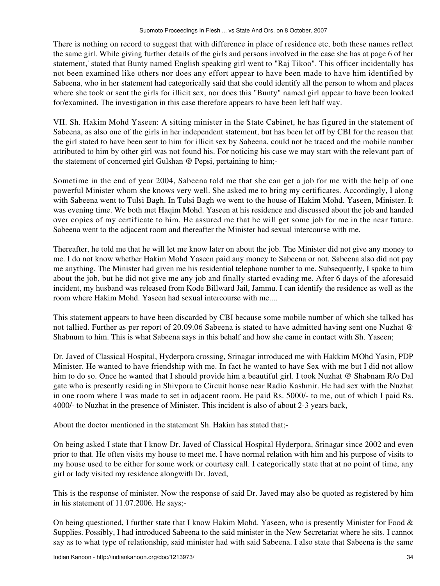There is nothing on record to suggest that with difference in place of residence etc, both these names reflect the same girl. While giving further details of the girls and persons involved in the case she has at page 6 of her statement,' stated that Bunty named English speaking girl went to "Raj Tikoo". This officer incidentally has not been examined like others nor does any effort appear to have been made to have him identified by Sabeena, who in her statement had categorically said that she could identify all the person to whom and places where she took or sent the girls for illicit sex, nor does this "Bunty" named girl appear to have been looked for/examined. The investigation in this case therefore appears to have been left half way.

VII. Sh. Hakim Mohd Yaseen: A sitting minister in the State Cabinet, he has figured in the statement of Sabeena, as also one of the girls in her independent statement, but has been let off by CBI for the reason that the girl stated to have been sent to him for illicit sex by Sabeena, could not be traced and the mobile number attributed to him by other girl was not found his. For noticing his case we may start with the relevant part of the statement of concerned girl Gulshan @ Pepsi, pertaining to him;-

Sometime in the end of year 2004, Sabeena told me that she can get a job for me with the help of one powerful Minister whom she knows very well. She asked me to bring my certificates. Accordingly, I along with Sabeena went to Tulsi Bagh. In Tulsi Bagh we went to the house of Hakim Mohd. Yaseen, Minister. It was evening time. We both met Haqim Mohd. Yaseen at his residence and discussed about the job and handed over copies of my certificate to him. He assured me that he will get some job for me in the near future. Sabeena went to the adjacent room and thereafter the Minister had sexual intercourse with me.

Thereafter, he told me that he will let me know later on about the job. The Minister did not give any money to me. I do not know whether Hakim Mohd Yaseen paid any money to Sabeena or not. Sabeena also did not pay me anything. The Minister had given me his residential telephone number to me. Subsequently, I spoke to him about the job, but he did not give me any job and finally started evading me. After 6 days of the aforesaid incident, my husband was released from Kode Billward Jail, Jammu. I can identify the residence as well as the room where Hakim Mohd. Yaseen had sexual intercourse with me....

This statement appears to have been discarded by CBI because some mobile number of which she talked has not tallied. Further as per report of 20.09.06 Sabeena is stated to have admitted having sent one Nuzhat @ Shabnum to him. This is what Sabeena says in this behalf and how she came in contact with Sh. Yaseen;

Dr. Javed of Classical Hospital, Hyderpora crossing, Srinagar introduced me with Hakkim MOhd Yasin, PDP Minister. He wanted to have friendship with me. In fact he wanted to have Sex with me but I did not allow him to do so. Once he wanted that I should provide him a beautiful girl. I took Nuzhat @ Shabnam R/o Dal gate who is presently residing in Shivpora to Circuit house near Radio Kashmir. He had sex with the Nuzhat in one room where I was made to set in adjacent room. He paid Rs. 5000/- to me, out of which I paid Rs. 4000/- to Nuzhat in the presence of Minister. This incident is also of about 2-3 years back,

About the doctor mentioned in the statement Sh. Hakim has stated that;-

On being asked I state that I know Dr. Javed of Classical Hospital Hyderpora, Srinagar since 2002 and even prior to that. He often visits my house to meet me. I have normal relation with him and his purpose of visits to my house used to be either for some work or courtesy call. I categorically state that at no point of time, any girl or lady visited my residence alongwith Dr. Javed,

This is the response of minister. Now the response of said Dr. Javed may also be quoted as registered by him in his statement of 11.07.2006. He says;-

On being questioned, I further state that I know Hakim Mohd. Yaseen, who is presently Minister for Food & Supplies. Possibly, I had introduced Sabeena to the said minister in the New Secretariat where he sits. I cannot say as to what type of relationship, said minister had with said Sabeena. I also state that Sabeena is the same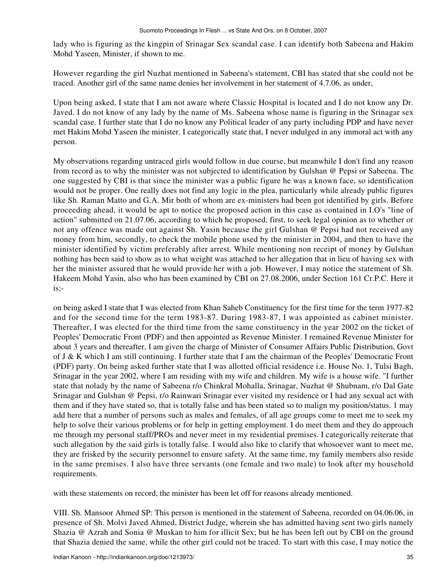lady who is figuring as the kingpin of Srinagar Sex scandal case. I can identify both Sabeena and Hakim Mohd Yaseen, Minister, if shown to me.

However regarding the girl Nuzhat mentioned in Sabeena's statement, CBI has stated that she could not be traced. Another girl of the same name denies her involvement in her statement of 4.7.06, as under,

Upon being asked, I state that I am not aware where Classic Hospital is located and I do not know any Dr. Javed. I do not know of any lady by the name of Ms. Sabeena whose name is figuring in the Srinagar sex scandal case. I further state that I do no know any Political leader of any party including PDP and have never met Hakim Mohd Yaseen the minister. I categorically state that, I never indulged in any immoral act with any person.

My observations regarding untraced girls would follow in due course, but meanwhile I don't find any reason from record as to why the minister was not subjected to identification by Gulshan @ Pepsi or Sabeena. The one suggested by CBI is that since the minister was a public figure he was a known face, so identification would not be proper. One really does not find any logic in the plea, particularly while already public figures like Sh. Raman Matto and G.A. Mir both of whom are ex-ministers had been got identified by girls. Before proceeding ahead, it would be apt to notice the proposed action in this case as contained in I.O's "line of action" submitted on 21.07.06, according to which he proposed, first, to seek legal opinion as to whether or not any offence was made out against Sh. Yasin because the girl Gulshan @ Pepsi had not received any money from him, secondly, to check the mobile phone used by the minister in 2004, and then to have the minister identified by victim preferably after arrest. While mentioning non receipt of money by Gulshan nothing has been said to show as to what weight was attached to her allegation that in lieu of having sex with her the minister assured that he would provide her with a job. However, I may notice the statement of Sh. Hakeem Mohd Yasin, also who has been examined by CBI on 27.08.2006, under Section 161 Cr.P.C. Here it is;-

on being asked I state that I was elected from Khan Saheb Constituency for the first time for the term 1977-82 and for the second time for the term 1983-87. During 1983-87, I was appointed as cabinet minister. Thereafter, I was elected for the third time from the same constituency in the year 2002 on the ticket of Peoples' Democratic Front (PDF) and then appointed as Revenue Minister. I remained Revenue Minister for about 3 years and thereafter, I am given the charge of Minister of Consumer Affairs Public Distribution, Govt of J & K which I am still continuing. I further state that I am the chairman of the Peoples' Democratic Front (PDF) party. On being asked further state that I was allotted official residence i.e. House No. 1, Tulsi Bagh, Srinagar in the year 2002, where I am residing with my wife and children. My wife is a house wife. "I further state that nolady by the name of Sabeena r/o Chinkral Mohalla, Srinagar, Nuzhat @ Shubnam, r/o Dal Gate Srinagar and Gulshan @ Pepsi, r/o Rainwari Srinagar ever visited my residence or I had any sexual act with them and if they have stated so, that is totally false and has been stated so to malign my position/status. 1 may add here that a number of persons such as males and females, of all age groups come to meet me to seek my help to solve their various problems or for help in getting employment. I do meet them and they do approach me through my personal staff/PROs and never meet in my residential premises. I categorically reiterate that such allegation by the said girls is totally false. I would also like to clarify that whosoever want to meet me, they are frisked by the security personnel to ensure safety. At the same time, my family members also reside in the same premises. I also have three servants (one female and two male) to look after my household requirements.

with these statements on record, the minister has been let off for reasons already mentioned.

VIII. Sh. Mansoor Ahmed SP: This person is mentioned in the statement of Sabeena, recorded on 04.06.06, in presence of Sh. Molvi Javed Ahmed, District Judge, wherein she has admitted having sent two girls namely Shazia @ Azrah and Sonia @ Muskan to him for illicit Sex; but he has been left out by CBI on the ground that Shazia denied the same, while the other girl could not be traced. To start with this case, I may notice the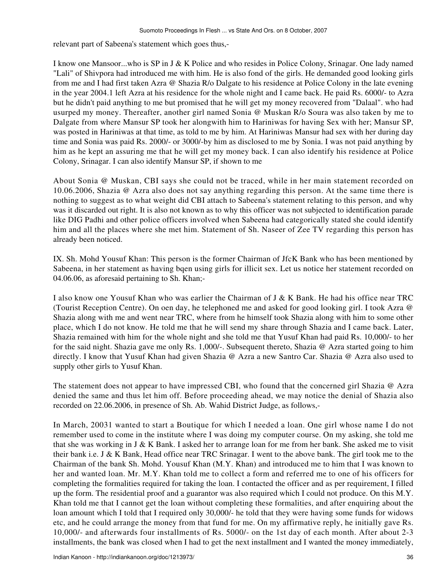relevant part of Sabeena's statement which goes thus,-

I know one Mansoor...who is SP in J & K Police and who resides in Police Colony, Srinagar. One lady named "Lali" of Shivpora had introduced me with him. He is also fond of the girls. He demanded good looking girls from me and I had first taken Azra @ Shazia R/o Dalgate to his residence at Police Colony in the late evening in the year 2004.1 left Azra at his residence for the whole night and I came back. He paid Rs. 6000/- to Azra but he didn't paid anything to me but promised that he will get my money recovered from "Dalaal". who had usurped my money. Thereafter, another girl named Sonia @ Muskan R/o Soura was also taken by me to Dalgate from where Mansur SP took her alongwith him to Hariniwas for having Sex with her; Mansur SP, was posted in Hariniwas at that time, as told to me by him. At Hariniwas Mansur had sex with her during day time and Sonia was paid Rs. 2000/- or 3000/-by him as disclosed to me by Sonia. I was not paid anything by him as he kept an assuring me that he will get my money back. I can also identify his residence at Police Colony, Srinagar. I can also identify Mansur SP, if shown to me

About Sonia @ Muskan, CBI says she could not be traced, while in her main statement recorded on 10.06.2006, Shazia @ Azra also does not say anything regarding this person. At the same time there is nothing to suggest as to what weight did CBI attach to Sabeena's statement relating to this person, and why was it discarded out right. It is also not known as to why this officer was not subjected to identification parade like DIG Padhi and other police officers involved when Sabeena had categorically stated she could identify him and all the places where she met him. Statement of Sh. Naseer of Zee TV regarding this person has already been noticed.

IX. Sh. Mohd Yousuf Khan: This person is the former Chairman of JfcK Bank who has been mentioned by Sabeena, in her statement as having bqen using girls for illicit sex. Let us notice her statement recorded on 04.06.06, as aforesaid pertaining to Sh. Khan;-

I also know one Yousuf Khan who was earlier the Chairman of J & K Bank. He had his office near TRC (Tourist Reception Centre). On oen day, he telephoned me and asked for good looking girl. I took Azra @ Shazia along with me and went near TRC, where from he himself took Shazia along with him to some other place, which I do not know. He told me that he will send my share through Shazia and I came back. Later, Shazia remained with him for the whole night and she told me that Yusuf Khan had paid Rs. 10,000/- to her for the said night. Shazia gave me only Rs. 1,000/-. Subsequent thereto, Shazia @ Azra started going to him directly. I know that Yusuf Khan had given Shazia @ Azra a new Santro Car. Shazia @ Azra also used to supply other girls to Yusuf Khan.

The statement does not appear to have impressed CBI, who found that the concerned girl Shazia @ Azra denied the same and thus let him off. Before proceeding ahead, we may notice the denial of Shazia also recorded on 22.06.2006, in presence of Sh. Ab. Wahid District Judge, as follows,-

In March, 20031 wanted to start a Boutique for which I needed a loan. One girl whose name I do not remember used to come in the institute where I was doing my computer course. On my asking, she told me that she was working in J & K Bank. I asked her to arrange loan for me from her bank. She asked me to visit their bank i.e. J & K Bank, Head office near TRC Srinagar. I went to the above bank. The girl took me to the Chairman of the bank Sh. Mohd. Yousuf Khan (M.Y. Khan) and introduced me to him that I was known to her and wanted loan. Mr. M.Y. Khan told me to collect a form and referred me to one of his officers for completing the formalities required for taking the loan. I contacted the officer and as per requirement, I filled up the form. The residential proof and a guarantor was also required which I could not produce. On this M.Y. Khan told me that I cannot get the loan without completing these formalities, and after enquiring about the loan amount which I told that I required only 30,000/- he told that they were having some funds for widows etc, and he could arrange the money from that fund for me. On my affirmative reply, he initially gave Rs. 10,000/- and afterwards four installments of Rs. 5000/- on the 1st day of each month. After about 2-3 installments, the bank was closed when I had to get the next installment and I wanted the money immediately,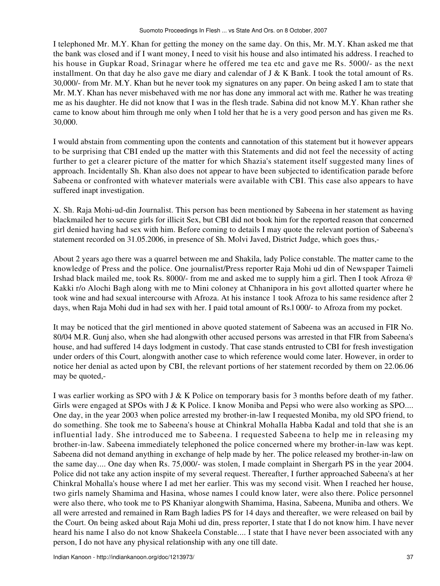I telephoned Mr. M.Y. Khan for getting the money on the same day. On this, Mr. M.Y. Khan asked me that the bank was closed and if I want money, I need to visit his house and also intimated his address. I reached to his house in Gupkar Road, Srinagar where he offered me tea etc and gave me Rs. 5000/- as the next installment. On that day he also gave me diary and calendar of J & K Bank. I took the total amount of Rs. 30,000/- from Mr. M.Y. Khan but he never took my signatures on any paper. On being asked I am to state that Mr. M.Y. Khan has never misbehaved with me nor has done any immoral act with me. Rather he was treating me as his daughter. He did not know that I was in the flesh trade. Sabina did not know M.Y. Khan rather she came to know about him through me only when I told her that he is a very good person and has given me Rs. 30,000.

I would abstain from commenting upon the contents and cannotation of this statement but it however appears to be surprising that CBI ended up the matter with this Statements and did not feel the necessity of acting further to get a clearer picture of the matter for which Shazia's statement itself suggested many lines of approach. Incidentally Sh. Khan also does not appear to have been subjected to identification parade before Sabeena or confronted with whatever materials were available with CBI. This case also appears to have suffered inapt investigation.

X. Sh. Raja Mohi-ud-din Journalist. This person has been mentioned by Sabeena in her statement as having blackmailed her to secure girls for illicit Sex, but CBI did not book him for the reported reason that concerned girl denied having had sex with him. Before coming to details I may quote the relevant portion of Sabeena's statement recorded on 31.05.2006, in presence of Sh. Molvi Javed, District Judge, which goes thus,-

About 2 years ago there was a quarrel between me and Shakila, lady Police constable. The matter came to the knowledge of Press and the police. One journalist/Press reporter Raja Mohi ud din of Newspaper Taimeli Irshad black mailed me, took Rs. 8000/- from me and asked me to supply him a girl. Then I took Afroza @ Kakki r/o Alochi Bagh along with me to Mini coloney at Chhanipora in his govt allotted quarter where he took wine and had sexual intercourse with Afroza. At his instance 1 took Afroza to his same residence after 2 days, when Raja Mohi dud in had sex with her. I paid total amount of Rs.l 000/- to Afroza from my pocket.

It may be noticed that the girl mentioned in above quoted statement of Sabeena was an accused in FIR No. 80/04 M.R. Gunj also, when she had alongwith other accused persons was arrested in that FIR from Sabeena's house, and had suffered 14 days lodgment in custody. That case stands entrusted to CBI for fresh investigation under orders of this Court, alongwith another case to which reference would come later. However, in order to notice her denial as acted upon by CBI, the relevant portions of her statement recorded by them on 22.06.06 may be quoted,-

I was earlier working as SPO with J & K Police on temporary basis for 3 months before death of my father. Girls were engaged at SPOs with J & K Police. I know Moniba and Pepsi who were also working as SPO.... One day, in the year 2003 when police arrested my brother-in-law I requested Moniba, my old SPO friend, to do something. She took me to Sabeena's house at Chinkral Mohalla Habba Kadal and told that she is an influential lady. She introduced me to Sabeena. I requested Sabeena to help me in releasing my brother-in-law. Sabeena immediately telephoned the police concerned where my brother-in-law was kept. Sabeena did not demand anything in exchange of help made by her. The police released my brother-in-law on the same day.... One day when Rs. 75,000/- was stolen, I made complaint in Shergarh PS in the year 2004. Police did not take any action inspite of my several request. Thereafter, I further approached Sabeena's at her Chinkral Mohalla's house where I ad met her earlier. This was my second visit. When I reached her house, two girls namely Shamima and Hasina, whose names I could know later, were also there. Police personnel were also there, who took me to PS Khaniyar alongwith Shamima, Hasina, Sabeena, Muniba and others. We all were arrested and remained in Ram Bagh ladies PS for 14 days and thereafter, we were released on bail by the Court. On being asked about Raja Mohi ud din, press reporter, I state that I do not know him. I have never heard his name I also do not know Shakeela Constable.... I state that I have never been associated with any person, I do not have any physical relationship with any one till date.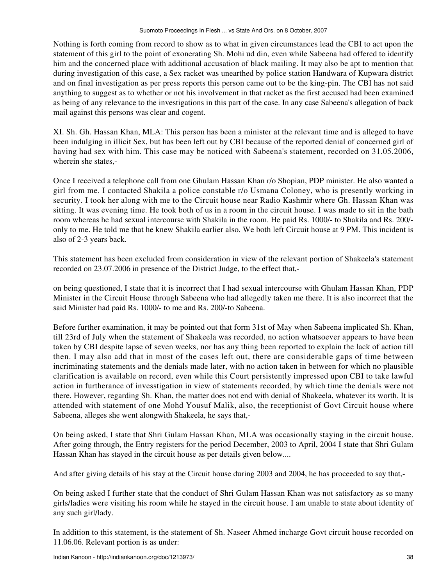Nothing is forth coming from record to show as to what in given circumstances lead the CBI to act upon the statement of this girl to the point of exonerating Sh. Mohi ud din, even while Sabeena had offered to identify him and the concerned place with additional accusation of black mailing. It may also be apt to mention that during investigation of this case, a Sex racket was unearthed by police station Handwara of Kupwara district and on final investigation as per press reports this person came out to be the king-pin. The CBI has not said anything to suggest as to whether or not his involvement in that racket as the first accused had been examined as being of any relevance to the investigations in this part of the case. In any case Sabeena's allegation of back mail against this persons was clear and cogent.

XI. Sh. Gh. Hassan Khan, MLA: This person has been a minister at the relevant time and is alleged to have been indulging in illicit Sex, but has been left out by CBI because of the reported denial of concerned girl of having had sex with him. This case may be noticed with Sabeena's statement, recorded on 31.05.2006, wherein she states,-

Once I received a telephone call from one Ghulam Hassan Khan r/o Shopian, PDP minister. He also wanted a girl from me. I contacted Shakila a police constable r/o Usmana Coloney, who is presently working in security. I took her along with me to the Circuit house near Radio Kashmir where Gh. Hassan Khan was sitting. It was evening time. He took both of us in a room in the circuit house. I was made to sit in the bath room whereas he had sexual intercourse with Shakila in the room. He paid Rs. 1000/- to Shakila and Rs. 200/ only to me. He told me that he knew Shakila earlier also. We both left Circuit house at 9 PM. This incident is also of 2-3 years back.

This statement has been excluded from consideration in view of the relevant portion of Shakeela's statement recorded on 23.07.2006 in presence of the District Judge, to the effect that,-

on being questioned, I state that it is incorrect that I had sexual intercourse with Ghulam Hassan Khan, PDP Minister in the Circuit House through Sabeena who had allegedly taken me there. It is also incorrect that the said Minister had paid Rs. 1000/- to me and Rs. 200/-to Sabeena.

Before further examination, it may be pointed out that form 31st of May when Sabeena implicated Sh. Khan, till 23rd of July when the statement of Shakeela was recorded, no action whatsoever appears to have been taken by CBI despite lapse of seven weeks, nor has any thing been reported to explain the lack of action till then. I may also add that in most of the cases left out, there are considerable gaps of time between incriminating statements and the denials made later, with no action taken in between for which no plausible clarification is available on record, even while this Court persistently impressed upon CBI to take lawful action in furtherance of invesstigation in view of statements recorded, by which time the denials were not there. However, regarding Sh. Khan, the matter does not end with denial of Shakeela, whatever its worth. It is attended with statement of one Mohd Yousuf Malik, also, the receptionist of Govt Circuit house where Sabeena, alleges she went alongwith Shakeela, he says that,-

On being asked, I state that Shri Gulam Hassan Khan, MLA was occasionally staying in the circuit house. After going through, the Entry registers for the period December, 2003 to April, 2004 I state that Shri Gulam Hassan Khan has stayed in the circuit house as per details given below....

And after giving details of his stay at the Circuit house during 2003 and 2004, he has proceeded to say that,-

On being asked I further state that the conduct of Shri Gulam Hassan Khan was not satisfactory as so many girls/ladies were visiting his room while he stayed in the circuit house. I am unable to state about identity of any such girl/lady.

In addition to this statement, is the statement of Sh. Naseer Ahmed incharge Govt circuit house recorded on 11.06.06. Relevant portion is as under: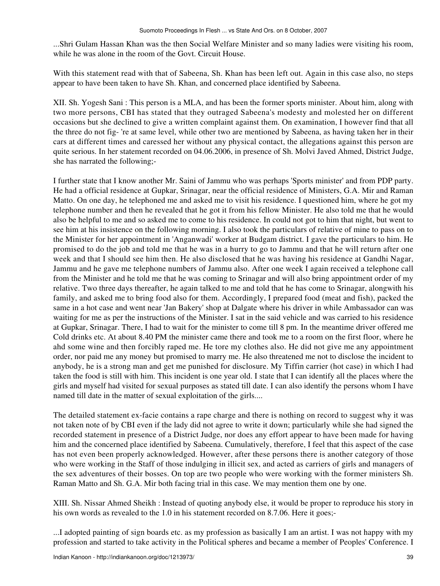...Shri Gulam Hassan Khan was the then Social Welfare Minister and so many ladies were visiting his room, while he was alone in the room of the Govt. Circuit House.

With this statement read with that of Sabeena, Sh. Khan has been left out. Again in this case also, no steps appear to have been taken to have Sh. Khan, and concerned place identified by Sabeena.

XII. Sh. Yogesh Sani : This person is a MLA, and has been the former sports minister. About him, along with two more persons, CBI has stated that they outraged Sabeena's modesty and molested her on different occasions but she declined to give a written complaint against them. On examination, I however find that all the three do not fig- 're at same level, while other two are mentioned by Sabeena, as having taken her in their cars at different times and caressed her without any physical contact, the allegations against this person are quite serious. In her statement recorded on 04.06.2006, in presence of Sh. Molvi Javed Ahmed, District Judge, she has narrated the following;-

I further state that I know another Mr. Saini of Jammu who was perhaps 'Sports minister' and from PDP party. He had a official residence at Gupkar, Srinagar, near the official residence of Ministers, G.A. Mir and Raman Matto. On one day, he telephoned me and asked me to visit his residence. I questioned him, where he got my telephone number and then he revealed that he got it from his fellow Minister. He also told me that he would also be helpful to me and so asked me to come to his residence. In could not got to him that night, but went to see him at his insistence on the following morning. I also took the particulars of relative of mine to pass on to the Minister for her appointment in 'Anganwadi' worker at Budgam district. I gave the particulars to him. He promised to do the job and told me that he was in a hurry to go to Jammu and that he will return after one week and that I should see him then. He also disclosed that he was having his residence at Gandhi Nagar, Jammu and he gave me telephone numbers of Jammu also. After one week I again received a telephone call from the Minister and he told me that he was coming to Srinagar and will also bring appointment order of my relative. Two three days thereafter, he again talked to me and told that he has come to Srinagar, alongwith his family, and asked me to bring food also for them. Accordingly, I prepared food (meat and fish), packed the same in a hot case and went near 'Jan Bakery' shop at Dalgate where his driver in while Ambassador can was waiting for me as per the instructions of the Minister. I sat in the said vehicle and was carried to his residence at Gupkar, Srinagar. There, I had to wait for the minister to come till 8 pm. In the meantime driver offered me Cold drinks etc. At about 8.40 PM the minister came there and took me to a room on the first floor, where he ahd some wine and then forcibly raped me. He tore my clothes also. He did not give me any appointment order, nor paid me any money but promised to marry me. He also threatened me not to disclose the incident to anybody, he is a strong man and get me punished for disclosure. My Tiffin carrier (hot case) in which I had taken the food is still with him. This incident is one year old. I state that I can identify all the places where the girls and myself had visited for sexual purposes as stated till date. I can also identify the persons whom I have named till date in the matter of sexual exploitation of the girls....

The detailed statement ex-facie contains a rape charge and there is nothing on record to suggest why it was not taken note of by CBI even if the lady did not agree to write it down; particularly while she had signed the recorded statement in presence of a District Judge, nor does any effort appear to have been made for having him and the concerned place identified by Sabeena. Cumulatively, therefore, I feel that this aspect of the case has not even been properly acknowledged. However, after these persons there is another category of those who were working in the Staff of those indulging in illicit sex, and acted as carriers of girls and managers of the sex adventures of their bosses. On top are two people who were working with the former ministers Sh. Raman Matto and Sh. G.A. Mir both facing trial in this case. We may mention them one by one.

XIII. Sh. Nissar Ahmed Sheikh : Instead of quoting anybody else, it would be proper to reproduce his story in his own words as revealed to the 1.0 in his statement recorded on 8.7.06. Here it goes;-

...I adopted painting of sign boards etc. as my profession as basically I am an artist. I was not happy with my profession and started to take activity in the Political spheres and became a member of Peoples' Conference. I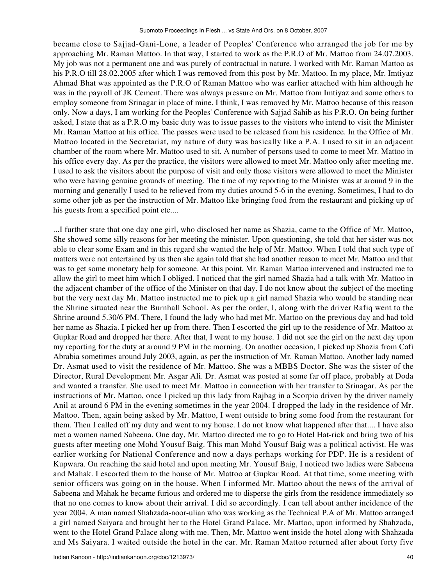became close to Sajjad-Gani-Lone, a leader of Peoples' Conference who arranged the job for me by approaching Mr. Raman Mattoo. In that way, I started to work as the P.R.O of Mr. Mattoo from 24.07.2003. My job was not a permanent one and was purely of contractual in nature. I worked with Mr. Raman Mattoo as his P.R.O till 28.02.2005 after which I was removed from this post by Mr. Mattoo. In my place, Mr. Imtiyaz Ahmad Bhat was appointed as the P.R.O of Raman Mattoo who was earlier attached with him although he was in the payroll of JK Cement. There was always pressure on Mr. Mattoo from Imtiyaz and some others to employ someone from Srinagar in place of mine. I think, I was removed by Mr. Mattoo because of this reason only. Now a days, I am working for the Peoples' Conference with Sajjad Sahib as his P.R.O. On being further asked, I state that as a P.R.O my basic duty was to issue passes to the visitors who intend to visit the Minister Mr. Raman Mattoo at his office. The passes were used to be released from his residence. In the Office of Mr. Mattoo located in the Secretariat, my nature of duty was basically like a P.A. I used to sit in an adjacent chamber of the room where Mr. Mattoo used to sit. A number of persons used to come to meet Mr. Mattoo in his office every day. As per the practice, the visitors were allowed to meet Mr. Mattoo only after meeting me. I used to ask the visitors about the purpose of visit and only those visitors were allowed to meet the Minister who were having genuine grounds of meeting. The time of my reporting to the Minister was at around 9 in the morning and generally I used to be relieved from my duties around 5-6 in the evening. Sometimes, I had to do some other job as per the instruction of Mr. Mattoo like bringing food from the restaurant and picking up of his guests from a specified point etc....

...I further state that one day one girl, who disclosed her name as Shazia, came to the Office of Mr. Mattoo, She showed some silly reasons for her meeting the minister. Upon questioning, she told that her sister was not able to clear some Exam and in this regard she wanted the help of Mr. Mattoo. When I told that such type of matters were not entertained by us then she again told that she had another reason to meet Mr. Mattoo and that was to get some monetary help for someone. At this point, Mr. Raman Mattoo intervened and instructed me to allow the girl to meet him which I obliged. I noticed that the girl named Shazia had a talk with Mr. Mattoo in the adjacent chamber of the office of the Minister on that day. I do not know about the subject of the meeting but the very next day Mr. Mattoo instructed me to pick up a girl named Shazia who would be standing near the Shrine situated near the Burnhall School. As per the order, I, along with the driver Rafiq went to the Shrine around 5.30/6 PM. There, I found the lady who had met Mr. Mattoo on the previous day and had told her name as Shazia. I picked her up from there. Then I escorted the girl up to the residence of Mr. Mattoo at Gupkar Road and dropped her there. After that, I went to my house. 1 did not see the girl on the next day upon my reporting for the duty at around 9 PM in the morning. On another occasion, I picked up Shazia from Cafi Abrabia sometimes around July 2003, again, as per the instruction of Mr. Raman Mattoo. Another lady named Dr. Asmat used to visit the residence of Mr. Mattoo. She was a MBBS Doctor. She was the sister of the Director, Rural Development Mr. Asgar Ali. Dr. Asmat was posted at some far off place, probably at Doda and wanted a transfer. She used to meet Mr. Mattoo in connection with her transfer to Srinagar. As per the instructions of Mr. Mattoo, once I picked up this lady from Rajbag in a Scorpio driven by the driver namely Anil at around 6 PM in the evening sometimes in the year 2004. I dropped the lady in the residence of Mr. Mattoo. Then, again being asked by Mr. Mattoo, I went outside to bring some food from the restaurant for them. Then I called off my duty and went to my house. I do not know what happened after that.... I have also met a women named Sabeena. One day, Mr. Mattoo directed me to go to Hotel Hat-rick and bring two of his guests after meeting one Mohd Yousuf Baig. This man Mohd Yousuf Baig was a political activist. He was earlier working for National Conference and now a days perhaps working for PDP. He is a resident of Kupwara. On reaching the said hotel and upon meeting Mr. Yousuf Baig, I noticed two ladies were Sabeena and Mahak. I escorted them to the house of Mr. Mattoo at Gupkar Road. At that time, some meeting with senior officers was going on in the house. When I informed Mr. Mattoo about the news of the arrival of Sabeena and Mahak he became furious and ordered me to disperse the girls from the residence immediately so that no one comes to know about their arrival. I did so accordingly. I can tell about anther incidence of the year 2004. A man named Shahzada-noor-ulian who was working as the Technical P.A of Mr. Mattoo arranged a girl named Saiyara and brought her to the Hotel Grand Palace. Mr. Mattoo, upon informed by Shahzada, went to the Hotel Grand Palace along with me. Then, Mr. Mattoo went inside the hotel along with Shahzada and Ms Saiyara. I waited outside the hotel in the car. Mr. Raman Mattoo returned after about forty five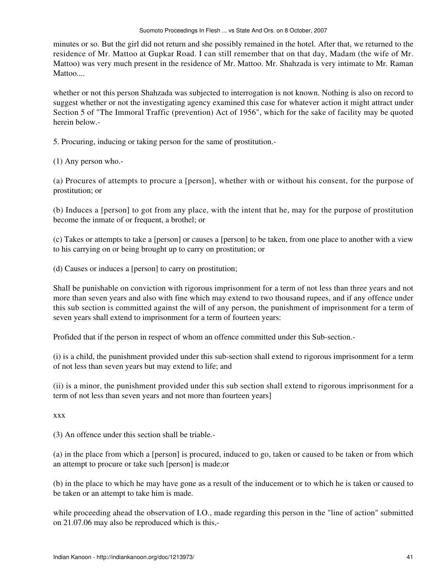minutes or so. But the girl did not return and she possibly remained in the hotel. After that, we returned to the residence of Mr. Mattoo at Gupkar Road. I can still remember that on that day, Madam (the wife of Mr. Mattoo) was very much present in the residence of Mr. Mattoo. Mr. Shahzada is very intimate to Mr. Raman Mattoo....

whether or not this person Shahzada was subjected to interrogation is not known. Nothing is also on record to suggest whether or not the investigating agency examined this case for whatever action it might attract under Section 5 of "The Immoral Traffic (prevention) Act of 1956", which for the sake of facility may be quoted herein below.-

5. Procuring, inducing or taking person for the same of prostitution.-

(1) Any person who.-

(a) Procures of attempts to procure a [person], whether with or without his consent, for the purpose of prostitution; or

(b) Induces a [person] to got from any place, with the intent that he, may for the purpose of prostitution become the inmate of or frequent, a brothel; or

(c) Takes or attempts to take a [person] or causes a [person] to be taken, from one place to another with a view to his carrying on or being brought up to carry on prostitution; or

(d) Causes or induces a [person] to carry on prostitution;

Shall be punishable on conviction with rigorous imprisonment for a term of not less than three years and not more than seven years and also with fine which may extend to two thousand rupees, and if any offence under this sub section is committed against the will of any person, the punishment of imprisonment for a term of seven years shall extend to imprisonment for a term of fourteen years:

Profided that if the person in respect of whom an offence committed under this Sub-section.-

(i) is a child, the punishment provided under this sub-section shall extend to rigorous imprisonment for a term of not less than seven years but may extend to life; and

(ii) is a minor, the punishment provided under this sub section shall extend to rigorous imprisonment for a term of not less than seven years and not more than fourteen years]

xxx

(3) An offence under this section shall be triable.-

(a) in the place from which a [person] is procured, induced to go, taken or caused to be taken or from which an attempt to procure or take such [person] is made;or

(b) in the place to which he may have gone as a result of the inducement or to which he is taken or caused to be taken or an attempt to take him is made.

while proceeding ahead the observation of I.O., made regarding this person in the "line of action" submitted on 21.07.06 may also be reproduced which is this,-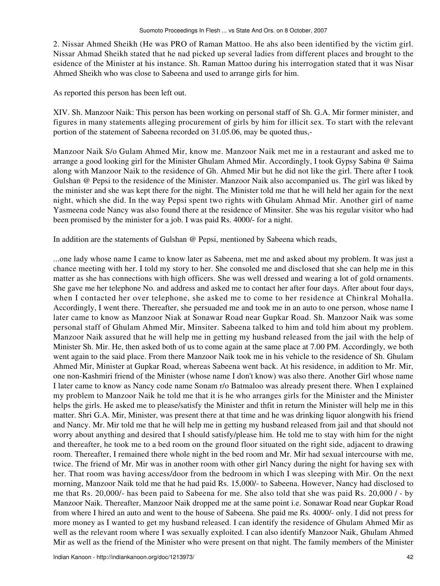2. Nissar Ahmed Sheikh (He was PRO of Raman Mattoo. He ahs also been identified by the victim girl. Nissar Ahmad Sheikh stated that he nad picked up several ladies from different places and brought to the esidence of the Minister at his instance. Sh. Raman Mattoo during his interrogation stated that it was Nisar Ahmed Sheikh who was close to Sabeena and used to arrange girls for him.

As reported this person has been left out.

XIV. Sh. Manzoor Naik: This person has been working on personal staff of Sh. G.A. Mir former minister, and figures in many statements alleging procurement of girls by him for illicit sex. To start with the relevant portion of the statement of Sabeena recorded on 31.05.06, may be quoted thus,-

Manzoor Naik S/o Gulam Ahmed Mir, know me. Manzoor Naik met me in a restaurant and asked me to arrange a good looking girl for the Minister Ghulam Ahmed Mir. Accordingly, I took Gypsy Sabina @ Saima along with Manzoor Naik to the residence of Gh. Ahmed Mir but he did not like the girl. There after I took Gulshan @ Pepsi to the residence of the Minister. Manzoor Naik also accompanied us. The girl was liked by the minister and she was kept there for the night. The Minister told me that he will held her again for the next night, which she did. In the way Pepsi spent two rights with Ghulam Ahmad Mir. Another girl of name Yasmeena code Nancy was also found there at the residence of Minsiter. She was his regular visitor who had been promised by the minister for a job. I was paid Rs. 4000/- for a night.

In addition are the statements of Gulshan @ Pepsi, mentioned by Sabeena which reads,

...one lady whose name I came to know later as Sabeena, met me and asked about my problem. It was just a chance meeting with her. I told my story to her. She consoled me and disclosed that she can help me in this matter as she has connections with high officers. She was well dressed and wearing a lot of gold ornaments. She gave me her telephone No. and address and asked me to contact her after four days. After about four days, when I contacted her over telephone, she asked me to come to her residence at Chinkral Mohalla. Accordingly, I went there. Thereafter, she persuaded me and took me in an auto to one person, whose name I later came to know as Manzoor Niak at Sonawar Road near Gupkar Road. Sh. Manzoor Naik was some personal staff of Ghulam Ahmed Mir, Minsiter. Sabeena talked to him and told him about my problem. Manzoor Naik assured that he will help me in getting my husband released from the jail with the help of Minister Sh. Mir. He, then asked both of us to come again at the same place at 7.00 PM. Accordingly, we both went again to the said place. From there Manzoor Naik took me in his vehicle to the residence of Sh. Ghulam Ahmed Mir, Minister at Gupkar Road, whereas Sabeena went back. At his residence, in addition to Mr. Mir, one non-Kashmiri friend of the Minister (whose name I don't know) was also there. Another Girl whose name I later came to know as Nancy code name Sonam r/o Batmaloo was already present there. When I explained my problem to Manzoor Naik he told me that it is he who arranges girls for the Minister and the Minister helps the girls. He asked me to please/satisfy the Minister and thfit in return the Minister will help me in this matter. Shri G.A. Mir, Minister, was present there at that time and he was drinking liquor alongwith his friend and Nancy. Mr. Mir told me that he will help me in getting my husband released from jail and that should not worry about anything and desired that I should satisfy/please him. He told me to stay with him for the night and thereafter, he took me to a bed room on the ground floor situated on the right side, adjacent to drawing room. Thereafter, I remained there whole night in the bed room and Mr. Mir had sexual intercourse with me, twice. The friend of Mr. Mir was in another room with other girl Nancy during the night for having sex with her. That room was having access/door from the bedroom in which I was sleeping with Mir. On the next morning, Manzoor Naik told me that he had paid Rs. 15,000/- to Sabeena. However, Nancy had disclosed to me that Rs. 20,000/- has been paid to Sabeena for me. She also told that she was paid Rs. 20,000 / - by Manzoor Naik. Thereafter, Manzoor Naik dropped me at the same point i.e. Sonawar Road near Gupkar Road from where I hired an auto and went to the house of Sabeena. She paid me Rs. 4000/- only. I did not press for more money as I wanted to get my husband released. I can identify the residence of Ghulam Ahmed Mir as well as the relevant room where I was sexually exploited. I can also identify Manzoor Naik, Ghulam Ahmed Mir as well as the friend of the Minister who were present on that night. The family members of the Minister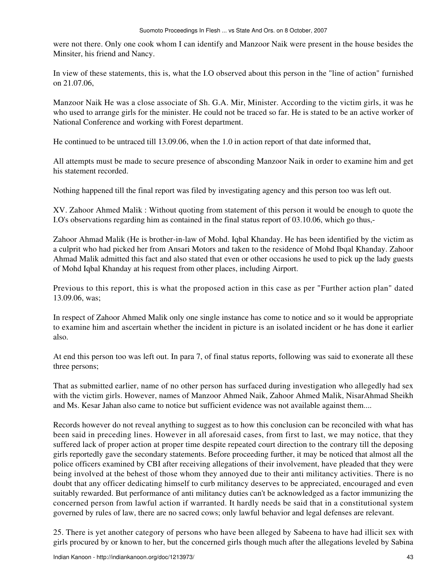were not there. Only one cook whom I can identify and Manzoor Naik were present in the house besides the Minsiter, his friend and Nancy.

In view of these statements, this is, what the I.O observed about this person in the "line of action" furnished on 21.07.06,

Manzoor Naik He was a close associate of Sh. G.A. Mir, Minister. According to the victim girls, it was he who used to arrange girls for the minister. He could not be traced so far. He is stated to be an active worker of National Conference and working with Forest department.

He continued to be untraced till 13.09.06, when the 1.0 in action report of that date informed that,

All attempts must be made to secure presence of absconding Manzoor Naik in order to examine him and get his statement recorded.

Nothing happened till the final report was filed by investigating agency and this person too was left out.

XV. Zahoor Ahmed Malik : Without quoting from statement of this person it would be enough to quote the I.O's observations regarding him as contained in the final status report of 03.10.06, which go thus,-

Zahoor Ahmad Malik (He is brother-in-law of Mohd. Iqbal Khanday. He has been identified by the victim as a culprit who had picked her from Ansari Motors and taken to the residence of Mohd Ibqal Khanday. Zahoor Ahmad Malik admitted this fact and also stated that even or other occasions he used to pick up the lady guests of Mohd Iqbal Khanday at his request from other places, including Airport.

Previous to this report, this is what the proposed action in this case as per "Further action plan" dated 13.09.06, was;

In respect of Zahoor Ahmed Malik only one single instance has come to notice and so it would be appropriate to examine him and ascertain whether the incident in picture is an isolated incident or he has done it earlier also.

At end this person too was left out. In para 7, of final status reports, following was said to exonerate all these three persons;

That as submitted earlier, name of no other person has surfaced during investigation who allegedly had sex with the victim girls. However, names of Manzoor Ahmed Naik, Zahoor Ahmed Malik, NisarAhmad Sheikh and Ms. Kesar Jahan also came to notice but sufficient evidence was not available against them....

Records however do not reveal anything to suggest as to how this conclusion can be reconciled with what has been said in preceding lines. However in all aforesaid cases, from first to last, we may notice, that they suffered lack of proper action at proper time despite repeated court direction to the contrary till the deposing girls reportedly gave the secondary statements. Before proceeding further, it may be noticed that almost all the police officers examined by CBI after receiving allegations of their involvement, have pleaded that they were being involved at the behest of those whom they annoyed due to their anti militancy activities. There is no doubt that any officer dedicating himself to curb militancy deserves to be appreciated, encouraged and even suitably rewarded. But performance of anti militancy duties can't be acknowledged as a factor immunizing the concerned person from lawful action if warranted. It hardly needs be said that in a constitutional system governed by rules of law, there are no sacred cows; only lawful behavior and legal defenses are relevant.

25. There is yet another category of persons who have been alleged by Sabeena to have had illicit sex with girls procured by or known to her, but the concerned girls though much after the allegations leveled by Sabina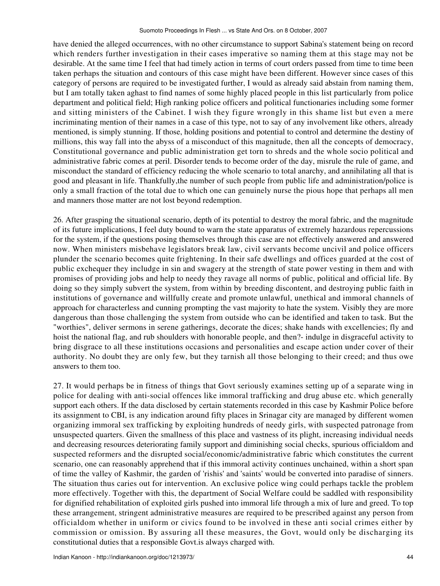have denied the alleged occurrences, with no other circumstance to support Sabina's statement being on record which renders further investigation in their cases imperative so naming them at this stage may not be desirable. At the same time I feel that had timely action in terms of court orders passed from time to time been taken perhaps the situation and contours of this case might have been different. However since cases of this category of persons are required to be investigated further, I would as already said abstain from naming them, but I am totally taken aghast to find names of some highly placed people in this list particularly from police department and political field; High ranking police officers and political functionaries including some former and sitting ministers of the Cabinet. I wish they figure wrongly in this shame list but even a mere incriminating mention of their names in a case of this type, not to say of any involvement like others, already mentioned, is simply stunning. If those, holding positions and potential to control and determine the destiny of millions, this way fall into the abyss of a misconduct of this magnitude, then all the concepts of democracy, Constitutional governance and public administration get torn to shreds and the whole socio political and administrative fabric comes at peril. Disorder tends to become order of the day, misrule the rule of game, and misconduct the standard of efficiency reducing the whole scenario to total anarchy, and annihilating all that is good and pleasant in life. Thankfully,the number of such people from public life and administration/police is only a small fraction of the total due to which one can genuinely nurse the pious hope that perhaps all men and manners those matter are not lost beyond redemption.

26. After grasping the situational scenario, depth of its potential to destroy the moral fabric, and the magnitude of its future implications, I feel duty bound to warn the state apparatus of extremely hazardous repercussions for the system, if the questions posing themselves through this case are not effectively answered and answered now. When ministers misbehave legislators break law, civil servants become uncivil and police officers plunder the scenario becomes quite frightening. In their safe dwellings and offices guarded at the cost of public exchequer they includge in sin and swagery at the strength of state power vesting in them and with promises of providing jobs and help to needy they ravage all norms of public, political and official life. By doing so they simply subvert the system, from within by breeding discontent, and destroying public faith in institutions of governance and willfully create and promote unlawful, unethical and immoral channels of approach for characterless and cunning prompting the vast majority to hate the system. Visibly they are more dangerous than those challenging the system from outside who can be identified and taken to task. But the "worthies", deliver sermons in serene gatherings, decorate the dices; shake hands with excellencies; fly and hoist the national flag, and rub shoulders with honorable people, and then?- indulge in disgraceful activity to bring disgrace to all these institutions occasions and personalities and escape action under cover of their authority. No doubt they are only few, but they tarnish all those belonging to their creed; and thus owe answers to them too.

27. It would perhaps be in fitness of things that Govt seriously examines setting up of a separate wing in police for dealing with anti-social offences like immoral trafficking and drug abuse etc. which generally support each others. If the data disclosed by certain statements recorded in this case by Kashmir Police before its assignment to CBI, is any indication around fifty places in Srinagar city are managed by different women organizing immoral sex trafficking by exploiting hundreds of needy girls, with suspected patronage from unsuspected quarters. Given the smallness of this place and vastness of its plight, increasing individual needs and decreasing resources deteriorating family support and diminishing social checks, spurious officialdom and suspected reformers and the disrupted social/economic/administrative fabric which constitutes the current scenario, one can reasonably apprehend that if this immoral activity continues unchained, within a short span of time the valley of Kashmir, the garden of 'rishis' and 'saints' would be converted into paradise of sinners. The situation thus caries out for intervention. An exclusive police wing could perhaps tackle the problem more effectively. Together with this, the department of Social Welfare could be saddled with responsibility for dignified rehabilitation of exploited girls pushed into immoral life through a mix of lure and greed. To top these arrangement, stringent administrative measures are required to be prescribed against any person from officialdom whether in uniform or civics found to be involved in these anti social crimes either by commission or omission. By assuring all these measures, the Govt, would only be discharging its constitutional duties that a responsible Govt.is always charged with.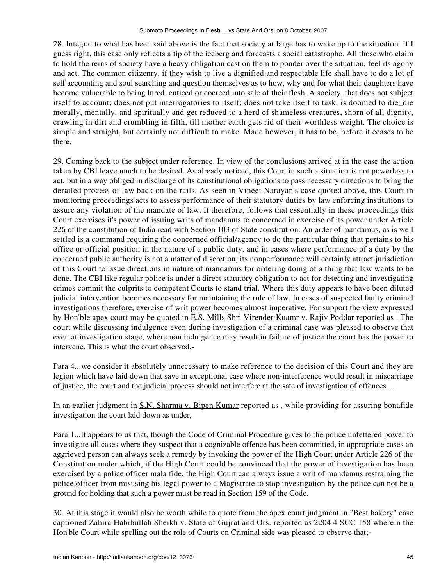28. Integral to what has been said above is the fact that society at large has to wake up to the situation. If I guess right, this case only reflects a tip of the iceberg and forecasts a social catastrophe. All those who claim to hold the reins of society have a heavy obligation cast on them to ponder over the situation, feel its agony and act. The common citizenry, if they wish to live a dignified and respectable life shall have to do a lot of self accounting and soul searching and question themselves as to how, why and for what their daughters have become vulnerable to being lured, enticed or coerced into sale of their flesh. A society, that does not subject itself to account; does not put interrogatories to itself; does not take itself to task, is doomed to die\_die morally, mentally, and spiritually and get reduced to a herd of shameless creatures, shorn of all dignity, crawling in dirt and crumbling in filth, till mother earth gets rid of their worthless weight. The choice is simple and straight, but certainly not difficult to make. Made however, it has to be, before it ceases to be there.

29. Coming back to the subject under reference. In view of the conclusions arrived at in the case the action taken by CBI leave much to be desired. As already noticed, this Court in such a situation is not powerless to act, but in a way obliged in discharge of its constitutional obligations to pass necessary directions to bring the derailed process of law back on the rails. As seen in Vineet Narayan's case quoted above, this Court in monitoring proceedings acts to assess performance of their statutory duties by law enforcing institutions to assure any violation of the mandate of law. It therefore, follows that essentially in these proceedings this Court exercises it's power of issuing writs of mandamus to concerned in exercise of its power under Article 226 of the constitution of India read with Section 103 of State constitution. An order of mandamus, as is well settled is a command requiring the concerned official/agency to do the particular thing that pertains to his office or official position in the nature of a public duty, and in cases where performance of a duty by the concerned public authority is not a matter of discretion, its nonperformance will certainly attract jurisdiction of this Court to issue directions in nature of mandamus for ordering doing of a thing that law wants to be done. The CBI like regular police is under a direct statutory obligation to act for detecting and investigating crimes commit the culprits to competent Courts to stand trial. Where this duty appears to have been diluted judicial intervention becomes necessary for maintaining the rule of law. In cases of suspected faulty criminal investigations therefore, exercise of writ power becomes almost imperative. For support the view expressed by Hon'ble apex court may be quoted in E.S. Mills Shri Virender Kuamr v. Rajiv Poddar reported as . The court while discussing indulgence even during investigation of a criminal case was pleased to observe that even at investigation stage, where non indulgence may result in failure of justice the court has the power to intervene. This is what the court observed,-

Para 4...we consider it absolutely unnecessary to make reference to the decision of this Court and they are legion which have laid down that save in exceptional case where non-interference would result in miscarriage of justice, the court and the judicial process should not interfere at the sate of investigation of offences....

In an earlier judgment in S.N. Sharma v. Bipen Kumar reported as, while providing for assuring bonafide investigation the court laid down as under,

Para 1...It appears to us that, though the Code of Criminal Procedure gives to the police unfettered power to investigate all cases where they suspect that a cognizable offence has been committed, in appropriate cases an aggrieved person can always seek a remedy by invoking the power of the High Court under Article 226 of the Constitution under which, if the High Court could be convinced that the power of investigation has been exercised by a police officer mala fide, the High Court can always issue a writ of mandamus restraining the police officer from misusing his legal power to a Magistrate to stop investigation by the police can not be a ground for holding that such a power must be read in Section 159 of the Code.

30. At this stage it would also be worth while to quote from the apex court judgment in "Best bakery" case captioned Zahira Habibullah Sheikh v. State of Gujrat and Ors. reported as 2204 4 SCC 158 wherein the Hon'ble Court while spelling out the role of Courts on Criminal side was pleased to observe that;-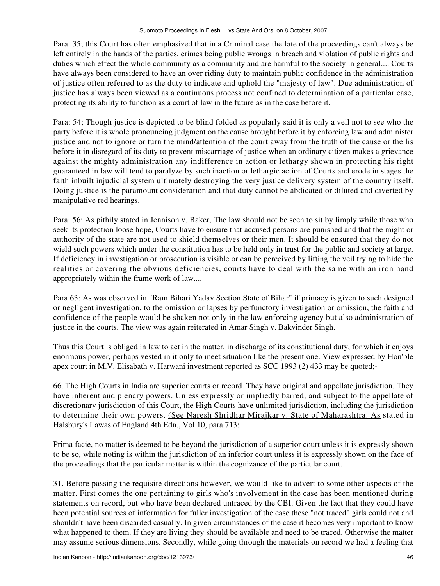Para: 35; this Court has often emphasized that in a Criminal case the fate of the proceedings can't always be left entirely in the hands of the parties, crimes being public wrongs in breach and violation of public rights and duties which effect the whole community as a community and are harmful to the society in general.... Courts have always been considered to have an over riding duty to maintain public confidence in the administration of justice often referred to as the duty to indicate and uphold the "majesty of law". Due administration of justice has always been viewed as a continuous process not confined to determination of a particular case, protecting its ability to function as a court of law in the future as in the case before it.

Para: 54; Though justice is depicted to be blind folded as popularly said it is only a veil not to see who the party before it is whole pronouncing judgment on the cause brought before it by enforcing law and administer justice and not to ignore or turn the mind/attention of the court away from the truth of the cause or the lis before it in disregard of its duty to prevent miscarriage of justice when an ordinary citizen makes a grievance against the mighty administration any indifference in action or lethargy shown in protecting his right guaranteed in law will tend to paralyze by such inaction or lethargic action of Courts and erode in stages the faith inbuilt injudicial system ultimately destroying the very justice delivery system of the country itself. Doing justice is the paramount consideration and that duty cannot be abdicated or diluted and diverted by manipulative red hearings.

Para: 56; As pithily stated in Jennison v. Baker, The law should not be seen to sit by limply while those who seek its protection loose hope, Courts have to ensure that accused persons are punished and that the might or authority of the state are not used to shield themselves or their men. It should be ensured that they do not wield such powers which under the constitution has to be held only in trust for the public and society at large. If deficiency in investigation or prosecution is visible or can be perceived by lifting the veil trying to hide the realities or covering the obvious deficiencies, courts have to deal with the same with an iron hand appropriately within the frame work of law....

Para 63: As was observed in "Ram Bihari Yadav Section State of Bihar" if primacy is given to such designed or negligent investigation, to the omission or lapses by perfunctory investigation or omission, the faith and confidence of the people would be shaken not only in the law enforcing agency but also administration of justice in the courts. The view was again reiterated in Amar Singh v. Bakvinder Singh.

Thus this Court is obliged in law to act in the matter, in discharge of its constitutional duty, for which it enjoys enormous power, perhaps vested in it only to meet situation like the present one. View expressed by Hon'ble apex court in M.V. Elisabath v. Harwani investment reported as SCC 1993 (2) 433 may be quoted;-

66. The High Courts in India are superior courts or record. They have original and appellate jurisdiction. They have inherent and plenary powers. Unless expressly or impliedly barred, and subject to the appellate of discretionary jurisdiction of this Court, the High Courts have unlimited jurisdiction, including the jurisdiction to determine their own powers. (See Naresh Shridhar Mirajkar v. State of Maharashtra. As stated in Halsbury's Lawas of England 4th Edn., Vol 10, para 713:

Prima facie, no matter is deemed to be beyond the jurisdiction of a superior court unless it is expressly shown to be so, while noting is within the jurisdiction of an inferior court unless it is expressly shown on the face of the proceedings that the particular matter is within the cognizance of the particular court.

31. Before passing the requisite directions however, we would like to advert to some other aspects of the matter. First comes the one pertaining to girls who's involvement in the case has been mentioned during statements on record, but who have been declared untraced by the CBI. Given the fact that they could have been potential sources of information for fuller investigation of the case these "not traced" girls could not and shouldn't have been discarded casually. In given circumstances of the case it becomes very important to know what happened to them. If they are living they should be available and need to be traced. Otherwise the matter may assume serious dimensions. Secondly, while going through the materials on record we had a feeling that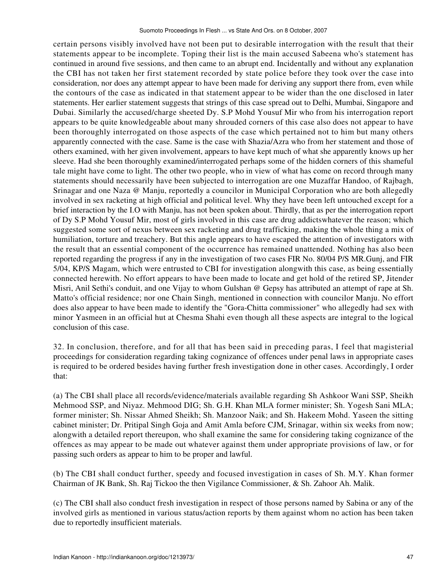certain persons visibly involved have not been put to desirable interrogation with the result that their statements appear to be incomplete. Toping their list is the main accused Sabeena who's statement has continued in around five sessions, and then came to an abrupt end. Incidentally and without any explanation the CBI has not taken her first statement recorded by state police before they took over the case into consideration, nor does any attempt appear to have been made for deriving any support there from, even while the contours of the case as indicated in that statement appear to be wider than the one disclosed in later statements. Her earlier statement suggests that strings of this case spread out to Delhi, Mumbai, Singapore and Dubai. Similarly the accused/charge sheeted Dy. S.P Mohd Yousuf Mir who from his interrogation report appears to be quite knowledgeable about many shrouded corners of this case also does not appear to have been thoroughly interrogated on those aspects of the case which pertained not to him but many others apparently connected with the case. Same is the case with Shazia/Azra who from her statement and those of others examined, with her given involvement, appears to have kept much of what she apparently knows up her sleeve. Had she been thoroughly examined/interrogated perhaps some of the hidden corners of this shameful tale might have come to light. The other two people, who in view of what has come on record through many statements should necessarily have been subjected to interrogation are one Muzaffar Handoo, of Rajbagh, Srinagar and one Naza @ Manju, reportedly a councilor in Municipal Corporation who are both allegedly involved in sex racketing at high official and political level. Why they have been left untouched except for a brief interaction by the I.O with Manju, has not been spoken about. Thirdly, that as per the interrogation report of Dy S.P Mohd Yousuf Mir, most of girls involved in this case are drug addictswhatever the reason; which suggested some sort of nexus between sex racketing and drug trafficking, making the whole thing a mix of humiliation, torture and treachery. But this angle appears to have escaped the attention of investigators with the result that an essential component of the occurrence has remained unattended. Nothing has also been reported regarding the progress if any in the investigation of two cases FIR No. 80/04 P/S MR.Gunj, and FIR 5/04, KP/S Magam, which were entrusted to CBI for investigation alongwith this case, as being essentially connected herewith. No effort appears to have been made to locate and get hold of the retired SP, Jitender Misri, Anil Sethi's conduit, and one Vijay to whom Gulshan @ Gepsy has attributed an attempt of rape at Sh. Matto's official residence; nor one Chain Singh, mentioned in connection with councilor Manju. No effort does also appear to have been made to identify the "Gora-Chitta commissioner" who allegedly had sex with minor Yasmeen in an official hut at Chesma Shahi even though all these aspects are integral to the logical conclusion of this case.

32. In conclusion, therefore, and for all that has been said in preceding paras, I feel that magisterial proceedings for consideration regarding taking cognizance of offences under penal laws in appropriate cases is required to be ordered besides having further fresh investigation done in other cases. Accordingly, I order that:

(a) The CBI shall place all records/evidence/materials available regarding Sh Ashkoor Wani SSP, Sheikh Mehmood SSP, and Niyaz. Mehmood DIG; Sh. G.H. Khan MLA former minister; Sh. Yogesh Sani MLA; former minister; Sh. Nissar Ahmed Sheikh; Sh. Manzoor Naik; and Sh. Hakeem Mohd. Yaseen the sitting cabinet minister; Dr. Pritipal Singh Goja and Amit Amla before CJM, Srinagar, within six weeks from now; alongwith a detailed report thereupon, who shall examine the same for considering taking cognizance of the offences as may appear to be made out whatever against them under appropriate provisions of law, or for passing such orders as appear to him to be proper and lawful.

(b) The CBI shall conduct further, speedy and focused investigation in cases of Sh. M.Y. Khan former Chairman of JK Bank, Sh. Raj Tickoo the then Vigilance Commissioner, & Sh. Zahoor Ah. Malik.

(c) The CBI shall also conduct fresh investigation in respect of those persons named by Sabina or any of the involved girls as mentioned in various status/action reports by them against whom no action has been taken due to reportedly insufficient materials.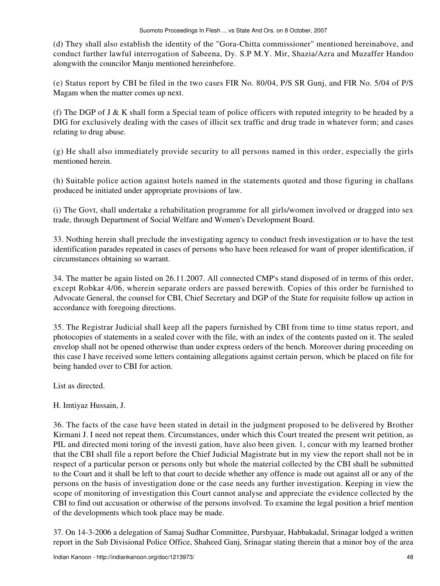(d) They shall also establish the identity of the "Gora-Chitta commissioner" mentioned hereinabove, and conduct further lawful interrogation of Sabeena, Dy. S.P M.Y. Mir, Shazia/Azra and Muzaffer Handoo alongwith the councilor Manju mentioned hereinbefore.

(e) Status report by CBI be filed in the two cases FIR No. 80/04, P/S SR Gunj, and FIR No. 5/04 of P/S Magam when the matter comes up next.

(f) The DGP of J  $\&$  K shall form a Special team of police officers with reputed integrity to be headed by a DIG for exclusively dealing with the cases of illicit sex traffic and drug trade in whatever form; and cases relating to drug abuse.

(g) He shall also immediately provide security to all persons named in this order, especially the girls mentioned herein.

(h) Suitable police action against hotels named in the statements quoted and those figuring in challans produced be initiated under appropriate provisions of law.

(i) The Govt, shall undertake a rehabilitation programme for all girls/women involved or dragged into sex trade, through Department of Social Welfare and Women's Development Board.

33. Nothing herein shall preclude the investigating agency to conduct fresh investigation or to have the test identification parades repeated in cases of persons who have been released for want of proper identification, if circumstances obtaining so warrant.

34. The matter be again listed on 26.11.2007. All connected CMP's stand disposed of in terms of this order, except Robkar 4/06, wherein separate orders are passed herewith. Copies of this order be furnished to Advocate General, the counsel for CBI, Chief Secretary and DGP of the State for requisite follow up action in accordance with foregoing directions.

35. The Registrar Judicial shall keep all the papers furnished by CBI from time to time status report, and photocopies of statements in a sealed cover with the file, with an index of the contents pasted on it. The sealed envelop shall not be opened otherwise than under express orders of the bench. Moreover during proceeding on this case I have received some letters containing allegations against certain person, which be placed on file for being handed over to CBI for action.

List as directed.

H. Imtiyaz Hussain, J.

36. The facts of the case have been stated in detail in the judgment proposed to be delivered by Brother Kirmani J. I need not repeat them. Circumstances, under which this Court treated the present writ petition, as PIL and directed moni toring of the investi gation, have also been given. 1, concur with my learned brother that the CBI shall file a report before the Chief Judicial Magistrate but in my view the report shall not be in respect of a particular person or persons only but whole the material collected by the CBI shall be submitted to the Court and it shall be left to that court to decide whether any offence is made out against all or any of the persons on the basis of investigation done or the case needs any further investigation. Keeping in view the scope of monitoring of investigation this Court cannot analyse and appreciate the evidence collected by the CBI to find out accusation or otherwise of the persons involved. To examine the legal position a brief mention of the developments which took place may be made.

37. On 14-3-2006 a delegation of Samaj Sudhar Committee, Purshyaar, Habbakadal, Srinagar lodged a written report in the Sub Divisional Police Office, Shaheed Ganj, Srinagar stating therein that a minor boy of the area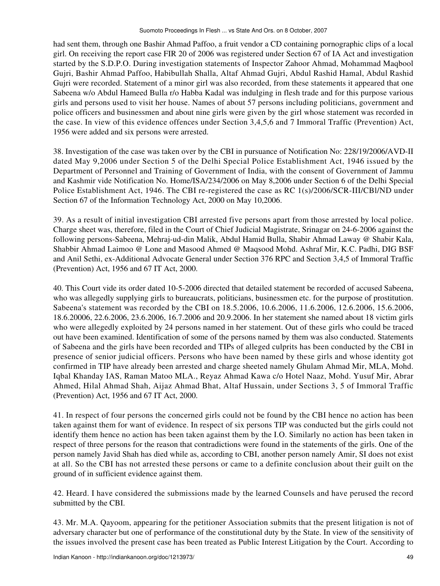had sent them, through one Bashir Ahmad Paffoo, a fruit vendor a CD containing pornographic clips of a local girl. On receiving the report case FIR 20 of 2006 was registered under Section 67 of IA Act and investigation started by the S.D.P.O. During investigation statements of Inspector Zahoor Ahmad, Mohammad Maqbool Gujri, Bashir Ahmad Paffoo, Habibullah Shalla, Altaf Ahmad Gujri, Abdul Rashid Hamal, Abdul Rashid Gujri were recorded. Statement of a minor girl was also recorded, from these statements it appeared that one Sabeena w/o Abdul Hameed Bulla r/o Habba Kadal was indulging in flesh trade and for this purpose various girls and persons used to visit her house. Names of about 57 persons including politicians, government and police officers and businessmen and about nine girls were given by the girl whose statement was recorded in the case. In view of this evidence offences under Section 3,4,5,6 and 7 Immoral Traffic (Prevention) Act, 1956 were added and six persons were arrested.

38. Investigation of the case was taken over by the CBI in pursuance of Notification No: 228/19/2006/AVD-II dated May 9,2006 under Section 5 of the Delhi Special Police Establishment Act, 1946 issued by the Department of Personnel and Training of Government of India, with the consent of Government of Jammu and Kashmir vide Notification No. Home/ISA/234/2006 on May 8,2006 under Section 6 of the Delhi Special Police Establishment Act, 1946. The CBI re-registered the case as RC 1(s)/2006/SCR-III/CBl/ND under Section 67 of the Information Technology Act, 2000 on May 10,2006.

39. As a result of initial investigation CBI arrested five persons apart from those arrested by local police. Charge sheet was, therefore, filed in the Court of Chief Judicial Magistrate, Srinagar on 24-6-2006 against the following persons-Sabeena, Mehraj-ud-din Malik, Abdul Hamid Bulla, Shabir Ahmad Laway @ Shabir Kala, Shabbir Ahmad Laimoo @ Lone and Masood Ahmed @ Maqsood Mohd. Ashraf Mir, K.C. Padhi, DIG BSF and Anil Sethi, ex-Additional Advocate General under Section 376 RPC and Section 3,4,5 of Immoral Traffic (Prevention) Act, 1956 and 67 IT Act, 2000.

40. This Court vide its order dated 10-5-2006 directed that detailed statement be recorded of accused Sabeena, who was allegedly supplying girls to bureaucrats, politicians, businessmen etc. for the purpose of prostitution. Sabeena's statement was recorded by the CBI on 18.5.2006, 10.6.2006, 11.6.2006, 12.6.2006, 15.6.2006, 18.6.20006, 22.6.2006, 23.6.2006, 16.7.2006 and 20.9.2006. In her statement she named about 18 victim girls who were allegedly exploited by 24 persons named in her statement. Out of these girls who could be traced out have been examined. Identification of some of the persons named by them was also conducted. Statements of Sabeena and the girls have been recorded and TIPs of alleged culprits has been conducted by the CBI in presence of senior judicial officers. Persons who have been named by these girls and whose identity got confirmed in TIP have already been arrested and charge sheeted namely Ghulam Ahmad Mir, MLA, Mohd. Iqbal Khanday IAS, Raman Matoo MLA., Reyaz Ahmad Kawa c/o Hotel Naaz, Mohd. Yusuf Mir, Abrar Ahmed, Hilal Ahmad Shah, Aijaz Ahmad Bhat, Altaf Hussain, under Sections 3, 5 of Immoral Traffic (Prevention) Act, 1956 and 67 IT Act, 2000.

41. In respect of four persons the concerned girls could not be found by the CBI hence no action has been taken against them for want of evidence. In respect of six persons TIP was conducted but the girls could not identify them hence no action has been taken against them by the I.O. Similarly no action has been taken in respect of three persons for the reason that contradictions were found in the statements of the girls. One of the person namely Javid Shah has died while as, according to CBI, another person namely Amir, SI does not exist at all. So the CBI has not arrested these persons or came to a definite conclusion about their guilt on the ground of in sufficient evidence against them.

42. Heard. I have considered the submissions made by the learned Counsels and have perused the record submitted by the CBI.

43. Mr. M.A. Qayoom, appearing for the petitioner Association submits that the present litigation is not of adversary character but one of performance of the constitutional duty by the State. In view of the sensitivity of the issues involved the present case has been treated as Public Interest Litigation by the Court. According to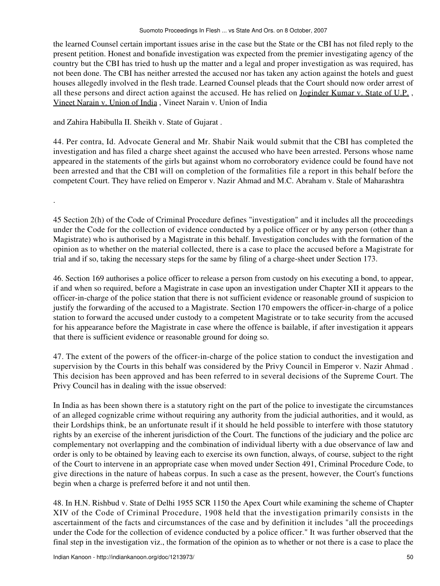the learned Counsel certain important issues arise in the case but the State or the CBI has not filed reply to the present petition. Honest and bonafide investigation was expected from the premier investigating agency of the country but the CBI has tried to hush up the matter and a legal and proper investigation as was required, has not been done. The CBI has neither arrested the accused nor has taken any action against the hotels and guest houses allegedly involved in the flesh trade. Learned Counsel pleads that the Court should now order arrest of all these persons and direct action against the accused. He has relied on Joginder Kumar v. State of U.P. , Vineet Narain v. Union of India , Vineet Narain v. Union of India

and Zahira Habibulla II. Sheikh v. State of Gujarat .

.

44. Per contra, Id. Advocate General and Mr. Shabir Naik would submit that the CBI has completed the investigation and has filed a charge sheet against the accused who have been arrested. Persons whose name appeared in the statements of the girls but against whom no corroboratory evidence could be found have not been arrested and that the CBI will on completion of the formalities file a report in this behalf before the competent Court. They have relied on Emperor v. Nazir Ahmad and M.C. Abraham v. Stale of Maharashtra

45 Section 2(h) of the Code of Criminal Procedure defines "investigation" and it includes all the proceedings under the Code for the collection of evidence conducted by a police officer or by any person (other than a Magistrate) who is authorised by a Magistrate in this behalf. Investigation concludes with the formation of the opinion as to whether on the material collected, there is a case to place the accused before a Magistrate for trial and if so, taking the necessary steps for the same by filing of a charge-sheet under Section 173.

46. Section 169 authorises a police officer to release a person from custody on his executing a bond, to appear, if and when so required, before a Magistrate in case upon an investigation under Chapter XII it appears to the officer-in-charge of the police station that there is not sufficient evidence or reasonable ground of suspicion to justify the forwarding of the accused to a Magistrate. Section 170 empowers the officer-in-charge of a police station to forward the accused under custody to a competent Magistrate or to take security from the accused for his appearance before the Magistrate in case where the offence is bailable, if after investigation it appears that there is sufficient evidence or reasonable ground for doing so.

47. The extent of the powers of the officer-in-charge of the police station to conduct the investigation and supervision by the Courts in this behalf was considered by the Privy Council in Emperor v. Nazir Ahmad . This decision has been approved and has been referred to in several decisions of the Supreme Court. The Privy Council has in dealing with the issue observed:

In India as has been shown there is a statutory right on the part of the police to investigate the circumstances of an alleged cognizable crime without requiring any authority from the judicial authorities, and it would, as their Lordships think, be an unfortunate result if it should he held possible to interfere with those statutory rights by an exercise of the inherent jurisdiction of the Court. The functions of the judiciary and the police arc complementary not overlapping and the combination of individual liberty with a due observance of law and order is only to be obtained by leaving each to exercise its own function, always, of course, subject to the right of the Court to intervene in an appropriate case when moved under Section 491, Criminal Procedure Code, to give directions in the nature of habeas corpus. In such a case as the present, however, the Court's functions begin when a charge is preferred before it and not until then.

48. In H.N. Rishbud v. State of Delhi 1955 SCR 1150 the Apex Court while examining the scheme of Chapter XIV of the Code of Criminal Procedure, 1908 held that the investigation primarily consists in the ascertainment of the facts and circumstances of the case and by definition it includes "all the proceedings under the Code for the collection of evidence conducted by a police officer." It was further observed that the final step in the investigation viz., the formation of the opinion as to whether or not there is a case to place the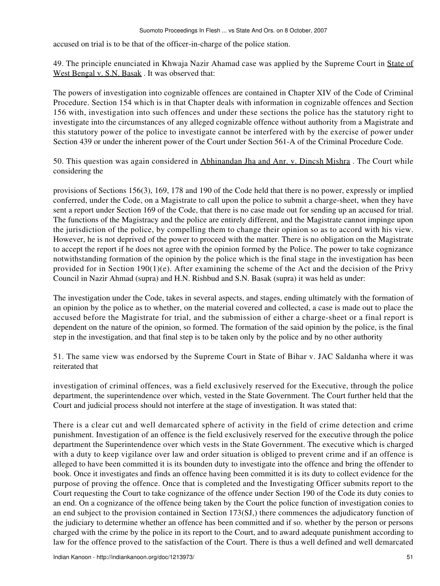accused on trial is to be that of the officer-in-charge of the police station.

49. The principle enunciated in Khwaja Nazir Ahamad case was applied by the Supreme Court in State of West Bengal v. S.N. Basak . It was observed that:

The powers of investigation into cognizable offences are contained in Chapter XIV of the Code of Criminal Procedure. Section 154 which is in that Chapter deals with information in cognizable offences and Section 156 with, investigation into such offences and under these sections the police has the statutory right to investigate into the circumstances of any alleged cognizable offence without authority from a Magistrate and this statutory power of the police to investigate cannot be interfered with by the exercise of power under Section 439 or under the inherent power of the Court under Section 561-A of the Criminal Procedure Code.

50. This question was again considered in Abhinandan Jha and Anr. v. Dincsh Mishra . The Court while considering the

provisions of Sections 156(3), 169, 178 and 190 of the Code held that there is no power, expressly or implied conferred, under the Code, on a Magistrate to call upon the police to submit a charge-sheet, when they have sent a report under Section 169 of the Code, that there is no case made out for sending up an accused for trial. The functions of the Magistracy and the police are entirely different, and the Magistrate cannot impinge upon the jurisdiction of the police, by compelling them to change their opinion so as to accord with his view. However, he is not deprived of the power to proceed with the matter. There is no obligation on the Magistrate to accept the report if he does not agree with the opinion formed by the Police. The power to take cognizance notwithstanding formation of the opinion by the police which is the final stage in the investigation has been provided for in Section 190(1)(e). After examining the scheme of the Act and the decision of the Privy Council in Nazir Ahmad (supra) and H.N. Rishbud and S.N. Basak (supra) it was held as under:

The investigation under the Code, takes in several aspects, and stages, ending ultimately with the formation of an opinion by the police as to whether, on the material covered and collected, a case is made out to place the accused before the Magistrate for trial, and the submission of either a charge-sheet or a final report is dependent on the nature of the opinion, so formed. The formation of the said opinion by the police, is the final step in the investigation, and that final step is to be taken only by the police and by no other authority

51. The same view was endorsed by the Supreme Court in State of Bihar v. JAC Saldanha where it was reiterated that

investigation of criminal offences, was a field exclusively reserved for the Executive, through the police department, the superintendence over which, vested in the State Government. The Court further held that the Court and judicial process should not interfere at the stage of investigation. It was stated that:

There is a clear cut and well demarcated sphere of activity in the field of crime detection and crime punishment. Investigation of an offence is the field exclusively reserved for the executive through the police department the Superintendence over which vests in the State Government. The executive which is charged with a duty to keep vigilance over law and order situation is obliged to prevent crime and if an offence is alleged to have been committed it is its bounden duty to investigate into the offence and bring the offender to book. Once it investigates and finds an offence having been committed it is its duty to collect evidence for the purpose of proving the offence. Once that is completed and the Investigating Officer submits report to the Court requesting the Court to take cognizance of the offence under Section 190 of the Code its duty conies to an end. On a cognizance of the offence being taken by the Court the police function of investigation conies to an end subject to the provision contained in Section 173(SJ,) there commences the adjudicatory function of the judiciary to determine whether an offence has been committed and if so. whether by the person or persons charged with the crime by the police in its report to the Court, and to award adequate punishment according to law for the offence proved to the satisfaction of the Court. There is thus a well defined and well demarcated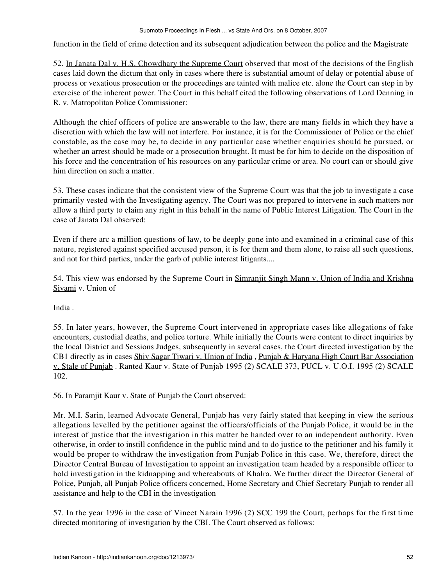function in the field of crime detection and its subsequent adjudication between the police and the Magistrate

52. In Janata Dal v. H.S. Chowdhary the Supreme Court observed that most of the decisions of the English cases laid down the dictum that only in cases where there is substantial amount of delay or potential abuse of process or vexatious prosecution or the proceedings are tainted with malice etc. alone the Court can step in by exercise of the inherent power. The Court in this behalf cited the following observations of Lord Denning in R. v. Matropolitan Police Commissioner:

Although the chief officers of police are answerable to the law, there are many fields in which they have a discretion with which the law will not interfere. For instance, it is for the Commissioner of Police or the chief constable, as the case may be, to decide in any particular case whether enquiries should be pursued, or whether an arrest should be made or a prosecution brought. It must be for him to decide on the disposition of his force and the concentration of his resources on any particular crime or area. No court can or should give him direction on such a matter.

53. These cases indicate that the consistent view of the Supreme Court was that the job to investigate a case primarily vested with the Investigating agency. The Court was not prepared to intervene in such matters nor allow a third party to claim any right in this behalf in the name of Public Interest Litigation. The Court in the case of Janata Dal observed:

Even if there arc a million questions of law, to be deeply gone into and examined in a criminal case of this nature, registered against specified accused person, it is for them and them alone, to raise all such questions, and not for third parties, under the garb of public interest litigants....

54. This view was endorsed by the Supreme Court in Simranjit Singh Mann v. Union of India and Krishna Sivami v. Union of

India .

55. In later years, however, the Supreme Court intervened in appropriate cases like allegations of fake encounters, custodial deaths, and police torture. While initially the Courts were content to direct inquiries by the local District and Sessions Judges, subsequently in several cases, the Court directed investigation by the CB1 directly as in cases Shiv Sagar Tiwari v. Union of India , Punjab & Haryana High Court Bar Association v. Stale of Punjab . Ranted Kaur v. State of Punjab 1995 (2) SCALE 373, PUCL v. U.O.I. 1995 (2) SCALE 102.

56. In Paramjit Kaur v. State of Punjab the Court observed:

Mr. M.I. Sarin, learned Advocate General, Punjab has very fairly stated that keeping in view the serious allegations levelled by the petitioner against the officers/officials of the Punjab Police, it would be in the interest of justice that the investigation in this matter be handed over to an independent authority. Even otherwise, in order to instill confidence in the public mind and to do justice to the petitioner and his family it would be proper to withdraw the investigation from Punjab Police in this case. We, therefore, direct the Director Central Bureau of Investigation to appoint an investigation team headed by a responsible officer to hold investigation in the kidnapping and whereabouts of Khalra. We further direct the Director General of Police, Punjab, all Punjab Police officers concerned, Home Secretary and Chief Secretary Punjab to render all assistance and help to the CBI in the investigation

57. In the year 1996 in the case of Vineet Narain 1996 (2) SCC 199 the Court, perhaps for the first time directed monitoring of investigation by the CBI. The Court observed as follows: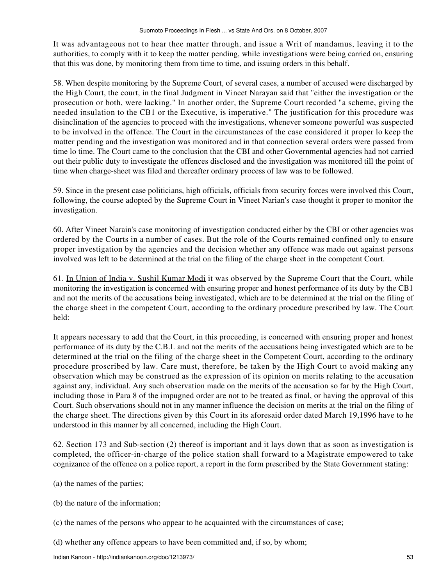It was advantageous not to hear thee matter through, and issue a Writ of mandamus, leaving it to the authorities, to comply with it to keep the matter pending, while investigations were being carried on, ensuring that this was done, by monitoring them from time to time, and issuing orders in this behalf.

58. When despite monitoring by the Supreme Court, of several cases, a number of accused were discharged by the High Court, the court, in the final Judgment in Vineet Narayan said that "either the investigation or the prosecution or both, were lacking." In another order, the Supreme Court recorded "a scheme, giving the needed insulation to the CB1 or the Executive, is imperative." The justification for this procedure was disinclination of the agencies to proceed with the investigations, whenever someone powerful was suspected to be involved in the offence. The Court in the circumstances of the case considered it proper lo keep the matter pending and the investigation was monitored and in that connection several orders were passed from time lo time. The Court came to the conclusion that the CBI and other Governmental agencies had not carried out their public duty to investigate the offences disclosed and the investigation was monitored till the point of time when charge-sheet was filed and thereafter ordinary process of law was to be followed.

59. Since in the present case politicians, high officials, officials from security forces were involved this Court, following, the course adopted by the Supreme Court in Vineet Narian's case thought it proper to monitor the investigation.

60. After Vineet Narain's case monitoring of investigation conducted either by the CBI or other agencies was ordered by the Courts in a number of cases. But the role of the Courts remained confined only to ensure proper investigation by the agencies and the decision whether any offence was made out against persons involved was left to be determined at the trial on the filing of the charge sheet in the competent Court.

61. In Union of India v. Sushil Kumar Modi it was observed by the Supreme Court that the Court, while monitoring the investigation is concerned with ensuring proper and honest performance of its duty by the CB1 and not the merits of the accusations being investigated, which are to be determined at the trial on the filing of the charge sheet in the competent Court, according to the ordinary procedure prescribed by law. The Court held:

It appears necessary to add that the Court, in this proceeding, is concerned with ensuring proper and honest performance of its duty by the C.B.I. and not the merits of the accusations being investigated which are to be determined at the trial on the filing of the charge sheet in the Competent Court, according to the ordinary procedure proscribed by law. Care must, therefore, be taken by the High Court to avoid making any observation which may be construed as the expression of its opinion on merits relating to the accusation against any, individual. Any such observation made on the merits of the accusation so far by the High Court, including those in Para 8 of the impugned order are not to be treated as final, or having the approval of this Court. Such observations should not in any manner influence the decision on merits at the trial on the filing of the charge sheet. The directions given by this Court in its aforesaid order dated March 19,1996 have to he understood in this manner by all concerned, including the High Court.

62. Section 173 and Sub-section (2) thereof is important and it lays down that as soon as investigation is completed, the officer-in-charge of the police station shall forward to a Magistrate empowered to take cognizance of the offence on a police report, a report in the form prescribed by the State Government stating:

- (a) the names of the parties;
- (b) the nature of the information;
- (c) the names of the persons who appear to he acquainted with the circumstances of case;
- (d) whether any offence appears to have been committed and, if so, by whom;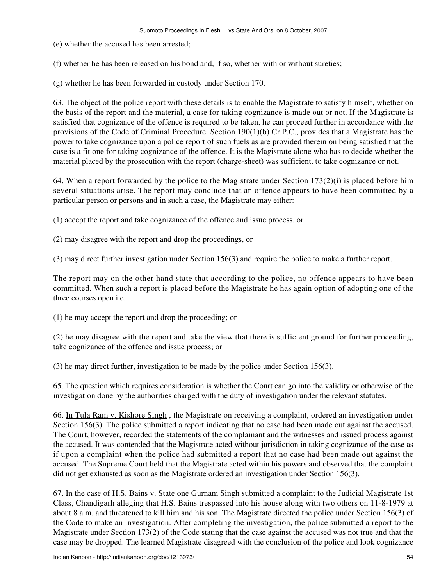(e) whether the accused has been arrested;

(f) whether he has been released on his bond and, if so, whether with or without sureties;

(g) whether he has been forwarded in custody under Section 170.

63. The object of the police report with these details is to enable the Magistrate to satisfy himself, whether on the basis of the report and the material, a case for taking cognizance is made out or not. If the Magistrate is satisfied that cognizance of the offence is required to be taken, he can proceed further in accordance with the provisions of the Code of Criminal Procedure. Section 190(1)(b) Cr.P.C., provides that a Magistrate has the power to take cognizance upon a police report of such fuels as are provided therein on being satisfied that the case is a fit one for taking cognizance of the offence. It is the Magistrate alone who has to decide whether the material placed by the prosecution with the report (charge-sheet) was sufficient, to take cognizance or not.

64. When a report forwarded by the police to the Magistrate under Section  $173(2)(i)$  is placed before him several situations arise. The report may conclude that an offence appears to have been committed by a particular person or persons and in such a case, the Magistrate may either:

(1) accept the report and take cognizance of the offence and issue process, or

(2) may disagree with the report and drop the proceedings, or

(3) may direct further investigation under Section 156(3) and require the police to make a further report.

The report may on the other hand state that according to the police, no offence appears to have been committed. When such a report is placed before the Magistrate he has again option of adopting one of the three courses open i.e.

(1) he may accept the report and drop the proceeding; or

(2) he may disagree with the report and take the view that there is sufficient ground for further proceeding, take cognizance of the offence and issue process; or

(3) he may direct further, investigation to be made by the police under Section 156(3).

65. The question which requires consideration is whether the Court can go into the validity or otherwise of the investigation done by the authorities charged with the duty of investigation under the relevant statutes.

66. In Tula Ram v. Kishore Singh , the Magistrate on receiving a complaint, ordered an investigation under Section 156(3). The police submitted a report indicating that no case had been made out against the accused. The Court, however, recorded the statements of the complainant and the witnesses and issued process against the accused. It was contended that the Magistrate acted without jurisdiction in taking cognizance of the case as if upon a complaint when the police had submitted a report that no case had been made out against the accused. The Supreme Court held that the Magistrate acted within his powers and observed that the complaint did not get exhausted as soon as the Magistrate ordered an investigation under Section 156(3).

67. In the case of H.S. Bains v. State one Gurnam Singh submitted a complaint to the Judicial Magistrate 1st Class, Chandigarh alleging that H.S. Bains trespassed into his house along with two others on 11-8-1979 at about 8 a.m. and threatened to kill him and his son. The Magistrate directed the police under Section 156(3) of the Code to make an investigation. After completing the investigation, the police submitted a report to the Magistrate under Section 173(2) of the Code stating that the case against the accused was not true and that the case may be dropped. The learned Magistrate disagreed with the conclusion of the police and look cognizance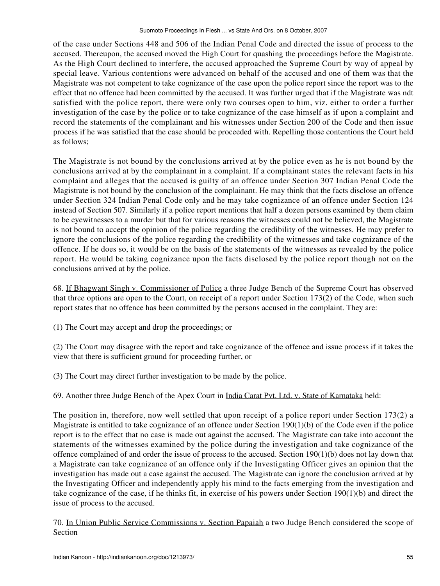of the case under Sections 448 and 506 of the Indian Penal Code and directed the issue of process to the accused. Thereupon, the accused moved the High Court for quashing the proceedings before the Magistrate. As the High Court declined to interfere, the accused approached the Supreme Court by way of appeal by special leave. Various contentions were advanced on behalf of the accused and one of them was that the Magistrate was not competent to take cognizance of the case upon the police report since the report was to the effect that no offence had been committed by the accused. It was further urged that if the Magistrate was ndt satisfied with the police report, there were only two courses open to him, viz. either to order a further investigation of the case by the police or to take cognizance of the case himself as if upon a complaint and record the statements of the complainant and his witnesses under Section 200 of the Code and then issue process if he was satisfied that the case should be proceeded with. Repelling those contentions the Court held as follows;

The Magistrate is not bound by the conclusions arrived at by the police even as he is not bound by the conclusions arrived at by the complainant in a complaint. If a complainant states the relevant facts in his complaint and alleges that the accused is guilty of an offence under Section 307 Indian Penal Code the Magistrate is not bound by the conclusion of the complainant. He may think that the facts disclose an offence under Section 324 Indian Penal Code only and he may take cognizance of an offence under Section 124 instead of Section 507. Similarly if a police report mentions that half a dozen persons examined by them claim to be eyewitnesses to a murder but that for various reasons the witnesses could not be believed, the Magistrate is not bound to accept the opinion of the police regarding the credibility of the witnesses. He may prefer to ignore the conclusions of the police regarding the credibility of the witnesses and take cognizance of the offence. If he does so, it would be on the basis of the statements of the witnesses as revealed by the police report. He would be taking cognizance upon the facts disclosed by the police report though not on the conclusions arrived at by the police.

68. If Bhagwant Singh v. Commissioner of Police a three Judge Bench of the Supreme Court has observed that three options are open to the Court, on receipt of a report under Section 173(2) of the Code, when such report states that no offence has been committed by the persons accused in the complaint. They are:

(1) The Court may accept and drop the proceedings; or

(2) The Court may disagree with the report and take cognizance of the offence and issue process if it takes the view that there is sufficient ground for proceeding further, or

(3) The Court may direct further investigation to be made by the police.

69. Another three Judge Bench of the Apex Court in India Carat Pvt. Ltd. v. State of Karnataka held:

The position in, therefore, now well settled that upon receipt of a police report under Section 173(2) a Magistrate is entitled to take cognizance of an offence under Section 190(1)(b) of the Code even if the police report is to the effect that no case is made out against the accused. The Magistrate can take into account the statements of the witnesses examined by the police during the investigation and take cognizance of the offence complained of and order the issue of process to the accused. Section  $190(1)(b)$  does not lay down that a Magistrate can take cognizance of an offence only if the Investigating Officer gives an opinion that the investigation has made out a case against the accused. The Magistrate can ignore the conclusion arrived at by the Investigating Officer and independently apply his mind to the facts emerging from the investigation and take cognizance of the case, if he thinks fit, in exercise of his powers under Section 190(1)(b) and direct the issue of process to the accused.

70. In Union Public Service Commissions v. Section Papaiah a two Judge Bench considered the scope of Section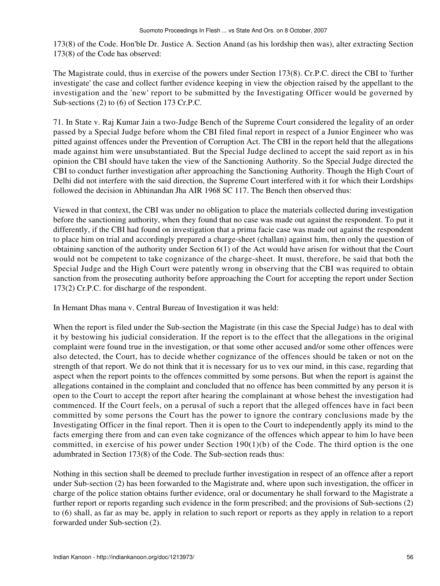173(8) of the Code. Hon'ble Dr. Justice A. Section Anand (as his lordship then was), alter extracting Section 173(8) of the Code has observed:

The Magistrate could, thus in exercise of the powers under Section 173(8). Cr.P.C. direct the CBI to 'further investigate' the case and collect further evidence keeping in view the objection raised by the appellant to the investigation and the 'new' report to be submitted by the Investigating Officer would be governed by Sub-sections (2) to (6) of Section 173 Cr.P.C.

71. In State v. Raj Kumar Jain a two-Judge Bench of the Supreme Court considered the legality of an order passed by a Special Judge before whom the CBI filed final report in respect of a Junior Engineer who was pitted against offences under the Prevention of Corruption Act. The CBI in the report held that the allegations made against him were unsubstantiated. But the Special Judge declined to accept the said report as in his opinion the CBI should have taken the view of the Sanctioning Authority. So the Special Judge directed the CBI to conduct further investigation after approaching the Sanctioning Authority. Though the High Court of Delhi did not interfere with the said direction, the Supreme Court interfered with it for which their Lordships followed the decision in Abhinandan Jha AIR 1968 SC 117. The Bench then observed thus:

Viewed in that context, the CBI was under no obligation to place the materials collected during investigation before the sanctioning authority, when they found that no case was made out against the respondent. To put it differently, if the CBI had found on investigation that a prima facie case was made out against the respondent to place him on trial and accordingly prepared a charge-sheet (challan) against him, then only the question of obtaining sanction of the authority under Section 6(1) of the Act would have arisen for without that the Court would not be competent to take cognizance of the charge-sheet. It must, therefore, be said that both the Special Judge and the High Court were patently wrong in observing that the CBI was required to obtain sanction from the prosecuting authority before approaching the Court for accepting the report under Section 173(2) Cr.P.C. for discharge of the respondent.

In Hemant Dhas mana v. Central Bureau of Investigation it was held:

When the report is filed under the Sub-section the Magistrate (in this case the Special Judge) has to deal with it by bestowing his judicial consideration. If the report is to the effect that the allegations in the original complaint were found true in the investigation, or that some other accused and/or some other offences were also detected, the Court, has to decide whether cognizance of the offences should be taken or not on the strength of that report. We do not think that it is necessary for us to vex our mind, in this case, regarding that aspect when the report points to the offences committed by some persons. But when the report is against the allegations contained in the complaint and concluded that no offence has been committed by any person it is open to the Court to accept the report after hearing the complainant at whose behest the investigation had commenced. If the Court feels, on a perusal of such a report that the alleged offences have in fact been committed by some persons the Court has the power to ignore the contrary conclusions made by the Investigating Officer in the final report. Then it is open to the Court to independently apply its mind to the facts emerging there from and can even take cognizance of the offences which appear to him lo have been committed, in exercise of his power under Section  $190(1)(b)$  of the Code. The third option is the one adumbrated in Section 173(8) of the Code. The Sub-section reads thus:

Nothing in this section shall be deemed to preclude further investigation in respect of an offence after a report under Sub-section (2) has been forwarded to the Magistrate and, where upon such investigation, the officer in charge of the police station obtains further evidence, oral or documentary he shall forward to the Magistrate a further report or reports regarding such evidence in the form prescribed; and the provisions of Sub-sections (2) to (6) shall, as far as may be, apply in relation to such report or reports as they apply in relation to a report forwarded under Sub-section (2).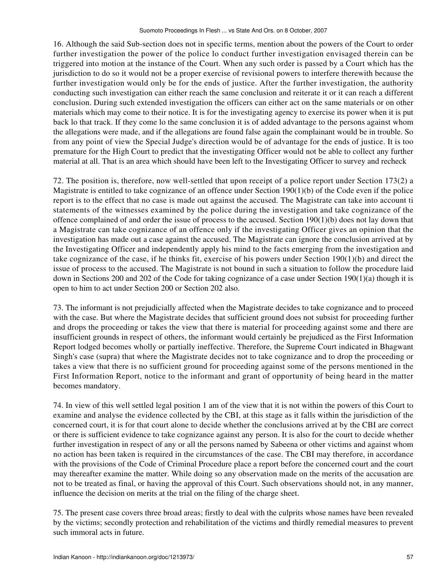16. Although the said Sub-section does not in specific terms, mention about the powers of the Court to order further investigation the power of the police lo conduct further investigation envisaged therein can be triggered into motion at the instance of the Court. When any such order is passed by a Court which has the jurisdiction to do so it would not be a proper exercise of revisional powers to interfere therewith because the further investigation would only be for the ends of justice. After the further investigation, the authority conducting such investigation can either reach the same conclusion and reiterate it or it can reach a different conclusion. During such extended investigation the officers can either act on the same materials or on other materials which may come to their notice. It is for the investigating agency to exercise its power when it is put back lo that track. If they come lo the same conclusion it is of added advantage to the persons against whom the allegations were made, and if the allegations are found false again the complainant would be in trouble. So from any point of view the Special Judge's direction would be of advantage for the ends of justice. It is too premature for the High Court to predict that the investigating Officer would not be able to collect any further material at all. That is an area which should have been left to the Investigating Officer to survey and recheck

72. The position is, therefore, now well-settled that upon receipt of a police report under Section 173(2) a Magistrate is entitled to take cognizance of an offence under Section 190(1)(b) of the Code even if the police report is to the effect that no case is made out against the accused. The Magistrate can take into account ti statements of the witnesses examined by the police during the investigation and take cognizance of the offence complained of and order the issue of process to the accused. Section 190(1)(b) does not lay down that a Magistrate can take cognizance of an offence only if the investigating Officer gives an opinion that the investigation has made out a case against the accused. The Magistrate can ignore the conclusion arrived at by the Investigating Officer and independently apply his mind to the facts emerging from the investigation and take cognizance of the case, if he thinks fit, exercise of his powers under Section 190(1)(b) and direct the issue of process to the accused. The Magistrate is not bound in such a situation to follow the procedure laid down in Sections 200 and 202 of the Code for taking cognizance of a case under Section 190(1)(a) though it is open to him to act under Section 200 or Section 202 also.

73. The informant is not prejudicially affected when the Magistrate decides to take cognizance and to proceed with the case. But where the Magistrate decides that sufficient ground does not subsist for proceeding further and drops the proceeding or takes the view that there is material for proceeding against some and there are insufficient grounds in respect of others, the informant would certainly be prejudiced as the First Information Report lodged becomes wholly or partially ineffective. Therefore, the Supreme Court indicated in Bhagwant Singh's case (supra) that where the Magistrate decides not to take cognizance and to drop the proceeding or takes a view that there is no sufficient ground for proceeding against some of the persons mentioned in the First Information Report, notice to the informant and grant of opportunity of being heard in the matter becomes mandatory.

74. In view of this well settled legal position 1 am of the view that it is not within the powers of this Court to examine and analyse the evidence collected by the CBI, at this stage as it falls within the jurisdiction of the concerned court, it is for that court alone to decide whether the conclusions arrived at by the CBI are correct or there is sufficient evidence to take cognizance against any person. It is also for the court to decide whether further investigation in respect of any or all the persons named by Sabeena or other victims and against whom no action has been taken is required in the circumstances of the case. The CBI may therefore, in accordance with the provisions of the Code of Criminal Procedure place a report before the concerned court and the court may thereafter examine the matter. While doing so any observation made on the merits of the accusation are not to be treated as final, or having the approval of this Court. Such observations should not, in any manner, influence the decision on merits at the trial on the filing of the charge sheet.

75. The present case covers three broad areas; firstly to deal with the culprits whose names have been revealed by the victims; secondly protection and rehabilitation of the victims and thirdly remedial measures to prevent such immoral acts in future.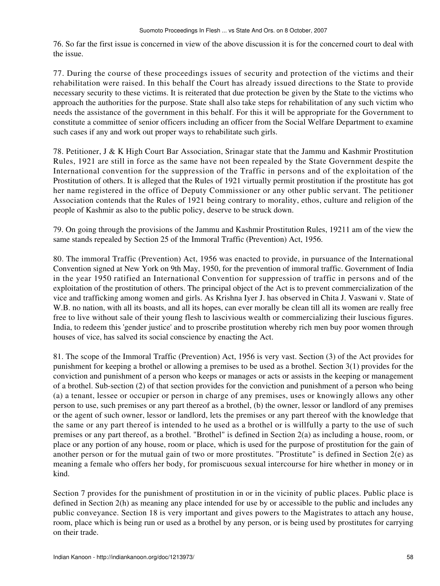76. So far the first issue is concerned in view of the above discussion it is for the concerned court to deal with the issue.

77. During the course of these proceedings issues of security and protection of the victims and their rehabilitation were raised. In this behalf the Court has already issued directions to the State to provide necessary security to these victims. It is reiterated that due protection be given by the State to the victims who approach the authorities for the purpose. State shall also take steps for rehabilitation of any such victim who needs the assistance of the government in this behalf. For this it will be appropriate for the Government to constitute a committee of senior officers including an officer from the Social Welfare Department to examine such cases if any and work out proper ways to rehabilitate such girls.

78. Petitioner, J & K High Court Bar Association, Srinagar state that the Jammu and Kashmir Prostitution Rules, 1921 are still in force as the same have not been repealed by the State Government despite the International convention for the suppression of the Traffic in persons and of the exploitation of the Prostitution of others. It is alleged that the Rules of 1921 virtually permit prostitution if the prostitute has got her name registered in the office of Deputy Commissioner or any other public servant. The petitioner Association contends that the Rules of 1921 being contrary to morality, ethos, culture and religion of the people of Kashmir as also to the public policy, deserve to be struck down.

79. On going through the provisions of the Jammu and Kashmir Prostitution Rules, 19211 am of the view the same stands repealed by Section 25 of the Immoral Traffic (Prevention) Act, 1956.

80. The immoral Traffic (Prevention) Act, 1956 was enacted to provide, in pursuance of the International Convention signed at New York on 9th May, 1950, for the prevention of immoral traffic. Government of India in the year 1950 ratified an International Convention for suppression of traffic in persons and of the exploitation of the prostitution of others. The principal object of the Act is to prevent commercialization of the vice and trafficking among women and girls. As Krishna Iyer J. has observed in Chita J. Vaswani v. State of W.B. no nation, with all its boasts, and all its hopes, can ever morally be clean till all its women are really free free to live without sale of their young flesh to lascivious wealth or commercializing their luscious figures. India, to redeem this 'gender justice' and to proscribe prostitution whereby rich men buy poor women through houses of vice, has salved its social conscience by enacting the Act.

81. The scope of the Immoral Traffic (Prevention) Act, 1956 is very vast. Section (3) of the Act provides for punishment for keeping a brothel or allowing a premises to be used as a brothel. Section 3(1) provides for the conviction and punishment of a person who keeps or manages or acts or assists in the keeping or management of a brothel. Sub-section (2) of that section provides for the conviction and punishment of a person who being (a) a tenant, lessee or occupier or person in charge of any premises, uses or knowingly allows any other person to use, such premises or any part thereof as a brothel, (b) the owner, lessor or landlord of any premises or the agent of such owner, lessor or landlord, lets the premises or any part thereof with the knowledge that the same or any part thereof is intended to he used as a brothel or is willfully a party to the use of such premises or any part thereof, as a brothel. "Brothel" is defined in Section 2(a) as including a house, room, or place or any portion of any house, room or place, which is used for the purpose of prostitution for the gain of another person or for the mutual gain of two or more prostitutes. "Prostitute" is defined in Section 2(e) as meaning a female who offers her body, for promiscuous sexual intercourse for hire whether in money or in kind.

Section 7 provides for the punishment of prostitution in or in the vicinity of public places. Public place is defined in Section 2(h) as meaning any place intended for use by or accessible to the public and includes any public conveyance. Section 18 is very important and gives powers to the Magistrates to attach any house, room, place which is being run or used as a brothel by any person, or is being used by prostitutes for carrying on their trade.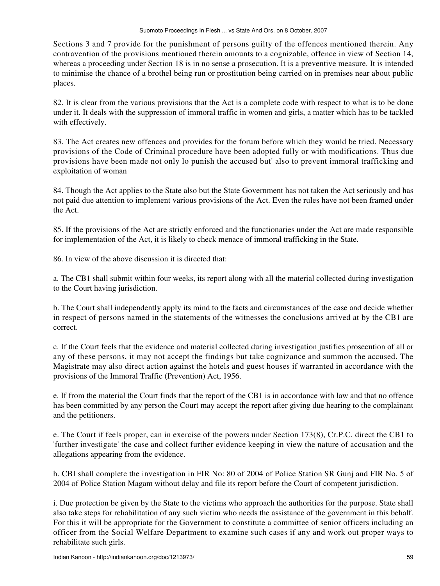Sections 3 and 7 provide for the punishment of persons guilty of the offences mentioned therein. Any contravention of the provisions mentioned therein amounts to a cognizable, offence in view of Section 14, whereas a proceeding under Section 18 is in no sense a prosecution. It is a preventive measure. It is intended to minimise the chance of a brothel being run or prostitution being carried on in premises near about public places.

82. It is clear from the various provisions that the Act is a complete code with respect to what is to be done under it. It deals with the suppression of immoral traffic in women and girls, a matter which has to be tackled with effectively.

83. The Act creates new offences and provides for the forum before which they would be tried. Necessary provisions of the Code of Criminal procedure have been adopted fully or with modifications. Thus due provisions have been made not only lo punish the accused but' also to prevent immoral trafficking and exploitation of woman

84. Though the Act applies to the State also but the State Government has not taken the Act seriously and has not paid due attention to implement various provisions of the Act. Even the rules have not been framed under the Act.

85. If the provisions of the Act are strictly enforced and the functionaries under the Act are made responsible for implementation of the Act, it is likely to check menace of immoral trafficking in the State.

86. In view of the above discussion it is directed that:

a. The CB1 shall submit within four weeks, its report along with all the material collected during investigation to the Court having jurisdiction.

b. The Court shall independently apply its mind to the facts and circumstances of the case and decide whether in respect of persons named in the statements of the witnesses the conclusions arrived at by the CB1 are correct.

c. If the Court feels that the evidence and material collected during investigation justifies prosecution of all or any of these persons, it may not accept the findings but take cognizance and summon the accused. The Magistrate may also direct action against the hotels and guest houses if warranted in accordance with the provisions of the Immoral Traffic (Prevention) Act, 1956.

e. If from the material the Court finds that the report of the CB1 is in accordance with law and that no offence has been committed by any person the Court may accept the report after giving due hearing to the complainant and the petitioners.

e. The Court if feels proper, can in exercise of the powers under Section 173(8), Cr.P.C. direct the CB1 to 'further investigate' the case and collect further evidence keeping in view the nature of accusation and the allegations appearing from the evidence.

h. CBI shall complete the investigation in FIR No: 80 of 2004 of Police Station SR Gunj and FIR No. 5 of 2004 of Police Station Magam without delay and file its report before the Court of competent jurisdiction.

i. Due protection be given by the State to the victims who approach the authorities for the purpose. State shall also take steps for rehabilitation of any such victim who needs the assistance of the government in this behalf. For this it will be appropriate for the Government to constitute a committee of senior officers including an officer from the Social Welfare Department to examine such cases if any and work out proper ways to rehabilitate such girls.